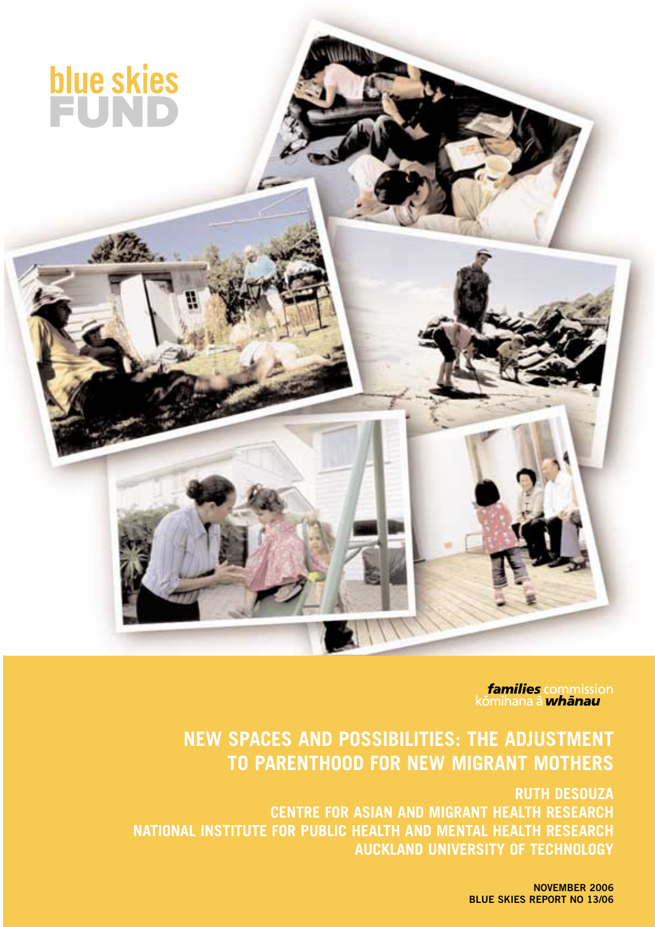

**families** commission<br>kōmihana ā *whānau* 

## **NEW SPACES AND POSSIBILITIES: THE ADJUSTMENT TO PARENTHOOD FOR NEW MIGRANT MOTHERS**

**RUTH DESOUZA CENTRE FOR ASIAN AND MIGRANT HEALTH RESEARCH NATIONAL INSTITUTE FOR PUBLIC HEALTH AND MENTAL HEALTH RESEARCH AUCKLAND UNIVERSITY OF TECHNOLOGY** 

> **NOVEMBER 2006 BLUE SKIES REPORT NO 13/06**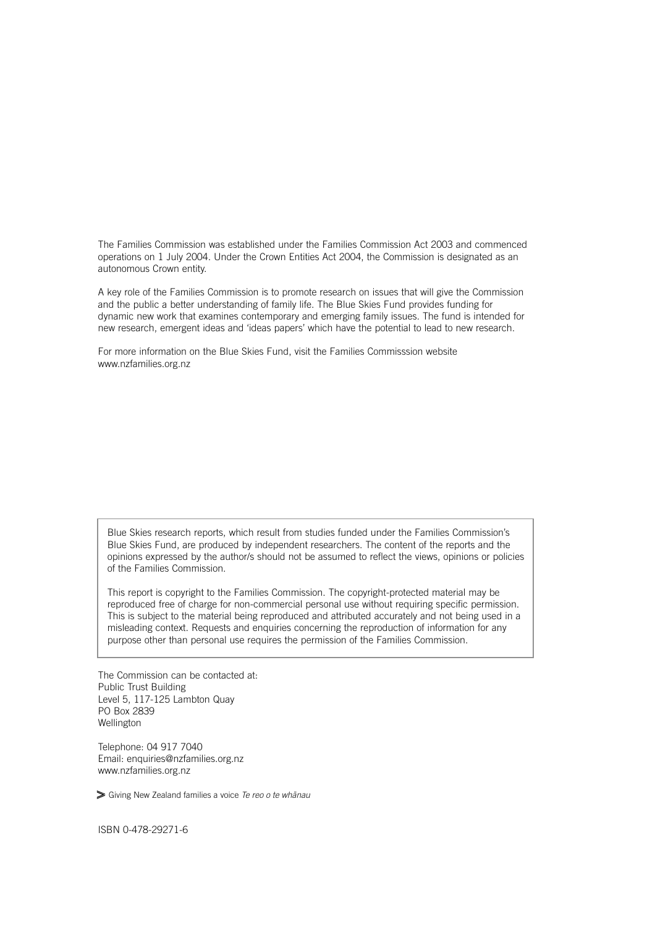The Families Commission was established under the Families Commission Act 2003 and commenced operations on 1 July 2004. Under the Crown Entities Act 2004, the Commission is designated as an autonomous Crown entity.

A key role of the Families Commission is to promote research on issues that will give the Commission and the public a better understanding of family life. The Blue Skies Fund provides funding for dynamic new work that examines contemporary and emerging family issues. The fund is intended for new research, emergent ideas and 'ideas papers' which have the potential to lead to new research.

For more information on the Blue Skies Fund, visit the Families Commisssion website www.nzfamilies.org.nz

Blue Skies research reports, which result from studies funded under the Families Commission's Blue Skies Fund, are produced by independent researchers. The content of the reports and the opinions expressed by the author/s should not be assumed to reflect the views, opinions or policies of the Families Commission.

This report is copyright to the Families Commission. The copyright-protected material may be reproduced free of charge for non-commercial personal use without requiring specific permission. This is subject to the material being reproduced and attributed accurately and not being used in a misleading context. Requests and enquiries concerning the reproduction of information for any purpose other than personal use requires the permission of the Families Commission.

The Commission can be contacted at: Public Trust Building Level 5, 117-125 Lambton Quay PO Box 2839 Wellington

Telephone: 04 917 7040 Email: enquiries@nzfamilies.org.nz www.nzfamilies.org.nz

Giving New Zealand families a voice *Te reo o te whanau*

ISBN 0-478-29271-6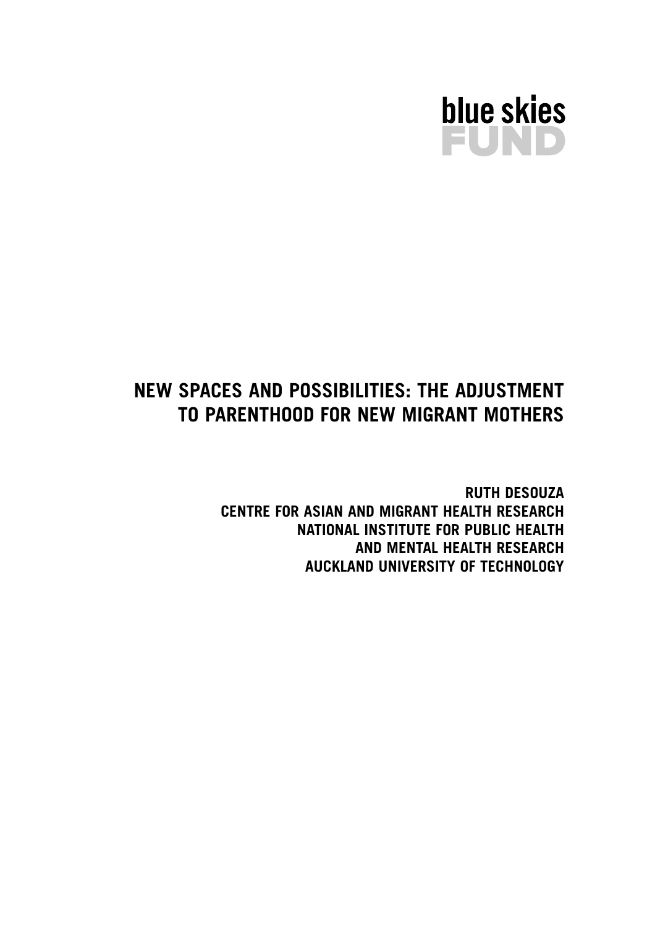

## **NEW SPACES AND POSSIBILITIES: THE ADJUSTMENT TO PARENTHOOD FOR NEW MIGRANT MOTHERS**

**RUTH DESOUZA CENTRE FOR ASIAN AND MIGRANT HEALTH RESEARCH NATIONAL INSTITUTE FOR PUBLIC HEALTH AND MENTAL HEALTH RESEARCH AUCKLAND UNIVERSITY OF TECHNOLOGY**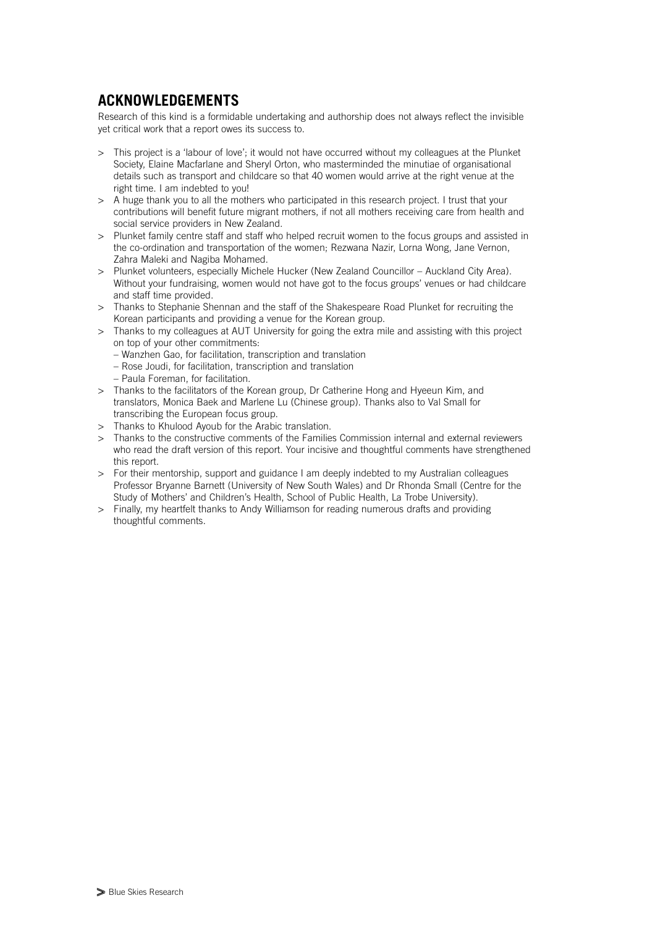## **ACKNOWLEDGEMENTS**

Research of this kind is a formidable undertaking and authorship does not always reflect the invisible yet critical work that a report owes its success to.

- > This project is a 'labour of love'; it would not have occurred without my colleagues at the Plunket Society, Elaine Macfarlane and Sheryl Orton, who masterminded the minutiae of organisational details such as transport and childcare so that 40 women would arrive at the right venue at the right time. I am indebted to you!
- > A huge thank you to all the mothers who participated in this research project. I trust that your contributions will benefit future migrant mothers, if not all mothers receiving care from health and social service providers in New Zealand.
- > Plunket family centre staff and staff who helped recruit women to the focus groups and assisted in the co-ordination and transportation of the women; Rezwana Nazir, Lorna Wong, Jane Vernon, Zahra Maleki and Nagiba Mohamed.
- > Plunket volunteers, especially Michele Hucker (New Zealand Councillor Auckland City Area). Without your fundraising, women would not have got to the focus groups' venues or had childcare and staff time provided.
- > Thanks to Stephanie Shennan and the staff of the Shakespeare Road Plunket for recruiting the Korean participants and providing a venue for the Korean group.
- > Thanks to my colleagues at AUT University for going the extra mile and assisting with this project on top of your other commitments:
	- Wanzhen Gao, for facilitation, transcription and translation
	- Rose Joudi, for facilitation, transcription and translation
	- Paula Foreman, for facilitation.
- > Thanks to the facilitators of the Korean group, Dr Catherine Hong and Hyeeun Kim, and translators, Monica Baek and Marlene Lu (Chinese group). Thanks also to Val Small for transcribing the European focus group.
- > Thanks to Khulood Ayoub for the Arabic translation.
- > Thanks to the constructive comments of the Families Commission internal and external reviewers who read the draft version of this report. Your incisive and thoughtful comments have strengthened this report.
- > For their mentorship, support and guidance I am deeply indebted to my Australian colleagues Professor Bryanne Barnett (University of New South Wales) and Dr Rhonda Small (Centre for the Study of Mothers' and Children's Health, School of Public Health, La Trobe University).
- > Finally, my heartfelt thanks to Andy Williamson for reading numerous drafts and providing thoughtful comments.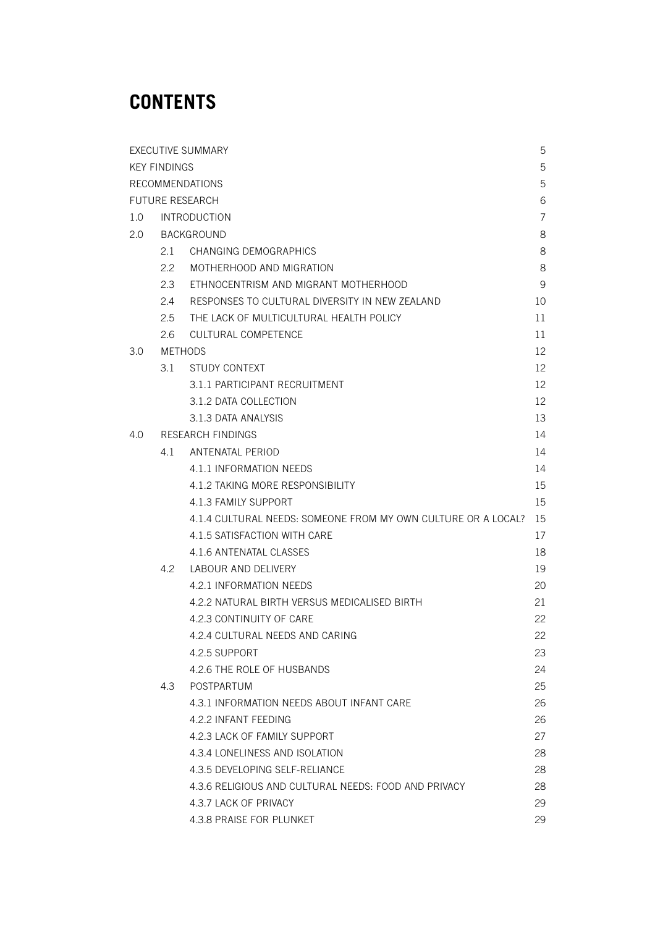# **CONTENTS**

| <b>EXECUTIVE SUMMARY</b>    |                     |                                                               |    |  |  |
|-----------------------------|---------------------|---------------------------------------------------------------|----|--|--|
| <b>KEY FINDINGS</b>         |                     |                                                               |    |  |  |
| <b>RECOMMENDATIONS</b>      |                     |                                                               |    |  |  |
| <b>FUTURE RESEARCH</b><br>6 |                     |                                                               |    |  |  |
| 1.0                         | <b>INTRODUCTION</b> |                                                               |    |  |  |
| $2.0^{\circ}$               | <b>BACKGROUND</b>   |                                                               |    |  |  |
|                             | 2.1                 | <b>CHANGING DEMOGRAPHICS</b>                                  | 8  |  |  |
|                             | 2.2                 | MOTHERHOOD AND MIGRATION                                      | 8  |  |  |
|                             | 2.3                 | ETHNOCENTRISM AND MIGRANT MOTHERHOOD                          | 9  |  |  |
|                             | 2.4                 | RESPONSES TO CULTURAL DIVERSITY IN NEW ZEALAND                | 10 |  |  |
|                             | 2.5                 | THE LACK OF MULTICULTURAL HEALTH POLICY                       | 11 |  |  |
|                             | 2.6                 | <b>CULTURAL COMPETENCE</b>                                    | 11 |  |  |
| 3.0                         | <b>METHODS</b>      |                                                               |    |  |  |
|                             | 3.1                 | STUDY CONTEXT                                                 | 12 |  |  |
|                             |                     | 3.1.1 PARTICIPANT RECRUITMENT                                 | 12 |  |  |
|                             |                     | 3.1.2 DATA COLLECTION                                         | 12 |  |  |
|                             |                     | 3.1.3 DATA ANALYSIS                                           | 13 |  |  |
| 4.0                         | RESEARCH FINDINGS   |                                                               |    |  |  |
|                             | 4.1                 | ANTENATAL PERIOD                                              | 14 |  |  |
|                             |                     | 4.1.1 INFORMATION NEEDS                                       | 14 |  |  |
|                             |                     | 4.1.2 TAKING MORE RESPONSIBILITY                              | 15 |  |  |
|                             |                     | 4.1.3 FAMILY SUPPORT                                          | 15 |  |  |
|                             |                     | 4.1.4 CULTURAL NEEDS: SOMEONE FROM MY OWN CULTURE OR A LOCAL? | 15 |  |  |
|                             |                     | 4.1.5 SATISFACTION WITH CARE                                  | 17 |  |  |
|                             |                     | 4.1.6 ANTENATAL CLASSES                                       | 18 |  |  |
|                             | 4.2                 | LABOUR AND DELIVERY                                           | 19 |  |  |
|                             |                     | 4.2.1 INFORMATION NEEDS                                       | 20 |  |  |
|                             |                     | 4.2.2 NATURAL BIRTH VERSUS MEDICALISED BIRTH                  | 21 |  |  |
|                             |                     | 4.2.3 CONTINUITY OF CARE                                      | 22 |  |  |
|                             |                     | 4.2.4 CULTURAL NEEDS AND CARING                               | 22 |  |  |
|                             |                     | 4.2.5 SUPPORT                                                 | 23 |  |  |
|                             |                     | 4.2.6 THE ROLE OF HUSBANDS                                    | 24 |  |  |
|                             | 4.3                 | POSTPARTUM                                                    | 25 |  |  |
|                             |                     | 4.3.1 INFORMATION NEEDS ABOUT INFANT CARE                     | 26 |  |  |
|                             |                     | 4.2.2 INFANT FEEDING                                          | 26 |  |  |
|                             |                     | 4.2.3 LACK OF FAMILY SUPPORT                                  | 27 |  |  |
|                             |                     | 4.3.4 LONELINESS AND ISOLATION                                | 28 |  |  |
|                             |                     | 4.3.5 DEVELOPING SELF-RELIANCE                                | 28 |  |  |
|                             |                     | 4.3.6 RELIGIOUS AND CULTURAL NEEDS: FOOD AND PRIVACY          | 28 |  |  |
|                             |                     | 4.3.7 LACK OF PRIVACY                                         | 29 |  |  |
|                             |                     | 4.3.8 PRAISE FOR PLUNKET                                      | 29 |  |  |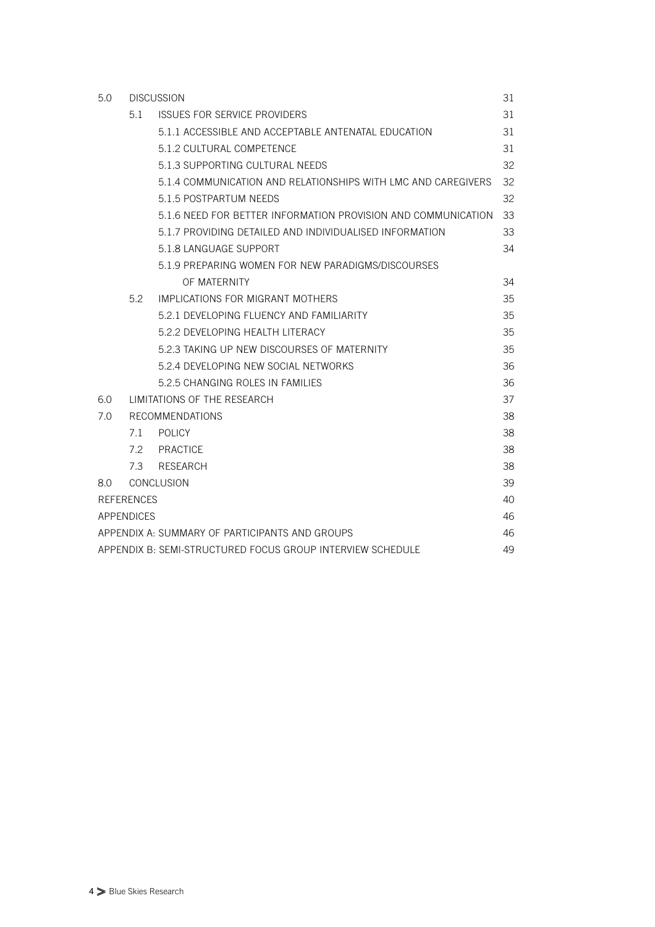| 5.0                                                              | <b>DISCUSSION</b>            |                                                               |    |  |  |
|------------------------------------------------------------------|------------------------------|---------------------------------------------------------------|----|--|--|
|                                                                  | 5.1                          | <b>ISSUES FOR SERVICE PROVIDERS</b>                           | 31 |  |  |
|                                                                  |                              | 5.1.1 ACCESSIBLE AND ACCEPTABLE ANTENATAL EDUCATION           | 31 |  |  |
|                                                                  |                              | 5.1.2 CULTURAL COMPETENCE                                     | 31 |  |  |
|                                                                  |                              | 5.1.3 SUPPORTING CULTURAL NEEDS                               | 32 |  |  |
|                                                                  |                              | 5.1.4 COMMUNICATION AND RELATIONSHIPS WITH LMC AND CAREGIVERS | 32 |  |  |
|                                                                  |                              | 5.1.5 POSTPARTUM NEEDS                                        | 32 |  |  |
|                                                                  |                              | 5.1.6 NEED FOR BETTER INFORMATION PROVISION AND COMMUNICATION | 33 |  |  |
|                                                                  |                              | 5.1.7 PROVIDING DETAILED AND INDIVIDUALISED INFORMATION       | 33 |  |  |
|                                                                  |                              | 5.1.8 LANGUAGE SUPPORT                                        | 34 |  |  |
|                                                                  |                              | 5.1.9 PREPARING WOMEN FOR NEW PARADIGMS/DISCOURSES            |    |  |  |
|                                                                  |                              | OF MATERNITY                                                  | 34 |  |  |
|                                                                  | 5.2                          | IMPLICATIONS FOR MIGRANT MOTHERS                              | 35 |  |  |
|                                                                  |                              | 5.2.1 DEVELOPING ELUENCY AND FAMILIARITY                      | 35 |  |  |
|                                                                  |                              | 5.2.2 DEVELOPING HEALTH LITERACY                              | 35 |  |  |
|                                                                  |                              | 5.2.3 TAKING UP NEW DISCOURSES OF MATERNITY                   | 35 |  |  |
|                                                                  |                              | 5.2.4 DEVELOPING NEW SOCIAL NETWORKS                          | 36 |  |  |
|                                                                  |                              | 5.2.5 CHANGING ROLES IN FAMILIES                              | 36 |  |  |
| 6.0                                                              | LIMITATIONS OF THE RESEARCH. |                                                               | 37 |  |  |
| 7.0                                                              | <b>RECOMMENDATIONS</b>       |                                                               |    |  |  |
|                                                                  | 7.1                          | <b>POLICY</b>                                                 | 38 |  |  |
|                                                                  |                              | 7.2 PRACTICE                                                  | 38 |  |  |
|                                                                  | 7.3                          | <b>RESEARCH</b>                                               | 38 |  |  |
| <b>CONCLUSION</b><br>8.0                                         |                              |                                                               |    |  |  |
| <b>REFERENCES</b>                                                |                              |                                                               |    |  |  |
| <b>APPENDICES</b>                                                |                              |                                                               |    |  |  |
| APPENDIX A: SUMMARY OF PARTICIPANTS AND GROUPS<br>46             |                              |                                                               |    |  |  |
| APPENDIX B: SEMI-STRUCTURED FOCUS GROUP INTERVIEW SCHEDULE<br>49 |                              |                                                               |    |  |  |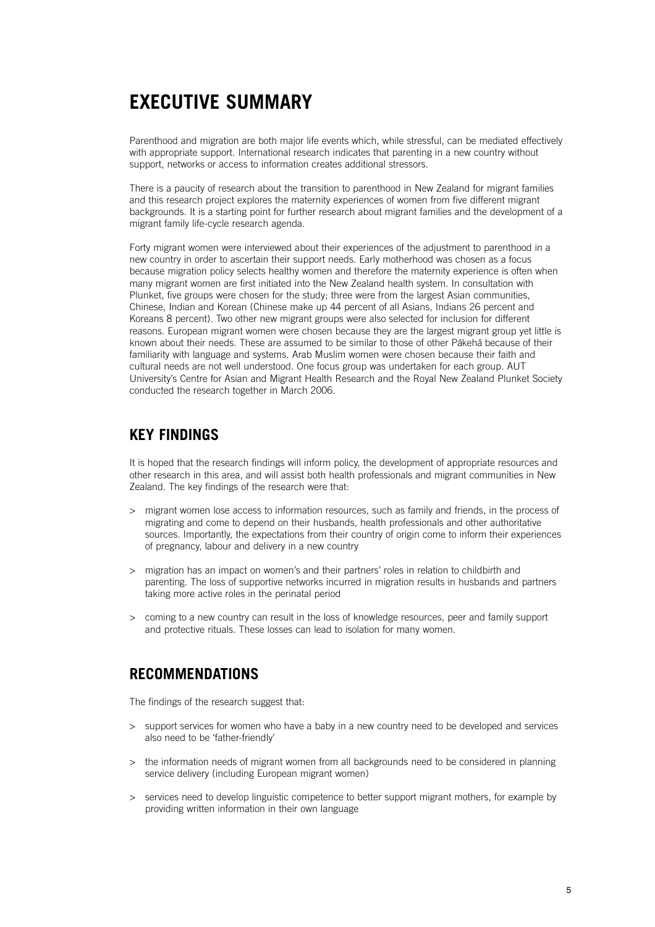## **EXECUTIVE SUMMARY**

Parenthood and migration are both major life events which, while stressful, can be mediated effectively with appropriate support. International research indicates that parenting in a new country without support, networks or access to information creates additional stressors.

There is a paucity of research about the transition to parenthood in New Zealand for migrant families and this research project explores the maternity experiences of women from five different migrant backgrounds. It is a starting point for further research about migrant families and the development of a migrant family life-cycle research agenda.

Forty migrant women were interviewed about their experiences of the adjustment to parenthood in a new country in order to ascertain their support needs. Early motherhood was chosen as a focus because migration policy selects healthy women and therefore the maternity experience is often when many migrant women are first initiated into the New Zealand health system. In consultation with Plunket, five groups were chosen for the study; three were from the largest Asian communities, Chinese, Indian and Korean (Chinese make up 44 percent of all Asians, Indians 26 percent and Koreans 8 percent). Two other new migrant groups were also selected for inclusion for different reasons. European migrant women were chosen because they are the largest migrant group yet little is known about their needs. These are assumed to be similar to those of other Pākehā because of their familiarity with language and systems. Arab Muslim women were chosen because their faith and cultural needs are not well understood. One focus group was undertaken for each group. AUT University's Centre for Asian and Migrant Health Research and the Royal New Zealand Plunket Society conducted the research together in March 2006.

### **KEY FINDINGS**

It is hoped that the research findings will inform policy, the development of appropriate resources and other research in this area, and will assist both health professionals and migrant communities in New Zealand. The key findings of the research were that:

- > migrant women lose access to information resources, such as family and friends, in the process of migrating and come to depend on their husbands, health professionals and other authoritative sources. Importantly, the expectations from their country of origin come to inform their experiences of pregnancy, labour and delivery in a new country
- > migration has an impact on women's and their partners' roles in relation to childbirth and parenting. The loss of supportive networks incurred in migration results in husbands and partners taking more active roles in the perinatal period
- > coming to a new country can result in the loss of knowledge resources, peer and family support and protective rituals. These losses can lead to isolation for many women.

### **RECOMMENDATIONS**

The findings of the research suggest that:

- > support services for women who have a baby in a new country need to be developed and services also need to be 'father-friendly'
- > the information needs of migrant women from all backgrounds need to be considered in planning service delivery (including European migrant women)
- > services need to develop linguistic competence to better support migrant mothers, for example by providing written information in their own language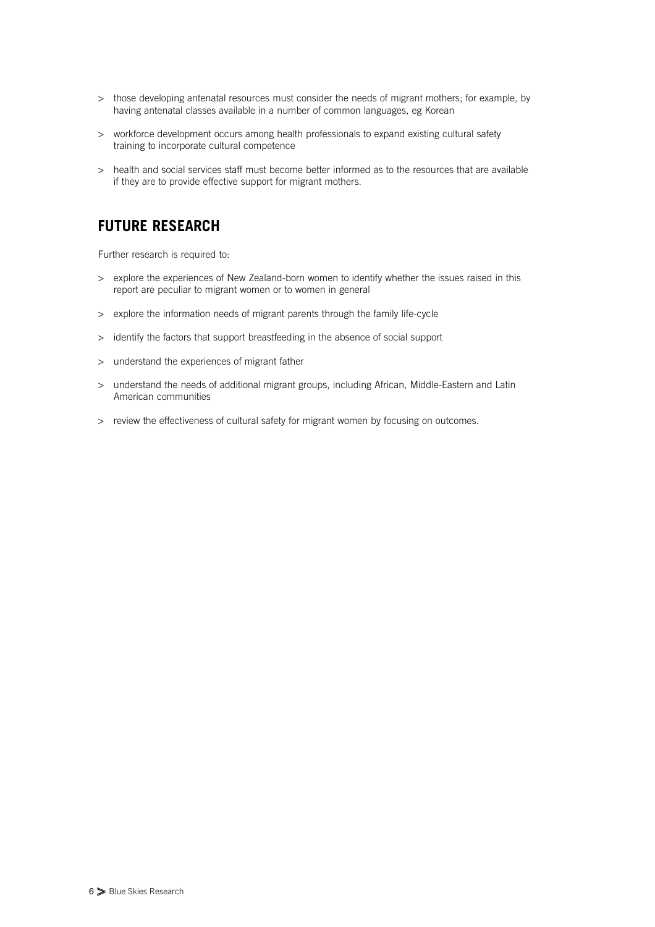- > those developing antenatal resources must consider the needs of migrant mothers; for example, by having antenatal classes available in a number of common languages, eg Korean
- > workforce development occurs among health professionals to expand existing cultural safety training to incorporate cultural competence
- > health and social services staff must become better informed as to the resources that are available if they are to provide effective support for migrant mothers.

## **FUTURE RESEARCH**

Further research is required to:

- > explore the experiences of New Zealand-born women to identify whether the issues raised in this report are peculiar to migrant women or to women in general
- > explore the information needs of migrant parents through the family life-cycle
- > identify the factors that support breastfeeding in the absence of social support
- > understand the experiences of migrant father
- > understand the needs of additional migrant groups, including African, Middle-Eastern and Latin American communities
- > review the effectiveness of cultural safety for migrant women by focusing on outcomes.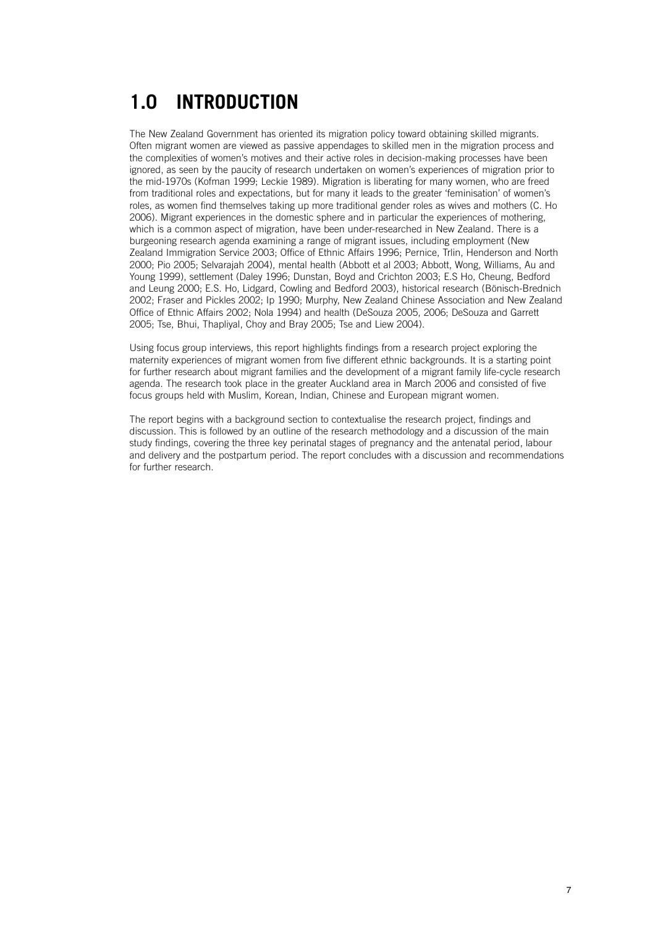# **1.0 INTRODUCTION**

The New Zealand Government has oriented its migration policy toward obtaining skilled migrants. Often migrant women are viewed as passive appendages to skilled men in the migration process and the complexities of women's motives and their active roles in decision-making processes have been ignored, as seen by the paucity of research undertaken on women's experiences of migration prior to the mid-1970s (Kofman 1999; Leckie 1989). Migration is liberating for many women, who are freed from traditional roles and expectations, but for many it leads to the greater 'feminisation' of women's roles, as women find themselves taking up more traditional gender roles as wives and mothers (C. Ho 2006). Migrant experiences in the domestic sphere and in particular the experiences of mothering, which is a common aspect of migration, have been under-researched in New Zealand. There is a burgeoning research agenda examining a range of migrant issues, including employment (New Zealand Immigration Service 2003; Office of Ethnic Affairs 1996; Pernice, Trlin, Henderson and North 2000; Pio 2005; Selvarajah 2004), mental health (Abbott et al 2003; Abbott, Wong, Williams, Au and Young 1999), settlement (Daley 1996; Dunstan, Boyd and Crichton 2003; E.S Ho, Cheung, Bedford and Leung 2000; E.S. Ho, Lidgard, Cowling and Bedford 2003), historical research (Bönisch-Brednich 2002; Fraser and Pickles 2002; Ip 1990; Murphy, New Zealand Chinese Association and New Zealand Office of Ethnic Affairs 2002; Nola 1994) and health (DeSouza 2005, 2006; DeSouza and Garrett 2005; Tse, Bhui, Thapliyal, Choy and Bray 2005; Tse and Liew 2004).

Using focus group interviews, this report highlights findings from a research project exploring the maternity experiences of migrant women from five different ethnic backgrounds. It is a starting point for further research about migrant families and the development of a migrant family life-cycle research agenda. The research took place in the greater Auckland area in March 2006 and consisted of five focus groups held with Muslim, Korean, Indian, Chinese and European migrant women.

The report begins with a background section to contextualise the research project, findings and discussion. This is followed by an outline of the research methodology and a discussion of the main study findings, covering the three key perinatal stages of pregnancy and the antenatal period, labour and delivery and the postpartum period. The report concludes with a discussion and recommendations for further research.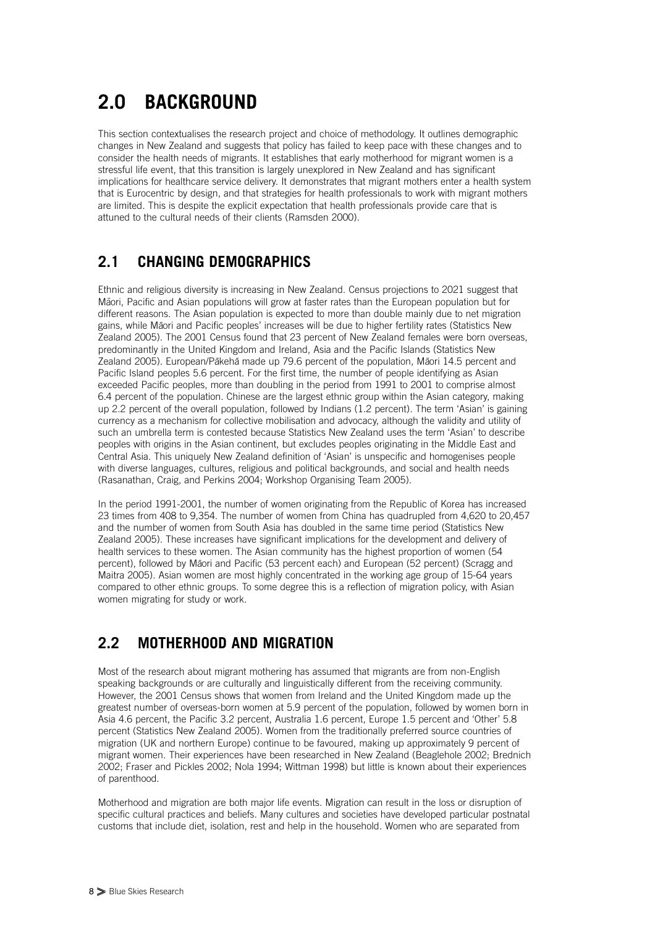# **2.0 BACKGROUND**

This section contextualises the research project and choice of methodology. It outlines demographic changes in New Zealand and suggests that policy has failed to keep pace with these changes and to consider the health needs of migrants. It establishes that early motherhood for migrant women is a stressful life event, that this transition is largely unexplored in New Zealand and has significant implications for healthcare service delivery. It demonstrates that migrant mothers enter a health system that is Eurocentric by design, and that strategies for health professionals to work with migrant mothers are limited. This is despite the explicit expectation that health professionals provide care that is attuned to the cultural needs of their clients (Ramsden 2000).

## **2.1 CHANGING DEMOGRAPHICS**

Ethnic and religious diversity is increasing in New Zealand. Census projections to 2021 suggest that Maori, Pacific and Asian populations will grow at faster rates than the European population but for different reasons. The Asian population is expected to more than double mainly due to net migration mere in consider the main peperman in experience to higher main sensor main, such the magis in the magis and pacific peoples' increases will be due to higher fertility rates (Statistics New Zealand 2005). The 2001 Census found that 23 percent of New Zealand females were born overseas, predominantly in the United Kingdom and Ireland, Asia and the Pacific Islands (Statistics New zealand 2005). European/Pākehā made up 79.6 percent of the population, Māori 14.5 percent and Pacific Island peoples 5.6 percent. For the first time, the number of people identifying as Asian exceeded Pacific peoples, more than doubling in the period from 1991 to 2001 to comprise almost 6.4 percent of the population. Chinese are the largest ethnic group within the Asian category, making up 2.2 percent of the overall population, followed by Indians (1.2 percent). The term 'Asian' is gaining currency as a mechanism for collective mobilisation and advocacy, although the validity and utility of such an umbrella term is contested because Statistics New Zealand uses the term 'Asian' to describe peoples with origins in the Asian continent, but excludes peoples originating in the Middle East and Central Asia. This uniquely New Zealand definition of 'Asian' is unspecific and homogenises people with diverse languages, cultures, religious and political backgrounds, and social and health needs (Rasanathan, Craig, and Perkins 2004; Workshop Organising Team 2005).

In the period 1991-2001, the number of women originating from the Republic of Korea has increased 23 times from 408 to 9,354. The number of women from China has quadrupled from 4,620 to 20,457 and the number of women from South Asia has doubled in the same time period (Statistics New Zealand 2005). These increases have significant implications for the development and delivery of health services to these women. The Asian community has the highest proportion of women (54 percent), followed by Māori and Pacific (53 percent each) and European (52 percent) (Scragg and Maitra 2005). Asian women are most highly concentrated in the working age group of 15-64 years compared to other ethnic groups. To some degree this is a reflection of migration policy, with Asian women migrating for study or work.

## **2.2 MOTHERHOOD AND MIGRATION**

Most of the research about migrant mothering has assumed that migrants are from non-English speaking backgrounds or are culturally and linguistically different from the receiving community. However, the 2001 Census shows that women from Ireland and the United Kingdom made up the greatest number of overseas-born women at 5.9 percent of the population, followed by women born in Asia 4.6 percent, the Pacific 3.2 percent, Australia 1.6 percent, Europe 1.5 percent and 'Other' 5.8 percent (Statistics New Zealand 2005). Women from the traditionally preferred source countries of migration (UK and northern Europe) continue to be favoured, making up approximately 9 percent of migrant women. Their experiences have been researched in New Zealand (Beaglehole 2002; Brednich 2002; Fraser and Pickles 2002; Nola 1994; Wittman 1998) but little is known about their experiences of parenthood.

Motherhood and migration are both major life events. Migration can result in the loss or disruption of specific cultural practices and beliefs. Many cultures and societies have developed particular postnatal customs that include diet, isolation, rest and help in the household. Women who are separated from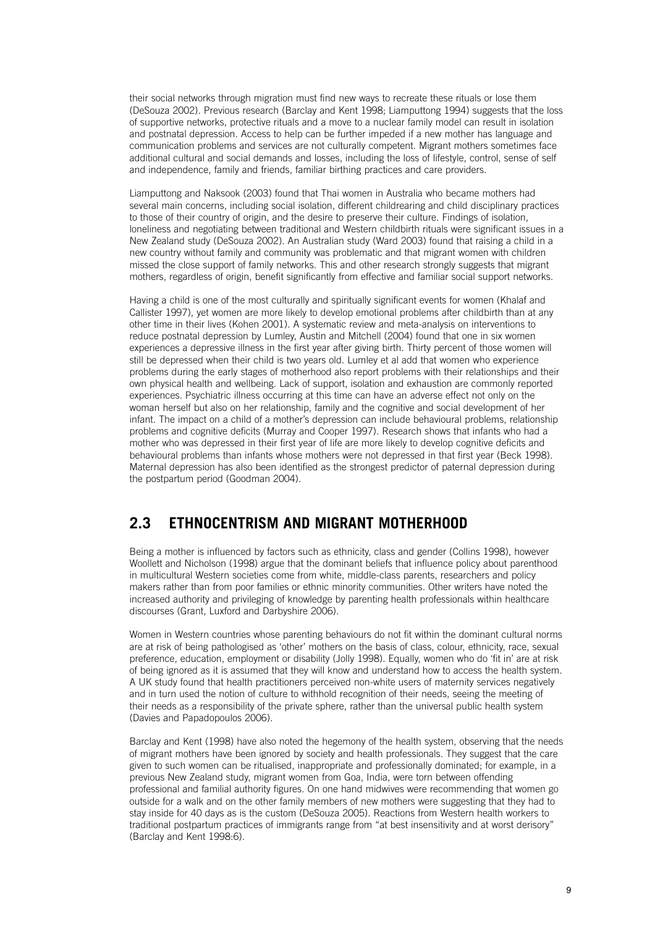their social networks through migration must find new ways to recreate these rituals or lose them (DeSouza 2002). Previous research (Barclay and Kent 1998; Liamputtong 1994) suggests that the loss of supportive networks, protective rituals and a move to a nuclear family model can result in isolation and postnatal depression. Access to help can be further impeded if a new mother has language and communication problems and services are not culturally competent. Migrant mothers sometimes face additional cultural and social demands and losses, including the loss of lifestyle, control, sense of self and independence, family and friends, familiar birthing practices and care providers.

Liamputtong and Naksook (2003) found that Thai women in Australia who became mothers had several main concerns, including social isolation, different childrearing and child disciplinary practices to those of their country of origin, and the desire to preserve their culture. Findings of isolation, loneliness and negotiating between traditional and Western childbirth rituals were significant issues in a New Zealand study (DeSouza 2002). An Australian study (Ward 2003) found that raising a child in a new country without family and community was problematic and that migrant women with children missed the close support of family networks. This and other research strongly suggests that migrant mothers, regardless of origin, benefit significantly from effective and familiar social support networks.

Having a child is one of the most culturally and spiritually significant events for women (Khalaf and Callister 1997), yet women are more likely to develop emotional problems after childbirth than at any other time in their lives (Kohen 2001). A systematic review and meta-analysis on interventions to reduce postnatal depression by Lumley, Austin and Mitchell (2004) found that one in six women experiences a depressive illness in the first year after giving birth. Thirty percent of those women will still be depressed when their child is two years old. Lumley et al add that women who experience problems during the early stages of motherhood also report problems with their relationships and their own physical health and wellbeing. Lack of support, isolation and exhaustion are commonly reported experiences. Psychiatric illness occurring at this time can have an adverse effect not only on the woman herself but also on her relationship, family and the cognitive and social development of her infant. The impact on a child of a mother's depression can include behavioural problems, relationship problems and cognitive deficits (Murray and Cooper 1997). Research shows that infants who had a mother who was depressed in their first year of life are more likely to develop cognitive deficits and behavioural problems than infants whose mothers were not depressed in that first year (Beck 1998). Maternal depression has also been identified as the strongest predictor of paternal depression during the postpartum period (Goodman 2004).

### **2.3 ETHNOCENTRISM AND MIGRANT MOTHERHOOD**

Being a mother is influenced by factors such as ethnicity, class and gender (Collins 1998), however Woollett and Nicholson (1998) argue that the dominant beliefs that influence policy about parenthood in multicultural Western societies come from white, middle-class parents, researchers and policy makers rather than from poor families or ethnic minority communities. Other writers have noted the increased authority and privileging of knowledge by parenting health professionals within healthcare discourses (Grant, Luxford and Darbyshire 2006).

Women in Western countries whose parenting behaviours do not fit within the dominant cultural norms are at risk of being pathologised as 'other' mothers on the basis of class, colour, ethnicity, race, sexual preference, education, employment or disability (Jolly 1998). Equally, women who do 'fit in' are at risk of being ignored as it is assumed that they will know and understand how to access the health system. A UK study found that health practitioners perceived non-white users of maternity services negatively and in turn used the notion of culture to withhold recognition of their needs, seeing the meeting of their needs as a responsibility of the private sphere, rather than the universal public health system (Davies and Papadopoulos 2006).

Barclay and Kent (1998) have also noted the hegemony of the health system, observing that the needs of migrant mothers have been ignored by society and health professionals. They suggest that the care given to such women can be ritualised, inappropriate and professionally dominated; for example, in a previous New Zealand study, migrant women from Goa, India, were torn between offending professional and familial authority figures. On one hand midwives were recommending that women go outside for a walk and on the other family members of new mothers were suggesting that they had to stay inside for 40 days as is the custom (DeSouza 2005). Reactions from Western health workers to traditional postpartum practices of immigrants range from "at best insensitivity and at worst derisory" (Barclay and Kent 1998:6).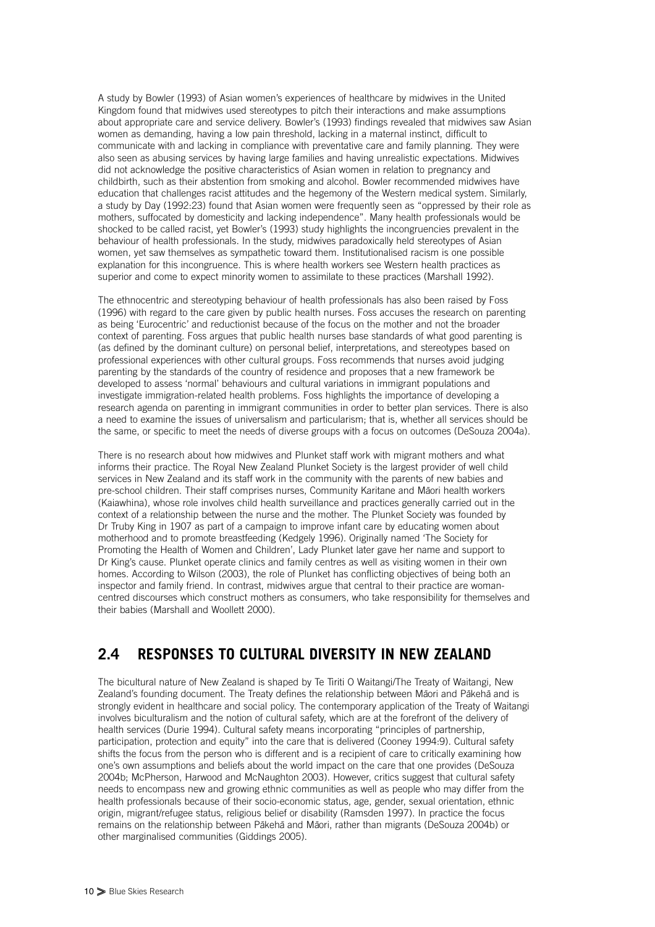A study by Bowler (1993) of Asian women's experiences of healthcare by midwives in the United Kingdom found that midwives used stereotypes to pitch their interactions and make assumptions about appropriate care and service delivery. Bowler's (1993) findings revealed that midwives saw Asian women as demanding, having a low pain threshold, lacking in a maternal instinct, difficult to communicate with and lacking in compliance with preventative care and family planning. They were also seen as abusing services by having large families and having unrealistic expectations. Midwives did not acknowledge the positive characteristics of Asian women in relation to pregnancy and childbirth, such as their abstention from smoking and alcohol. Bowler recommended midwives have education that challenges racist attitudes and the hegemony of the Western medical system. Similarly, a study by Day (1992:23) found that Asian women were frequently seen as "oppressed by their role as mothers, suffocated by domesticity and lacking independence". Many health professionals would be shocked to be called racist, yet Bowler's (1993) study highlights the incongruencies prevalent in the behaviour of health professionals. In the study, midwives paradoxically held stereotypes of Asian women, yet saw themselves as sympathetic toward them. Institutionalised racism is one possible explanation for this incongruence. This is where health workers see Western health practices as superior and come to expect minority women to assimilate to these practices (Marshall 1992).

The ethnocentric and stereotyping behaviour of health professionals has also been raised by Foss (1996) with regard to the care given by public health nurses. Foss accuses the research on parenting as being 'Eurocentric' and reductionist because of the focus on the mother and not the broader context of parenting. Foss argues that public health nurses base standards of what good parenting is (as defined by the dominant culture) on personal belief, interpretations, and stereotypes based on professional experiences with other cultural groups. Foss recommends that nurses avoid judging parenting by the standards of the country of residence and proposes that a new framework be developed to assess 'normal' behaviours and cultural variations in immigrant populations and investigate immigration-related health problems. Foss highlights the importance of developing a research agenda on parenting in immigrant communities in order to better plan services. There is also a need to examine the issues of universalism and particularism; that is, whether all services should be the same, or specific to meet the needs of diverse groups with a focus on outcomes (DeSouza 2004a).

There is no research about how midwives and Plunket staff work with migrant mothers and what informs their practice. The Royal New Zealand Plunket Society is the largest provider of well child services in New Zealand and its staff work in the community with the parents of new babies and pre-school children. Their staff comprises nurses, Community Karitane and Māori health workers (Kaiawhina), whose role involves child health surveillance and practices generally carried out in the context of a relationship between the nurse and the mother. The Plunket Society was founded by Dr Truby King in 1907 as part of a campaign to improve infant care by educating women about motherhood and to promote breastfeeding (Kedgely 1996). Originally named 'The Society for Promoting the Health of Women and Children', Lady Plunket later gave her name and support to Dr King's cause. Plunket operate clinics and family centres as well as visiting women in their own homes. According to Wilson (2003), the role of Plunket has conflicting objectives of being both an inspector and family friend. In contrast, midwives argue that central to their practice are womancentred discourses which construct mothers as consumers, who take responsibility for themselves and their babies (Marshall and Woollett 2000).

### **2.4 RESPONSES TO CULTURAL DIVERSITY IN NEW ZEALAND**

The bicultural nature of New Zealand is shaped by Te Tiriti O Waitangi/The Treaty of Waitangi, New The Treatment of the Treatment of the property of the Community of the relationship between Maori and Pakeha and is strongly evident in healthcare and social policy. The contemporary application of the Treaty of Waitangi involves biculturalism and the notion of cultural safety, which are at the forefront of the delivery of health services (Durie 1994). Cultural safety means incorporating "principles of partnership, participation, protection and equity" into the care that is delivered (Cooney 1994:9). Cultural safety shifts the focus from the person who is different and is a recipient of care to critically examining how one's own assumptions and beliefs about the world impact on the care that one provides (DeSouza 2004b; McPherson, Harwood and McNaughton 2003). However, critics suggest that cultural safety needs to encompass new and growing ethnic communities as well as people who may differ from the health professionals because of their socio-economic status, age, gender, sexual orientation, ethnic origin, migrant/refugee status, religious belief or disability (Ramsden 1997). In practice the focus remains on the relationship between Pākehā and Māori, rather than migrants (DeSouza 2004b) or other marginalised communities (Giddings 2005).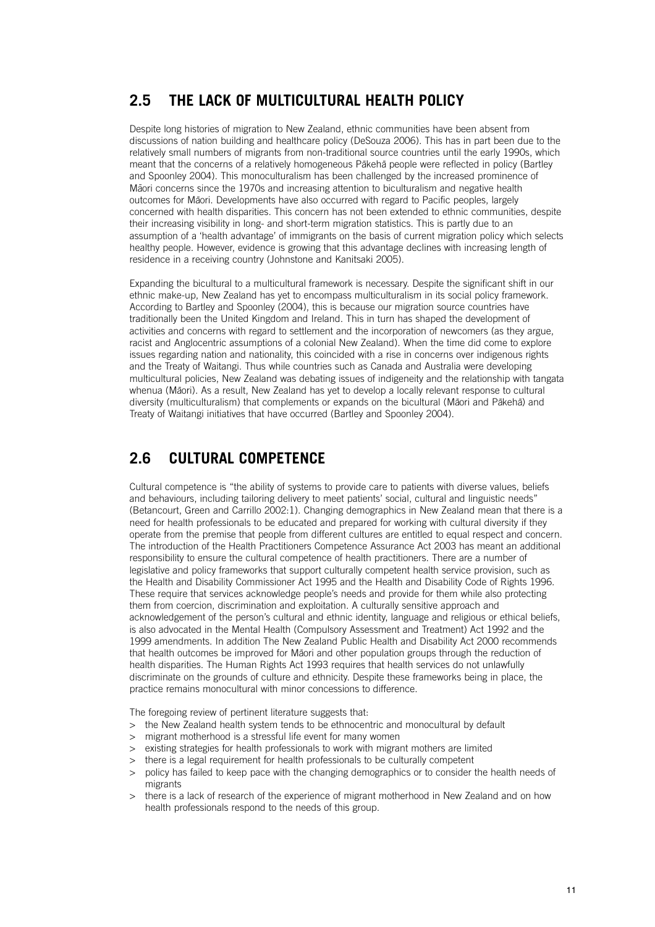## **2.5 THE LACK OF MULTICULTURAL HEALTH POLICY**

Despite long histories of migration to New Zealand, ethnic communities have been absent from discussions of nation building and healthcare policy (DeSouza 2006). This has in part been due to the relatively small numbers of migrants from non-traditional source countries until the early 1990s, which meant that the concerns of a relatively homogeneous Pākehā people were reflected in policy (Bartley and Spoonley 2004). This monoculturalism has been challenged by the increased prominence of Maori concerns since the 1970s and increasing attention to biculturalism and negative health outcomes for Māori. Developments have also occurred with regard to Pacific peoples, largely concerned with health disparities. This concern has not been extended to ethnic communities, despite their increasing visibility in long- and short-term migration statistics. This is partly due to an assumption of a 'health advantage' of immigrants on the basis of current migration policy which selects healthy people. However, evidence is growing that this advantage declines with increasing length of residence in a receiving country (Johnstone and Kanitsaki 2005).

Expanding the bicultural to a multicultural framework is necessary. Despite the significant shift in our ethnic make-up, New Zealand has yet to encompass multiculturalism in its social policy framework. According to Bartley and Spoonley (2004), this is because our migration source countries have traditionally been the United Kingdom and Ireland. This in turn has shaped the development of activities and concerns with regard to settlement and the incorporation of newcomers (as they argue, racist and Anglocentric assumptions of a colonial New Zealand). When the time did come to explore issues regarding nation and nationality, this coincided with a rise in concerns over indigenous rights and the Treaty of Waitangi. Thus while countries such as Canada and Australia were developing multicultural policies, New Zealand was debating issues of indigeneity and the relationship with tangata whenua (Māori). As a result, New Zealand has yet to develop a locally relevant response to cultural diversity (multiculturalism) that complements or expands on the bicultural (Māori and Pākehā) and Treaty of Waitangi initiatives that have occurred (Bartley and Spoonley 2004).

## **2.6 CULTURAL COMPETENCE**

Cultural competence is "the ability of systems to provide care to patients with diverse values, beliefs and behaviours, including tailoring delivery to meet patients' social, cultural and linguistic needs" (Betancourt, Green and Carrillo 2002:1). Changing demographics in New Zealand mean that there is a need for health professionals to be educated and prepared for working with cultural diversity if they operate from the premise that people from different cultures are entitled to equal respect and concern. The introduction of the Health Practitioners Competence Assurance Act 2003 has meant an additional responsibility to ensure the cultural competence of health practitioners. There are a number of legislative and policy frameworks that support culturally competent health service provision, such as the Health and Disability Commissioner Act 1995 and the Health and Disability Code of Rights 1996. These require that services acknowledge people's needs and provide for them while also protecting them from coercion, discrimination and exploitation. A culturally sensitive approach and acknowledgement of the person's cultural and ethnic identity, language and religious or ethical beliefs, is also advocated in the Mental Health (Compulsory Assessment and Treatment) Act 1992 and the 1999 amendments. In addition The New Zealand Public Health and Disability Act 2000 recommends that health outcomes be improved for Māori and other population groups through the reduction of health disparities. The Human Rights Act 1993 requires that health services do not unlawfully discriminate on the grounds of culture and ethnicity. Despite these frameworks being in place, the practice remains monocultural with minor concessions to difference.

The foregoing review of pertinent literature suggests that:

- > the New Zealand health system tends to be ethnocentric and monocultural by default
- > migrant motherhood is a stressful life event for many women
- > existing strategies for health professionals to work with migrant mothers are limited
- > there is a legal requirement for health professionals to be culturally competent
- policy has failed to keep pace with the changing demographics or to consider the health needs of migrants
- there is a lack of research of the experience of migrant motherhood in New Zealand and on how health professionals respond to the needs of this group.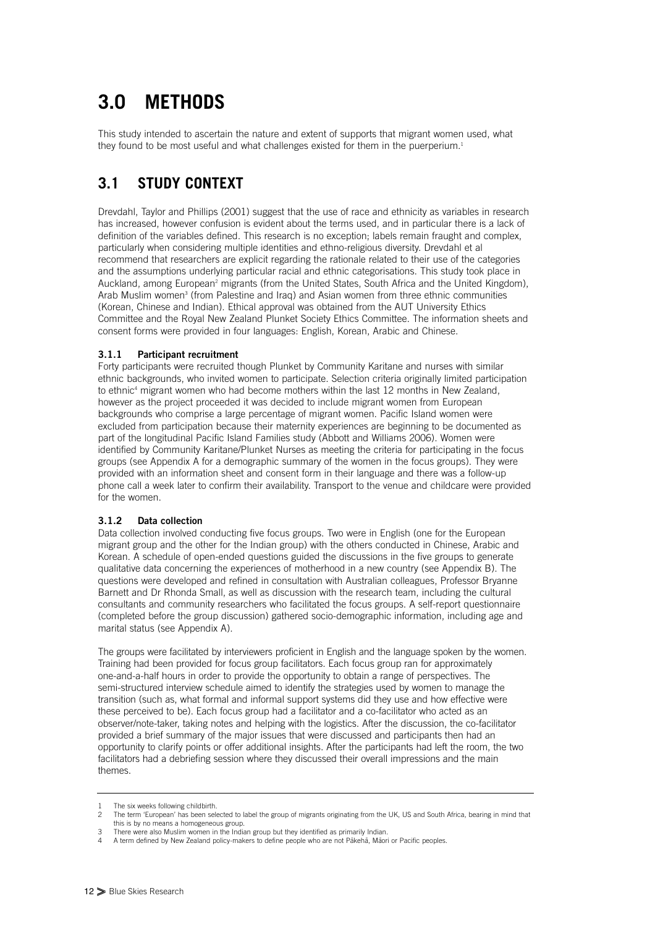# **3.0 METHODS**

This study intended to ascertain the nature and extent of supports that migrant women used, what they found to be most useful and what challenges existed for them in the puerperium.<sup>1</sup>

## **3.1 STUDY CONTEXT**

Drevdahl, Taylor and Phillips (2001) suggest that the use of race and ethnicity as variables in research has increased, however confusion is evident about the terms used, and in particular there is a lack of definition of the variables defined. This research is no exception; labels remain fraught and complex, particularly when considering multiple identities and ethno-religious diversity. Drevdahl et al recommend that researchers are explicit regarding the rationale related to their use of the categories and the assumptions underlying particular racial and ethnic categorisations. This study took place in Auckland, among European<sup>2</sup> migrants (from the United States, South Africa and the United Kingdom), Arab Muslim women<sup>3</sup> (from Palestine and Iraq) and Asian women from three ethnic communities (Korean, Chinese and Indian). Ethical approval was obtained from the AUT University Ethics Committee and the Royal New Zealand Plunket Society Ethics Committee. The information sheets and consent forms were provided in four languages: English, Korean, Arabic and Chinese.

#### **3.1.1 Participant recruitment**

Forty participants were recruited though Plunket by Community Karitane and nurses with similar ethnic backgrounds, who invited women to participate. Selection criteria originally limited participation to ethnic<sup>4</sup> migrant women who had become mothers within the last 12 months in New Zealand, however as the project proceeded it was decided to include migrant women from European backgrounds who comprise a large percentage of migrant women. Pacific Island women were excluded from participation because their maternity experiences are beginning to be documented as part of the longitudinal Pacific Island Families study (Abbott and Williams 2006). Women were identified by Community Karitane/Plunket Nurses as meeting the criteria for participating in the focus groups (see Appendix A for a demographic summary of the women in the focus groups). They were provided with an information sheet and consent form in their language and there was a follow-up phone call a week later to confirm their availability. Transport to the venue and childcare were provided for the women.

#### **3.1.2 Data collection**

Data collection involved conducting five focus groups. Two were in English (one for the European migrant group and the other for the Indian group) with the others conducted in Chinese, Arabic and Korean. A schedule of open-ended questions guided the discussions in the five groups to generate qualitative data concerning the experiences of motherhood in a new country (see Appendix B). The questions were developed and refined in consultation with Australian colleagues, Professor Bryanne Barnett and Dr Rhonda Small, as well as discussion with the research team, including the cultural consultants and community researchers who facilitated the focus groups. A self-report questionnaire (completed before the group discussion) gathered socio-demographic information, including age and marital status (see Appendix A).

The groups were facilitated by interviewers proficient in English and the language spoken by the women. Training had been provided for focus group facilitators. Each focus group ran for approximately one-and-a-half hours in order to provide the opportunity to obtain a range of perspectives. The semi-structured interview schedule aimed to identify the strategies used by women to manage the transition (such as, what formal and informal support systems did they use and how effective were these perceived to be). Each focus group had a facilitator and a co-facilitator who acted as an observer/note-taker, taking notes and helping with the logistics. After the discussion, the co-facilitator provided a brief summary of the major issues that were discussed and participants then had an opportunity to clarify points or offer additional insights. After the participants had left the room, the two facilitators had a debriefing session where they discussed their overall impressions and the main themes.

<sup>1</sup> The six weeks following childbirth.<br>2 The term 'Furopean' has been sell

<sup>2</sup> The term 'European' has been selected to label the group of migrants originating from the UK, US and South Africa, bearing in mind that this is by no means a homogeneous group.

There were also Muslim women in the Indian group but they identified as primarily Indian.

<sup>4</sup> A term defined by New Zealand policy-makers to define people who are not Pākehā, Māori or Pacific peoples.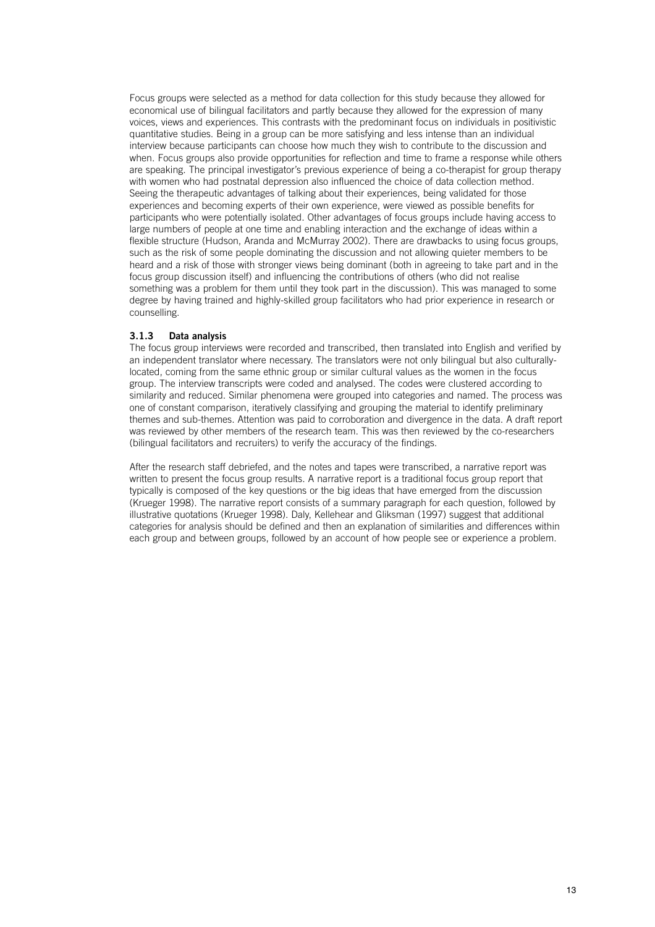Focus groups were selected as a method for data collection for this study because they allowed for economical use of bilingual facilitators and partly because they allowed for the expression of many voices, views and experiences. This contrasts with the predominant focus on individuals in positivistic quantitative studies. Being in a group can be more satisfying and less intense than an individual interview because participants can choose how much they wish to contribute to the discussion and when. Focus groups also provide opportunities for reflection and time to frame a response while others are speaking. The principal investigator's previous experience of being a co-therapist for group therapy with women who had postnatal depression also influenced the choice of data collection method. Seeing the therapeutic advantages of talking about their experiences, being validated for those experiences and becoming experts of their own experience, were viewed as possible benefits for participants who were potentially isolated. Other advantages of focus groups include having access to large numbers of people at one time and enabling interaction and the exchange of ideas within a flexible structure (Hudson, Aranda and McMurray 2002). There are drawbacks to using focus groups, such as the risk of some people dominating the discussion and not allowing quieter members to be heard and a risk of those with stronger views being dominant (both in agreeing to take part and in the focus group discussion itself) and influencing the contributions of others (who did not realise something was a problem for them until they took part in the discussion). This was managed to some degree by having trained and highly-skilled group facilitators who had prior experience in research or counselling.

#### **3.1.3 Data analysis**

The focus group interviews were recorded and transcribed, then translated into English and verified by an independent translator where necessary. The translators were not only bilingual but also culturallylocated, coming from the same ethnic group or similar cultural values as the women in the focus group. The interview transcripts were coded and analysed. The codes were clustered according to similarity and reduced. Similar phenomena were grouped into categories and named. The process was one of constant comparison, iteratively classifying and grouping the material to identify preliminary themes and sub-themes. Attention was paid to corroboration and divergence in the data. A draft report was reviewed by other members of the research team. This was then reviewed by the co-researchers (bilingual facilitators and recruiters) to verify the accuracy of the findings.

After the research staff debriefed, and the notes and tapes were transcribed, a narrative report was written to present the focus group results. A narrative report is a traditional focus group report that typically is composed of the key questions or the big ideas that have emerged from the discussion (Krueger 1998). The narrative report consists of a summary paragraph for each question, followed by illustrative quotations (Krueger 1998). Daly, Kellehear and Gliksman (1997) suggest that additional categories for analysis should be defined and then an explanation of similarities and differences within each group and between groups, followed by an account of how people see or experience a problem.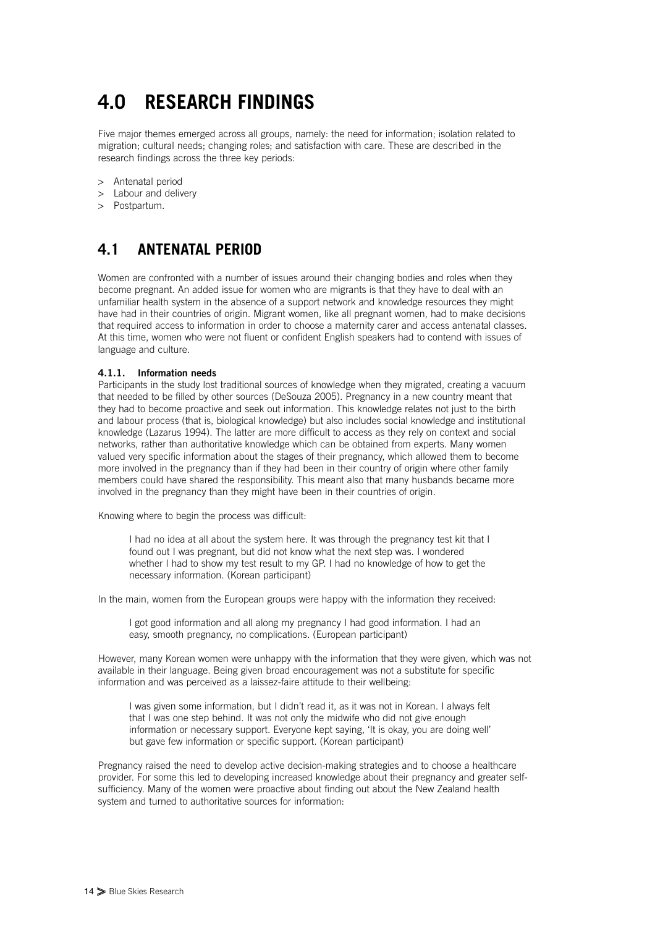# **4.0 RESEARCH FINDINGS**

Five major themes emerged across all groups, namely: the need for information; isolation related to migration; cultural needs; changing roles; and satisfaction with care. These are described in the research findings across the three key periods:

- > Antenatal period
- > Labour and delivery
- > Postpartum.

## **4.1 ANTENATAL PERIOD**

Women are confronted with a number of issues around their changing bodies and roles when they become pregnant. An added issue for women who are migrants is that they have to deal with an unfamiliar health system in the absence of a support network and knowledge resources they might have had in their countries of origin. Migrant women, like all pregnant women, had to make decisions that required access to information in order to choose a maternity carer and access antenatal classes. At this time, women who were not fluent or confident English speakers had to contend with issues of language and culture.

#### **4.1.1. Information needs**

Participants in the study lost traditional sources of knowledge when they migrated, creating a vacuum that needed to be filled by other sources (DeSouza 2005). Pregnancy in a new country meant that they had to become proactive and seek out information. This knowledge relates not just to the birth and labour process (that is, biological knowledge) but also includes social knowledge and institutional knowledge (Lazarus 1994). The latter are more difficult to access as they rely on context and social networks, rather than authoritative knowledge which can be obtained from experts. Many women valued very specific information about the stages of their pregnancy, which allowed them to become more involved in the pregnancy than if they had been in their country of origin where other family members could have shared the responsibility. This meant also that many husbands became more involved in the pregnancy than they might have been in their countries of origin.

Knowing where to begin the process was difficult:

I had no idea at all about the system here. It was through the pregnancy test kit that I found out I was pregnant, but did not know what the next step was. I wondered whether I had to show my test result to my GP. I had no knowledge of how to get the necessary information. (Korean participant)

In the main, women from the European groups were happy with the information they received:

I got good information and all along my pregnancy I had good information. I had an easy, smooth pregnancy, no complications. (European participant)

However, many Korean women were unhappy with the information that they were given, which was not available in their language. Being given broad encouragement was not a substitute for specific information and was perceived as a laissez-faire attitude to their wellbeing:

I was given some information, but I didn't read it, as it was not in Korean. I always felt that I was one step behind. It was not only the midwife who did not give enough information or necessary support. Everyone kept saying, 'It is okay, you are doing well' but gave few information or specific support. (Korean participant)

Pregnancy raised the need to develop active decision-making strategies and to choose a healthcare provider. For some this led to developing increased knowledge about their pregnancy and greater selfsufficiency. Many of the women were proactive about finding out about the New Zealand health system and turned to authoritative sources for information: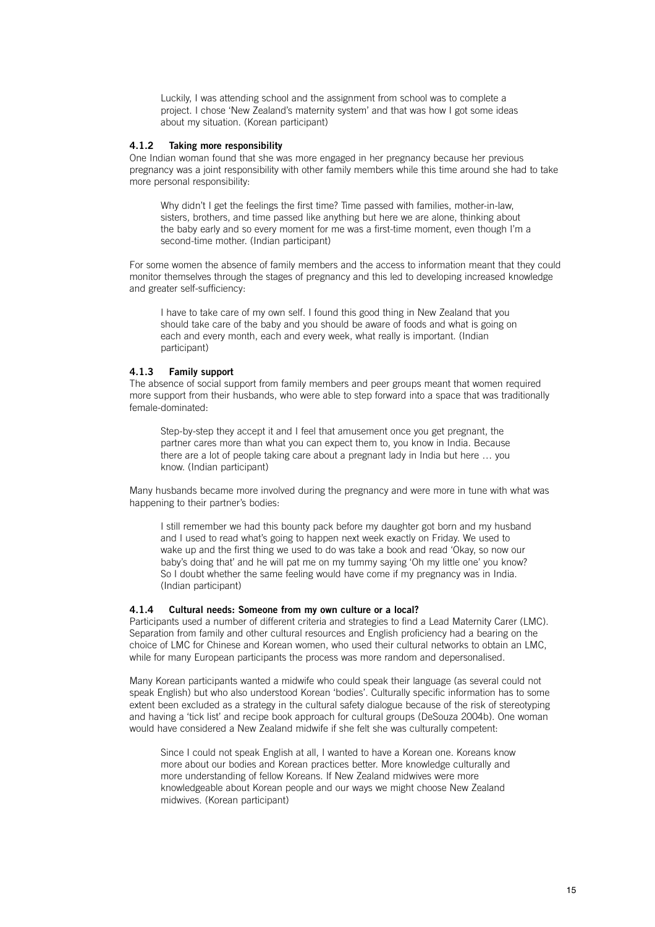Luckily, I was attending school and the assignment from school was to complete a project. I chose 'New Zealand's maternity system' and that was how I got some ideas about my situation. (Korean participant)

#### **4.1.2 Taking more responsibility**

One Indian woman found that she was more engaged in her pregnancy because her previous pregnancy was a joint responsibility with other family members while this time around she had to take more personal responsibility:

Why didn't I get the feelings the first time? Time passed with families, mother-in-law, sisters, brothers, and time passed like anything but here we are alone, thinking about the baby early and so every moment for me was a first-time moment, even though I'm a second-time mother. (Indian participant)

For some women the absence of family members and the access to information meant that they could monitor themselves through the stages of pregnancy and this led to developing increased knowledge and greater self-sufficiency:

I have to take care of my own self. I found this good thing in New Zealand that you should take care of the baby and you should be aware of foods and what is going on each and every month, each and every week, what really is important. (Indian participant)

#### **4.1.3 Family support**

The absence of social support from family members and peer groups meant that women required more support from their husbands, who were able to step forward into a space that was traditionally female-dominated:

Step-by-step they accept it and I feel that amusement once you get pregnant, the partner cares more than what you can expect them to, you know in India. Because there are a lot of people taking care about a pregnant lady in India but here … you know. (Indian participant)

Many husbands became more involved during the pregnancy and were more in tune with what was happening to their partner's bodies:

I still remember we had this bounty pack before my daughter got born and my husband and I used to read what's going to happen next week exactly on Friday. We used to wake up and the first thing we used to do was take a book and read 'Okay, so now our baby's doing that' and he will pat me on my tummy saying 'Oh my little one' you know? So I doubt whether the same feeling would have come if my pregnancy was in India. (Indian participant)

#### **4.1.4 Cultural needs: Someone from my own culture or a local?**

Participants used a number of different criteria and strategies to find a Lead Maternity Carer (LMC). Separation from family and other cultural resources and English proficiency had a bearing on the choice of LMC for Chinese and Korean women, who used their cultural networks to obtain an LMC, while for many European participants the process was more random and depersonalised.

Many Korean participants wanted a midwife who could speak their language (as several could not speak English) but who also understood Korean 'bodies'. Culturally specific information has to some extent been excluded as a strategy in the cultural safety dialogue because of the risk of stereotyping and having a 'tick list' and recipe book approach for cultural groups (DeSouza 2004b). One woman would have considered a New Zealand midwife if she felt she was culturally competent:

Since I could not speak English at all, I wanted to have a Korean one. Koreans know more about our bodies and Korean practices better. More knowledge culturally and more understanding of fellow Koreans. If New Zealand midwives were more knowledgeable about Korean people and our ways we might choose New Zealand midwives. (Korean participant)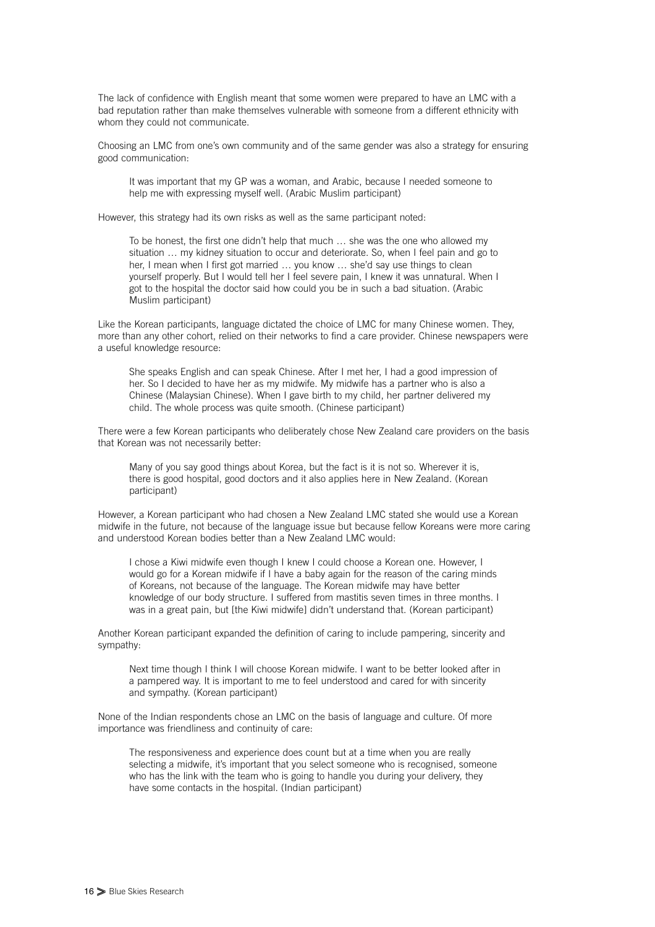The lack of confidence with English meant that some women were prepared to have an LMC with a bad reputation rather than make themselves vulnerable with someone from a different ethnicity with whom they could not communicate.

Choosing an LMC from one's own community and of the same gender was also a strategy for ensuring good communication:

It was important that my GP was a woman, and Arabic, because I needed someone to help me with expressing myself well. (Arabic Muslim participant)

However, this strategy had its own risks as well as the same participant noted:

To be honest, the first one didn't help that much … she was the one who allowed my situation ... my kidney situation to occur and deteriorate. So, when I feel pain and go to her, I mean when I first got married … you know … she'd say use things to clean yourself properly. But I would tell her I feel severe pain, I knew it was unnatural. When I got to the hospital the doctor said how could you be in such a bad situation. (Arabic Muslim participant)

Like the Korean participants, language dictated the choice of LMC for many Chinese women. They, more than any other cohort, relied on their networks to find a care provider. Chinese newspapers were a useful knowledge resource:

She speaks English and can speak Chinese. After I met her, I had a good impression of her. So I decided to have her as my midwife. My midwife has a partner who is also a Chinese (Malaysian Chinese). When I gave birth to my child, her partner delivered my child. The whole process was quite smooth. (Chinese participant)

There were a few Korean participants who deliberately chose New Zealand care providers on the basis that Korean was not necessarily better:

Many of you say good things about Korea, but the fact is it is not so. Wherever it is, there is good hospital, good doctors and it also applies here in New Zealand. (Korean participant)

However, a Korean participant who had chosen a New Zealand LMC stated she would use a Korean midwife in the future, not because of the language issue but because fellow Koreans were more caring and understood Korean bodies better than a New Zealand LMC would:

I chose a Kiwi midwife even though I knew I could choose a Korean one. However, I would go for a Korean midwife if I have a baby again for the reason of the caring minds of Koreans, not because of the language. The Korean midwife may have better knowledge of our body structure. I suffered from mastitis seven times in three months. I was in a great pain, but [the Kiwi midwife] didn't understand that. (Korean participant)

Another Korean participant expanded the definition of caring to include pampering, sincerity and sympathy:

Next time though I think I will choose Korean midwife. I want to be better looked after in a pampered way. It is important to me to feel understood and cared for with sincerity and sympathy. (Korean participant)

None of the Indian respondents chose an LMC on the basis of language and culture. Of more importance was friendliness and continuity of care:

The responsiveness and experience does count but at a time when you are really selecting a midwife, it's important that you select someone who is recognised, someone who has the link with the team who is going to handle you during your delivery, they have some contacts in the hospital. (Indian participant)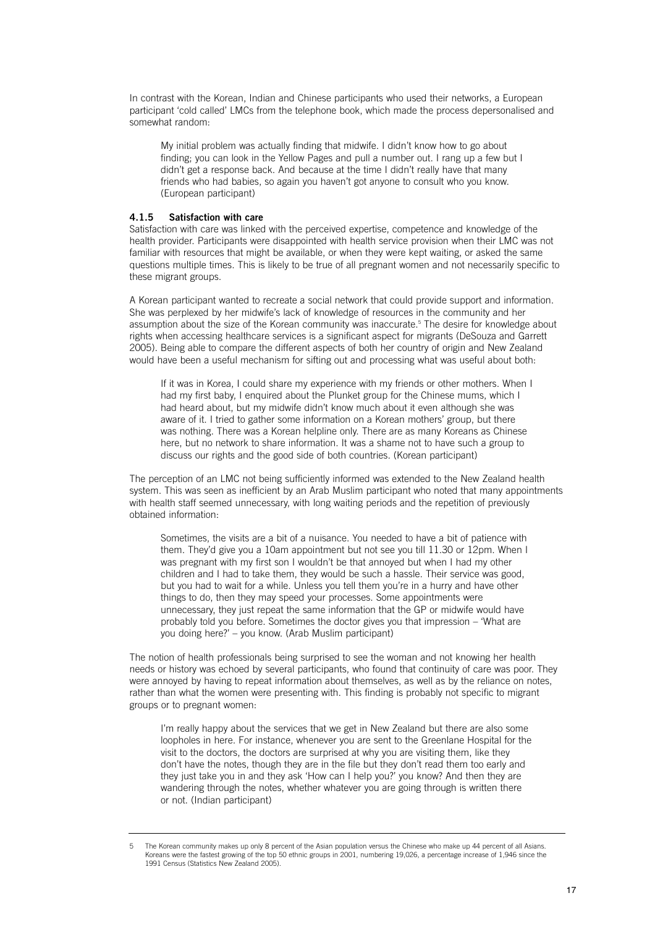In contrast with the Korean, Indian and Chinese participants who used their networks, a European participant 'cold called' LMCs from the telephone book, which made the process depersonalised and somewhat random:

My initial problem was actually finding that midwife. I didn't know how to go about finding; you can look in the Yellow Pages and pull a number out. I rang up a few but I didn't get a response back. And because at the time I didn't really have that many friends who had babies, so again you haven't got anyone to consult who you know. (European participant)

#### **4.1.5 Satisfaction with care**

Satisfaction with care was linked with the perceived expertise, competence and knowledge of the health provider. Participants were disappointed with health service provision when their LMC was not familiar with resources that might be available, or when they were kept waiting, or asked the same questions multiple times. This is likely to be true of all pregnant women and not necessarily specific to these migrant groups.

A Korean participant wanted to recreate a social network that could provide support and information. She was perplexed by her midwife's lack of knowledge of resources in the community and her assumption about the size of the Korean community was inaccurate.5 The desire for knowledge about rights when accessing healthcare services is a significant aspect for migrants (DeSouza and Garrett 2005). Being able to compare the different aspects of both her country of origin and New Zealand would have been a useful mechanism for sifting out and processing what was useful about both:

If it was in Korea, I could share my experience with my friends or other mothers. When I had my first baby. I enquired about the Plunket group for the Chinese mums, which I had heard about, but my midwife didn't know much about it even although she was aware of it. I tried to gather some information on a Korean mothers' group, but there was nothing. There was a Korean helpline only. There are as many Koreans as Chinese here, but no network to share information. It was a shame not to have such a group to discuss our rights and the good side of both countries. (Korean participant)

The perception of an LMC not being sufficiently informed was extended to the New Zealand health system. This was seen as inefficient by an Arab Muslim participant who noted that many appointments with health staff seemed unnecessary, with long waiting periods and the repetition of previously obtained information:

Sometimes, the visits are a bit of a nuisance. You needed to have a bit of patience with them. They'd give you a 10am appointment but not see you till 11.30 or 12pm. When I was pregnant with my first son I wouldn't be that annoyed but when I had my other children and I had to take them, they would be such a hassle. Their service was good, but you had to wait for a while. Unless you tell them you're in a hurry and have other things to do, then they may speed your processes. Some appointments were unnecessary, they just repeat the same information that the GP or midwife would have probably told you before. Sometimes the doctor gives you that impression – 'What are you doing here?' – you know. (Arab Muslim participant)

The notion of health professionals being surprised to see the woman and not knowing her health needs or history was echoed by several participants, who found that continuity of care was poor. They were annoyed by having to repeat information about themselves, as well as by the reliance on notes, rather than what the women were presenting with. This finding is probably not specific to migrant groups or to pregnant women:

I'm really happy about the services that we get in New Zealand but there are also some loopholes in here. For instance, whenever you are sent to the Greenlane Hospital for the visit to the doctors, the doctors are surprised at why you are visiting them, like they don't have the notes, though they are in the file but they don't read them too early and they just take you in and they ask 'How can I help you?' you know? And then they are wandering through the notes, whether whatever you are going through is written there or not. (Indian participant)

<sup>5</sup> The Korean community makes up only 8 percent of the Asian population versus the Chinese who make up 44 percent of all Asians. Koreans were the fastest growing of the top 50 ethnic groups in 2001, numbering 19,026, a percentage increase of 1,946 since the 1991 Census (Statistics New Zealand 2005).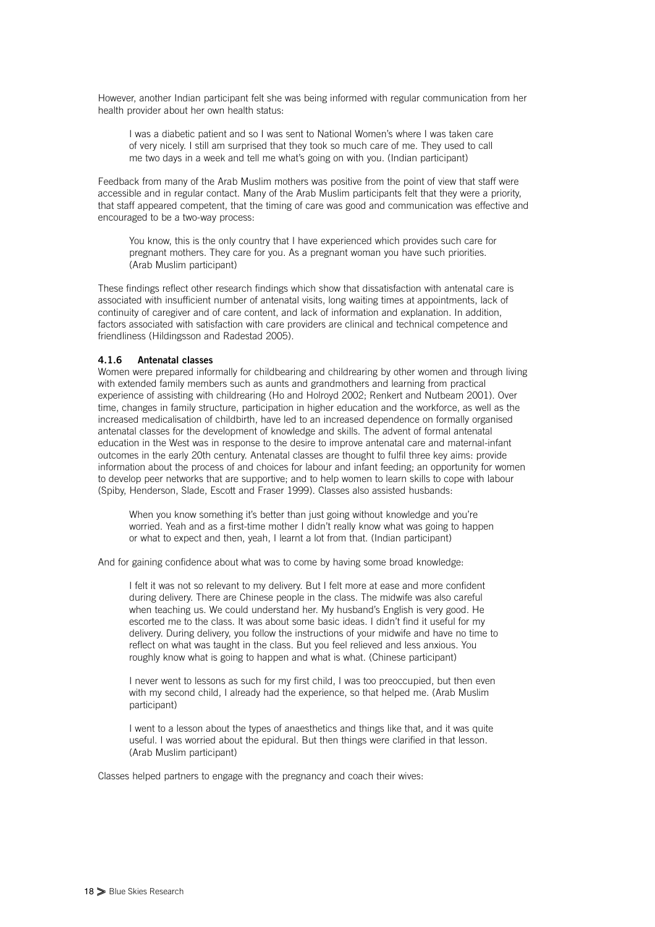However, another Indian participant felt she was being informed with regular communication from her health provider about her own health status:

I was a diabetic patient and so I was sent to National Women's where I was taken care of very nicely. I still am surprised that they took so much care of me. They used to call me two days in a week and tell me what's going on with you. (Indian participant)

Feedback from many of the Arab Muslim mothers was positive from the point of view that staff were accessible and in regular contact. Many of the Arab Muslim participants felt that they were a priority, that staff appeared competent, that the timing of care was good and communication was effective and encouraged to be a two-way process:

You know, this is the only country that I have experienced which provides such care for pregnant mothers. They care for you. As a pregnant woman you have such priorities. (Arab Muslim participant)

These findings reflect other research findings which show that dissatisfaction with antenatal care is associated with insufficient number of antenatal visits, long waiting times at appointments, lack of continuity of caregiver and of care content, and lack of information and explanation. In addition, factors associated with satisfaction with care providers are clinical and technical competence and friendliness (Hildingsson and Radestad 2005).

#### **4.1.6 Antenatal classes**

Women were prepared informally for childbearing and childrearing by other women and through living with extended family members such as aunts and grandmothers and learning from practical experience of assisting with childrearing (Ho and Holroyd 2002; Renkert and Nutbeam 2001). Over time, changes in family structure, participation in higher education and the workforce, as well as the increased medicalisation of childbirth, have led to an increased dependence on formally organised antenatal classes for the development of knowledge and skills. The advent of formal antenatal education in the West was in response to the desire to improve antenatal care and maternal-infant outcomes in the early 20th century. Antenatal classes are thought to fulfil three key aims: provide information about the process of and choices for labour and infant feeding; an opportunity for women to develop peer networks that are supportive; and to help women to learn skills to cope with labour (Spiby, Henderson, Slade, Escott and Fraser 1999). Classes also assisted husbands:

When you know something it's better than just going without knowledge and you're worried. Yeah and as a first-time mother I didn't really know what was going to happen or what to expect and then, yeah, I learnt a lot from that. (Indian participant)

And for gaining confidence about what was to come by having some broad knowledge:

I felt it was not so relevant to my delivery. But I felt more at ease and more confident during delivery. There are Chinese people in the class. The midwife was also careful when teaching us. We could understand her. My husband's English is very good. He escorted me to the class. It was about some basic ideas. I didn't find it useful for my delivery. During delivery, you follow the instructions of your midwife and have no time to reflect on what was taught in the class. But you feel relieved and less anxious. You roughly know what is going to happen and what is what. (Chinese participant)

I never went to lessons as such for my first child, I was too preoccupied, but then even with my second child, I already had the experience, so that helped me. (Arab Muslim participant)

I went to a lesson about the types of anaesthetics and things like that, and it was quite useful. I was worried about the epidural. But then things were clarified in that lesson. (Arab Muslim participant)

Classes helped partners to engage with the pregnancy and coach their wives: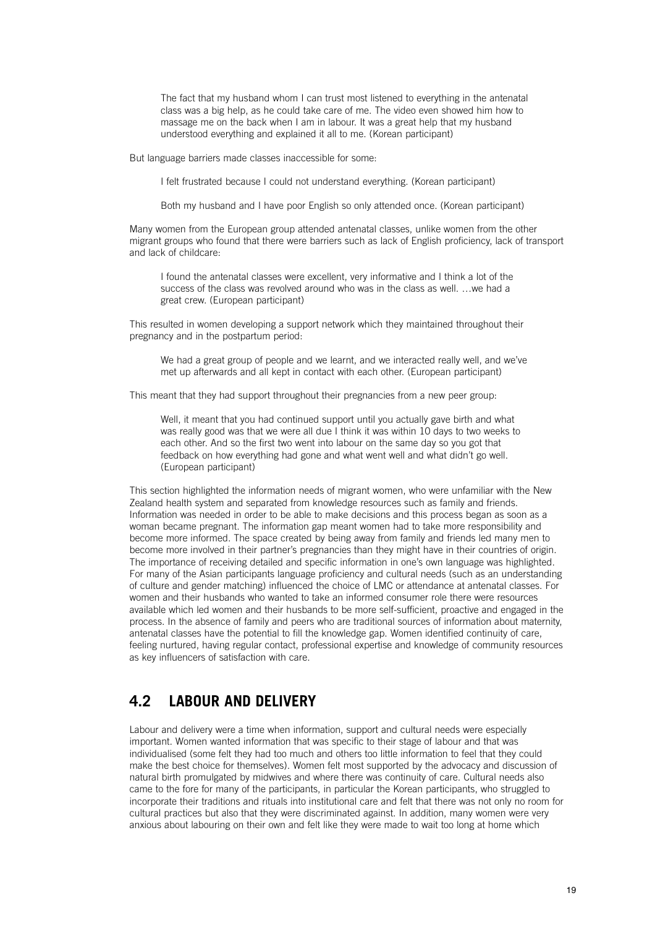The fact that my husband whom I can trust most listened to everything in the antenatal class was a big help, as he could take care of me. The video even showed him how to massage me on the back when I am in labour. It was a great help that my husband understood everything and explained it all to me. (Korean participant)

But language barriers made classes inaccessible for some:

I felt frustrated because I could not understand everything. (Korean participant)

Both my husband and I have poor English so only attended once. (Korean participant)

Many women from the European group attended antenatal classes, unlike women from the other migrant groups who found that there were barriers such as lack of English proficiency, lack of transport and lack of childcare:

I found the antenatal classes were excellent, very informative and I think a lot of the success of the class was revolved around who was in the class as well. …we had a great crew. (European participant)

This resulted in women developing a support network which they maintained throughout their pregnancy and in the postpartum period:

We had a great group of people and we learnt, and we interacted really well, and we've met up afterwards and all kept in contact with each other. (European participant)

This meant that they had support throughout their pregnancies from a new peer group:

Well, it meant that you had continued support until you actually gave birth and what was really good was that we were all due I think it was within 10 days to two weeks to each other. And so the first two went into labour on the same day so you got that feedback on how everything had gone and what went well and what didn't go well. (European participant)

This section highlighted the information needs of migrant women, who were unfamiliar with the New Zealand health system and separated from knowledge resources such as family and friends. Information was needed in order to be able to make decisions and this process began as soon as a woman became pregnant. The information gap meant women had to take more responsibility and become more informed. The space created by being away from family and friends led many men to become more involved in their partner's pregnancies than they might have in their countries of origin. The importance of receiving detailed and specific information in one's own language was highlighted. For many of the Asian participants language proficiency and cultural needs (such as an understanding of culture and gender matching) influenced the choice of LMC or attendance at antenatal classes. For women and their husbands who wanted to take an informed consumer role there were resources available which led women and their husbands to be more self-sufficient, proactive and engaged in the process. In the absence of family and peers who are traditional sources of information about maternity, antenatal classes have the potential to fill the knowledge gap. Women identified continuity of care, feeling nurtured, having regular contact, professional expertise and knowledge of community resources as key influencers of satisfaction with care.

### **4.2 LABOUR AND DELIVERY**

Labour and delivery were a time when information, support and cultural needs were especially important. Women wanted information that was specific to their stage of labour and that was individualised (some felt they had too much and others too little information to feel that they could make the best choice for themselves). Women felt most supported by the advocacy and discussion of natural birth promulgated by midwives and where there was continuity of care. Cultural needs also came to the fore for many of the participants, in particular the Korean participants, who struggled to incorporate their traditions and rituals into institutional care and felt that there was not only no room for cultural practices but also that they were discriminated against. In addition, many women were very anxious about labouring on their own and felt like they were made to wait too long at home which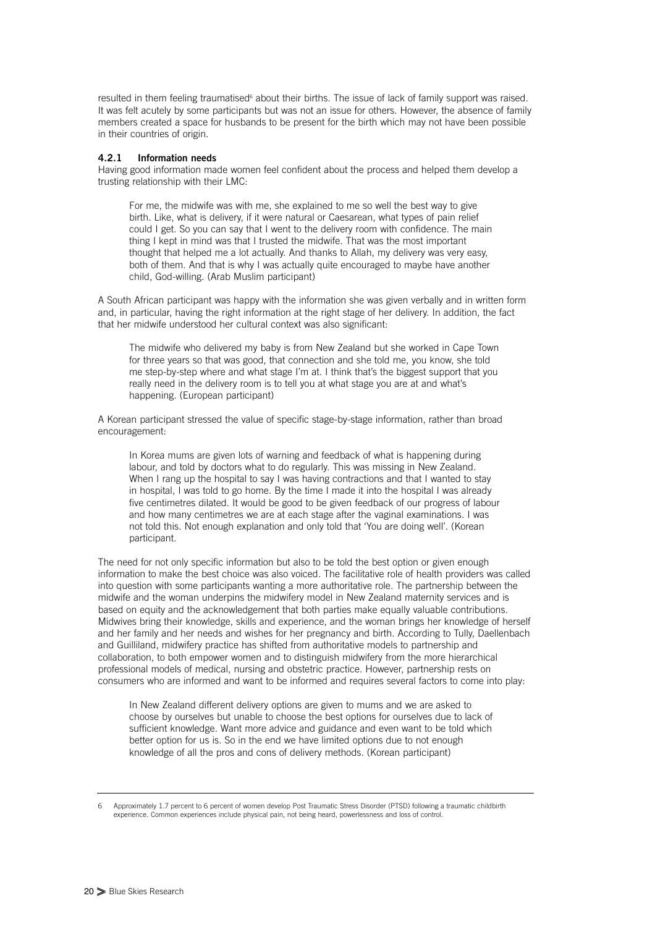resulted in them feeling traumatised<sup>6</sup> about their births. The issue of lack of family support was raised. It was felt acutely by some participants but was not an issue for others. However, the absence of family members created a space for husbands to be present for the birth which may not have been possible in their countries of origin.

#### **4.2.1 Information needs**

Having good information made women feel confident about the process and helped them develop a trusting relationship with their LMC:

For me, the midwife was with me, she explained to me so well the best way to give birth. Like, what is delivery, if it were natural or Caesarean, what types of pain relief could I get. So you can say that I went to the delivery room with confidence. The main thing I kept in mind was that I trusted the midwife. That was the most important thought that helped me a lot actually. And thanks to Allah, my delivery was very easy, both of them. And that is why I was actually quite encouraged to maybe have another child, God-willing. (Arab Muslim participant)

A South African participant was happy with the information she was given verbally and in written form and, in particular, having the right information at the right stage of her delivery. In addition, the fact that her midwife understood her cultural context was also significant:

The midwife who delivered my baby is from New Zealand but she worked in Cape Town for three years so that was good, that connection and she told me, you know, she told me step-by-step where and what stage I'm at. I think that's the biggest support that you really need in the delivery room is to tell you at what stage you are at and what's happening. (European participant)

A Korean participant stressed the value of specific stage-by-stage information, rather than broad encouragement:

In Korea mums are given lots of warning and feedback of what is happening during labour, and told by doctors what to do regularly. This was missing in New Zealand. When I rang up the hospital to say I was having contractions and that I wanted to stay in hospital, I was told to go home. By the time I made it into the hospital I was already five centimetres dilated. It would be good to be given feedback of our progress of labour and how many centimetres we are at each stage after the vaginal examinations. I was not told this. Not enough explanation and only told that 'You are doing well'. (Korean participant.

The need for not only specific information but also to be told the best option or given enough information to make the best choice was also voiced. The facilitative role of health providers was called into question with some participants wanting a more authoritative role. The partnership between the midwife and the woman underpins the midwifery model in New Zealand maternity services and is based on equity and the acknowledgement that both parties make equally valuable contributions. Midwives bring their knowledge, skills and experience, and the woman brings her knowledge of herself and her family and her needs and wishes for her pregnancy and birth. According to Tully, Daellenbach and Guilliland, midwifery practice has shifted from authoritative models to partnership and collaboration, to both empower women and to distinguish midwifery from the more hierarchical professional models of medical, nursing and obstetric practice. However, partnership rests on consumers who are informed and want to be informed and requires several factors to come into play:

In New Zealand different delivery options are given to mums and we are asked to choose by ourselves but unable to choose the best options for ourselves due to lack of sufficient knowledge. Want more advice and guidance and even want to be told which better option for us is. So in the end we have limited options due to not enough knowledge of all the pros and cons of delivery methods. (Korean participant)

<sup>6</sup> Approximately 1.7 percent to 6 percent of women develop Post Traumatic Stress Disorder (PTSD) following a traumatic childbirth experience. Common experiences include physical pain, not being heard, powerlessness and loss of control.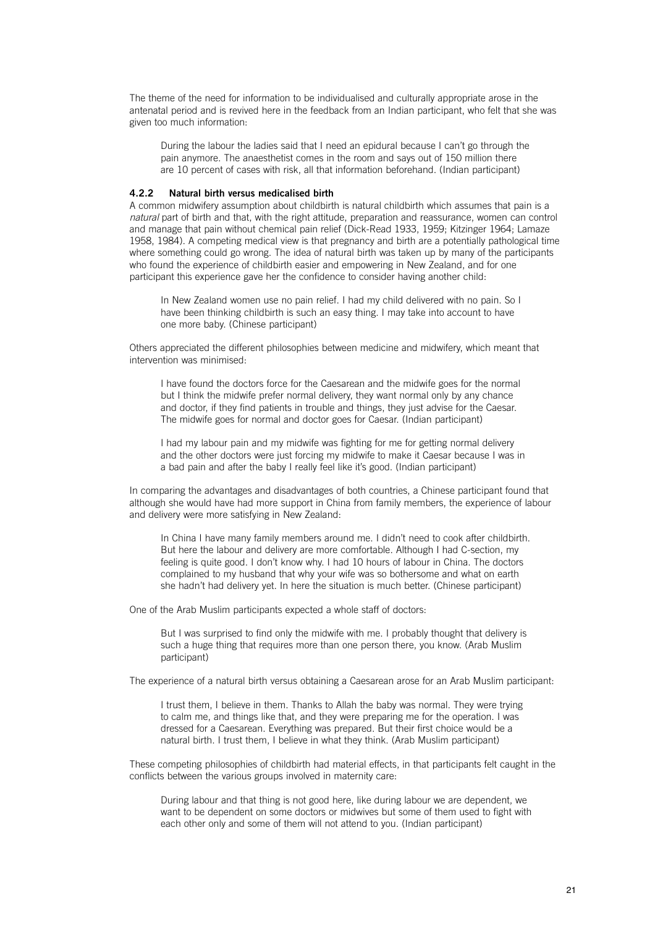The theme of the need for information to be individualised and culturally appropriate arose in the antenatal period and is revived here in the feedback from an Indian participant, who felt that she was given too much information:

During the labour the ladies said that I need an epidural because I can't go through the pain anymore. The anaesthetist comes in the room and says out of 150 million there are 10 percent of cases with risk, all that information beforehand. (Indian participant)

#### **4.2.2 Natural birth versus medicalised birth**

A common midwifery assumption about childbirth is natural childbirth which assumes that pain is a *natural* part of birth and that, with the right attitude, preparation and reassurance, women can control and manage that pain without chemical pain relief (Dick-Read 1933, 1959; Kitzinger 1964; Lamaze 1958, 1984). A competing medical view is that pregnancy and birth are a potentially pathological time where something could go wrong. The idea of natural birth was taken up by many of the participants who found the experience of childbirth easier and empowering in New Zealand, and for one participant this experience gave her the confidence to consider having another child:

In New Zealand women use no pain relief. I had my child delivered with no pain. So I have been thinking childbirth is such an easy thing. I may take into account to have one more baby. (Chinese participant)

Others appreciated the different philosophies between medicine and midwifery, which meant that intervention was minimised:

I have found the doctors force for the Caesarean and the midwife goes for the normal but I think the midwife prefer normal delivery, they want normal only by any chance and doctor, if they find patients in trouble and things, they just advise for the Caesar. The midwife goes for normal and doctor goes for Caesar. (Indian participant)

I had my labour pain and my midwife was fighting for me for getting normal delivery and the other doctors were just forcing my midwife to make it Caesar because I was in a bad pain and after the baby I really feel like it's good. (Indian participant)

In comparing the advantages and disadvantages of both countries, a Chinese participant found that although she would have had more support in China from family members, the experience of labour and delivery were more satisfying in New Zealand:

In China I have many family members around me. I didn't need to cook after childbirth. But here the labour and delivery are more comfortable. Although I had C-section, my feeling is quite good. I don't know why. I had 10 hours of labour in China. The doctors complained to my husband that why your wife was so bothersome and what on earth she hadn't had delivery yet. In here the situation is much better. (Chinese participant)

One of the Arab Muslim participants expected a whole staff of doctors:

But I was surprised to find only the midwife with me. I probably thought that delivery is such a huge thing that requires more than one person there, you know. (Arab Muslim participant)

The experience of a natural birth versus obtaining a Caesarean arose for an Arab Muslim participant:

I trust them, I believe in them. Thanks to Allah the baby was normal. They were trying to calm me, and things like that, and they were preparing me for the operation. I was dressed for a Caesarean. Everything was prepared. But their first choice would be a natural birth. I trust them, I believe in what they think. (Arab Muslim participant)

These competing philosophies of childbirth had material effects, in that participants felt caught in the conflicts between the various groups involved in maternity care:

During labour and that thing is not good here, like during labour we are dependent, we want to be dependent on some doctors or midwives but some of them used to fight with each other only and some of them will not attend to you. (Indian participant)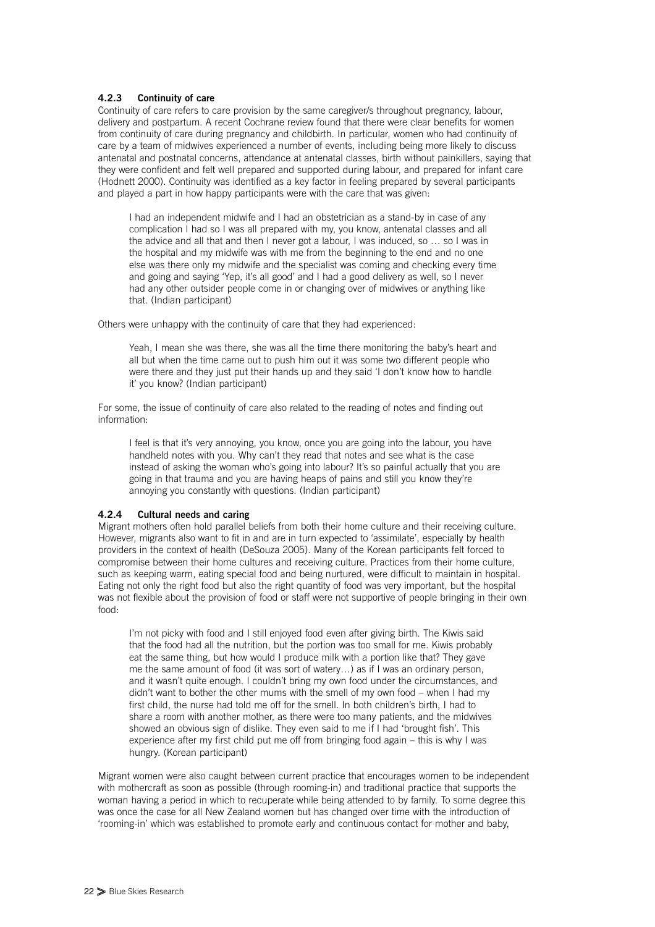#### **4.2.3 Continuity of care**

Continuity of care refers to care provision by the same caregiver/s throughout pregnancy, labour, delivery and postpartum. A recent Cochrane review found that there were clear benefits for women from continuity of care during pregnancy and childbirth. In particular, women who had continuity of care by a team of midwives experienced a number of events, including being more likely to discuss antenatal and postnatal concerns, attendance at antenatal classes, birth without painkillers, saying that they were confident and felt well prepared and supported during labour, and prepared for infant care (Hodnett 2000). Continuity was identified as a key factor in feeling prepared by several participants and played a part in how happy participants were with the care that was given:

I had an independent midwife and I had an obstetrician as a stand-by in case of any complication I had so I was all prepared with my, you know, antenatal classes and all the advice and all that and then I never got a labour, I was induced, so … so I was in the hospital and my midwife was with me from the beginning to the end and no one else was there only my midwife and the specialist was coming and checking every time and going and saying 'Yep, it's all good' and I had a good delivery as well, so I never had any other outsider people come in or changing over of midwives or anything like that. (Indian participant)

Others were unhappy with the continuity of care that they had experienced:

Yeah, I mean she was there, she was all the time there monitoring the baby's heart and all but when the time came out to push him out it was some two different people who were there and they just put their hands up and they said 'I don't know how to handle it' you know? (Indian participant)

For some, the issue of continuity of care also related to the reading of notes and finding out information:

I feel is that it's very annoying, you know, once you are going into the labour, you have handheld notes with you. Why can't they read that notes and see what is the case instead of asking the woman who's going into labour? It's so painful actually that you are going in that trauma and you are having heaps of pains and still you know they're annoying you constantly with questions. (Indian participant)

#### **4.2.4 Cultural needs and caring**

Migrant mothers often hold parallel beliefs from both their home culture and their receiving culture. However, migrants also want to fit in and are in turn expected to 'assimilate', especially by health providers in the context of health (DeSouza 2005). Many of the Korean participants felt forced to compromise between their home cultures and receiving culture. Practices from their home culture, such as keeping warm, eating special food and being nurtured, were difficult to maintain in hospital. Eating not only the right food but also the right quantity of food was very important, but the hospital was not flexible about the provision of food or staff were not supportive of people bringing in their own food:

I'm not picky with food and I still enjoyed food even after giving birth. The Kiwis said that the food had all the nutrition, but the portion was too small for me. Kiwis probably eat the same thing, but how would I produce milk with a portion like that? They gave me the same amount of food (it was sort of watery…) as if I was an ordinary person, and it wasn't quite enough. I couldn't bring my own food under the circumstances, and didn't want to bother the other mums with the smell of my own food – when I had my first child, the nurse had told me off for the smell. In both children's birth, I had to share a room with another mother, as there were too many patients, and the midwives showed an obvious sign of dislike. They even said to me if I had 'brought fish'. This experience after my first child put me off from bringing food again – this is why I was hungry. (Korean participant)

Migrant women were also caught between current practice that encourages women to be independent with mothercraft as soon as possible (through rooming-in) and traditional practice that supports the woman having a period in which to recuperate while being attended to by family. To some degree this was once the case for all New Zealand women but has changed over time with the introduction of 'rooming-in' which was established to promote early and continuous contact for mother and baby,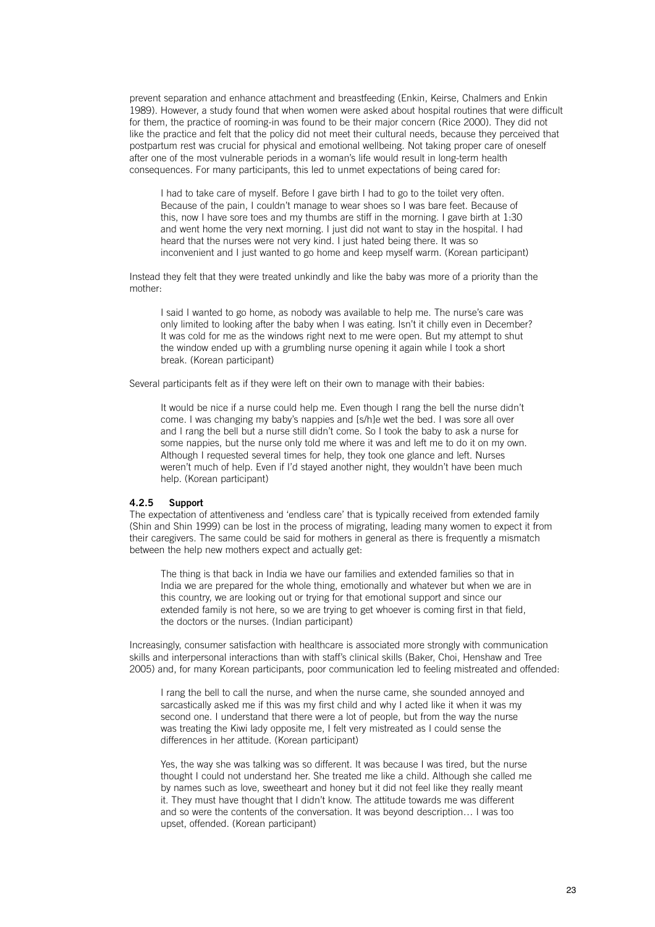prevent separation and enhance attachment and breastfeeding (Enkin, Keirse, Chalmers and Enkin 1989). However, a study found that when women were asked about hospital routines that were difficult for them, the practice of rooming-in was found to be their major concern (Rice 2000). They did not like the practice and felt that the policy did not meet their cultural needs, because they perceived that postpartum rest was crucial for physical and emotional wellbeing. Not taking proper care of oneself after one of the most vulnerable periods in a woman's life would result in long-term health consequences. For many participants, this led to unmet expectations of being cared for:

I had to take care of myself. Before I gave birth I had to go to the toilet very often. Because of the pain, I couldn't manage to wear shoes so I was bare feet. Because of this, now I have sore toes and my thumbs are stiff in the morning. I gave birth at 1:30 and went home the very next morning. I just did not want to stay in the hospital. I had heard that the nurses were not very kind. I just hated being there. It was so inconvenient and I just wanted to go home and keep myself warm. (Korean participant)

Instead they felt that they were treated unkindly and like the baby was more of a priority than the mother:

I said I wanted to go home, as nobody was available to help me. The nurse's care was only limited to looking after the baby when I was eating. Isn't it chilly even in December? It was cold for me as the windows right next to me were open. But my attempt to shut the window ended up with a grumbling nurse opening it again while I took a short break. (Korean participant)

Several participants felt as if they were left on their own to manage with their babies:

It would be nice if a nurse could help me. Even though I rang the bell the nurse didn't come. I was changing my baby's nappies and [s/h]e wet the bed. I was sore all over and I rang the bell but a nurse still didn't come. So I took the baby to ask a nurse for some nappies, but the nurse only told me where it was and left me to do it on my own. Although I requested several times for help, they took one glance and left. Nurses weren't much of help. Even if I'd stayed another night, they wouldn't have been much help. (Korean participant)

#### **4.2.5 Support**

The expectation of attentiveness and 'endless care' that is typically received from extended family (Shin and Shin 1999) can be lost in the process of migrating, leading many women to expect it from their caregivers. The same could be said for mothers in general as there is frequently a mismatch between the help new mothers expect and actually get:

The thing is that back in India we have our families and extended families so that in India we are prepared for the whole thing, emotionally and whatever but when we are in this country, we are looking out or trying for that emotional support and since our extended family is not here, so we are trying to get whoever is coming first in that field, the doctors or the nurses. (Indian participant)

Increasingly, consumer satisfaction with healthcare is associated more strongly with communication skills and interpersonal interactions than with staff's clinical skills (Baker, Choi, Henshaw and Tree 2005) and, for many Korean participants, poor communication led to feeling mistreated and offended:

I rang the bell to call the nurse, and when the nurse came, she sounded annoyed and sarcastically asked me if this was my first child and why I acted like it when it was my second one. I understand that there were a lot of people, but from the way the nurse was treating the Kiwi lady opposite me, I felt very mistreated as I could sense the differences in her attitude. (Korean participant)

Yes, the way she was talking was so different. It was because I was tired, but the nurse thought I could not understand her. She treated me like a child. Although she called me by names such as love, sweetheart and honey but it did not feel like they really meant it. They must have thought that I didn't know. The attitude towards me was different and so were the contents of the conversation. It was beyond description… I was too upset, offended. (Korean participant)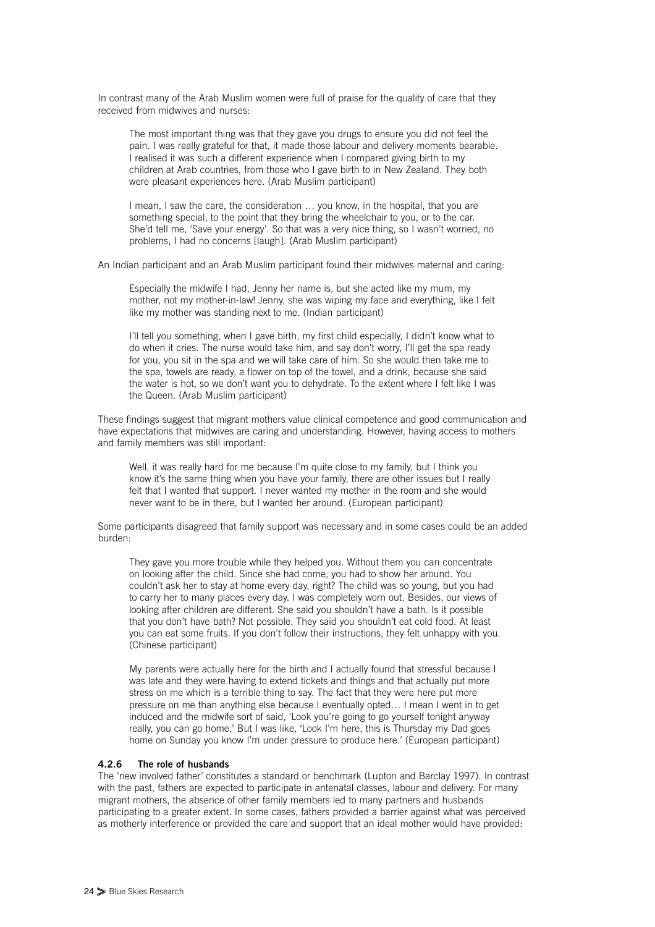In contrast many of the Arab Muslim women were full of praise for the quality of care that they received from midwives and nurses:

The most important thing was that they gave you drugs to ensure you did not feel the pain. I was really grateful for that, it made those labour and delivery moments bearable. I realised it was such a different experience when I compared giving birth to my children at Arab countries, from those who I gave birth to in New Zealand. They both were pleasant experiences here. (Arab Muslim participant)

I mean, I saw the care, the consideration … you know, in the hospital, that you are something special, to the point that they bring the wheelchair to you, or to the car. She'd tell me, 'Save your energy'. So that was a very nice thing, so I wasn't worried, no problems, I had no concerns [laugh]. (Arab Muslim participant)

An Indian participant and an Arab Muslim participant found their midwives maternal and caring:

Especially the midwife I had, Jenny her name is, but she acted like my mum, my mother, not my mother-in-law! Jenny, she was wiping my face and everything, like I felt like my mother was standing next to me. (Indian participant)

I'll tell you something, when I gave birth, my first child especially, I didn't know what to do when it cries. The nurse would take him, and say don't worry, I'll get the spa ready for you, you sit in the spa and we will take care of him. So she would then take me to the spa, towels are ready, a flower on top of the towel, and a drink, because she said the water is hot, so we don't want you to dehydrate. To the extent where I felt like I was the Queen. (Arab Muslim participant)

These findings suggest that migrant mothers value clinical competence and good communication and have expectations that midwives are caring and understanding. However, having access to mothers and family members was still important:

Well, it was really hard for me because I'm quite close to my family, but I think you know it's the same thing when you have your family, there are other issues but I really felt that I wanted that support. I never wanted my mother in the room and she would never want to be in there, but I wanted her around. (European participant)

Some participants disagreed that family support was necessary and in some cases could be an added burden:

They gave you more trouble while they helped you. Without them you can concentrate on looking after the child. Since she had come, you had to show her around. You couldn't ask her to stay at home every day, right? The child was so young, but you had to carry her to many places every day. I was completely worn out. Besides, our views of looking after children are different. She said you shouldn't have a bath. Is it possible that you don't have bath? Not possible. They said you shouldn't eat cold food. At least you can eat some fruits. If you don't follow their instructions, they felt unhappy with you. (Chinese participant)

My parents were actually here for the birth and I actually found that stressful because I was late and they were having to extend tickets and things and that actually put more stress on me which is a terrible thing to say. The fact that they were here put more pressure on me than anything else because I eventually opted… I mean I went in to get induced and the midwife sort of said, 'Look you're going to go yourself tonight anyway really, you can go home.' But I was like, 'Look I'm here, this is Thursday my Dad goes home on Sunday you know I'm under pressure to produce here.' (European participant)

#### **4.2.6 The role of husbands**

The 'new involved father' constitutes a standard or benchmark (Lupton and Barclay 1997). In contrast with the past, fathers are expected to participate in antenatal classes, labour and delivery. For many migrant mothers, the absence of other family members led to many partners and husbands participating to a greater extent. In some cases, fathers provided a barrier against what was perceived as motherly interference or provided the care and support that an ideal mother would have provided: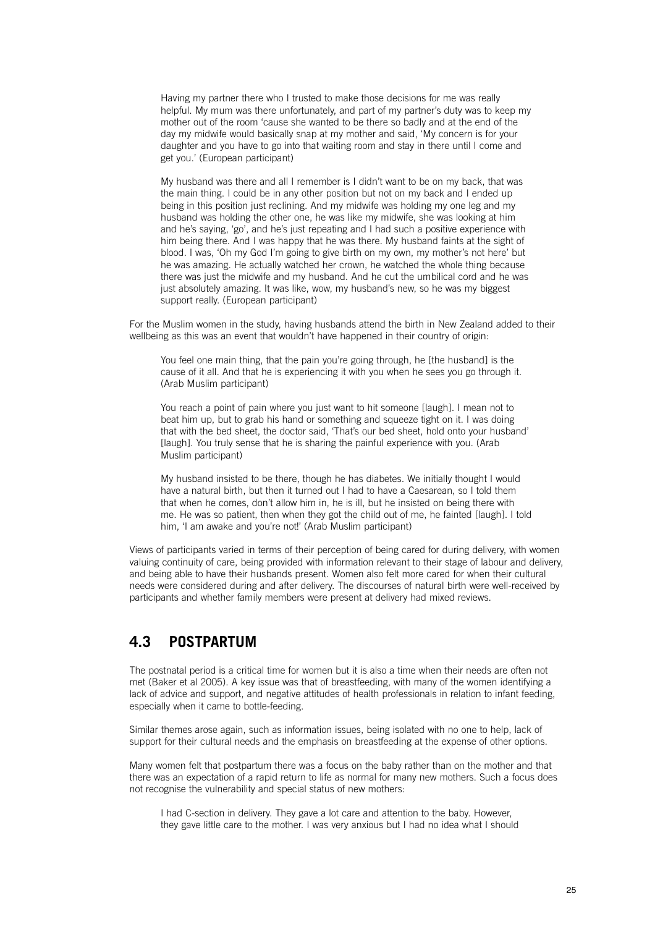Having my partner there who I trusted to make those decisions for me was really helpful. My mum was there unfortunately, and part of my partner's duty was to keep my mother out of the room 'cause she wanted to be there so badly and at the end of the day my midwife would basically snap at my mother and said, 'My concern is for your daughter and you have to go into that waiting room and stay in there until I come and get you.' (European participant)

My husband was there and all I remember is I didn't want to be on my back, that was the main thing. I could be in any other position but not on my back and I ended up being in this position just reclining. And my midwife was holding my one leg and my husband was holding the other one, he was like my midwife, she was looking at him and he's saying, 'go', and he's just repeating and I had such a positive experience with him being there. And I was happy that he was there. My husband faints at the sight of blood. I was, 'Oh my God I'm going to give birth on my own, my mother's not here' but he was amazing. He actually watched her crown, he watched the whole thing because there was just the midwife and my husband. And he cut the umbilical cord and he was just absolutely amazing. It was like, wow, my husband's new, so he was my biggest support really. (European participant)

For the Muslim women in the study, having husbands attend the birth in New Zealand added to their wellbeing as this was an event that wouldn't have happened in their country of origin:

You feel one main thing, that the pain you're going through, he [the husband] is the cause of it all. And that he is experiencing it with you when he sees you go through it. (Arab Muslim participant)

You reach a point of pain where you just want to hit someone [laugh]. I mean not to beat him up, but to grab his hand or something and squeeze tight on it. I was doing that with the bed sheet, the doctor said, 'That's our bed sheet, hold onto your husband' [laugh]. You truly sense that he is sharing the painful experience with you. (Arab Muslim participant)

My husband insisted to be there, though he has diabetes. We initially thought I would have a natural birth, but then it turned out I had to have a Caesarean, so I told them that when he comes, don't allow him in, he is ill, but he insisted on being there with me. He was so patient, then when they got the child out of me, he fainted [laugh]. I told him, 'I am awake and you're not!' (Arab Muslim participant)

Views of participants varied in terms of their perception of being cared for during delivery, with women valuing continuity of care, being provided with information relevant to their stage of labour and delivery, and being able to have their husbands present. Women also felt more cared for when their cultural needs were considered during and after delivery. The discourses of natural birth were well-received by participants and whether family members were present at delivery had mixed reviews.

## **4.3 POSTPARTUM**

The postnatal period is a critical time for women but it is also a time when their needs are often not met (Baker et al 2005). A key issue was that of breastfeeding, with many of the women identifying a lack of advice and support, and negative attitudes of health professionals in relation to infant feeding, especially when it came to bottle-feeding.

Similar themes arose again, such as information issues, being isolated with no one to help, lack of support for their cultural needs and the emphasis on breastfeeding at the expense of other options.

Many women felt that postpartum there was a focus on the baby rather than on the mother and that there was an expectation of a rapid return to life as normal for many new mothers. Such a focus does not recognise the vulnerability and special status of new mothers:

I had C-section in delivery. They gave a lot care and attention to the baby. However, they gave little care to the mother. I was very anxious but I had no idea what I should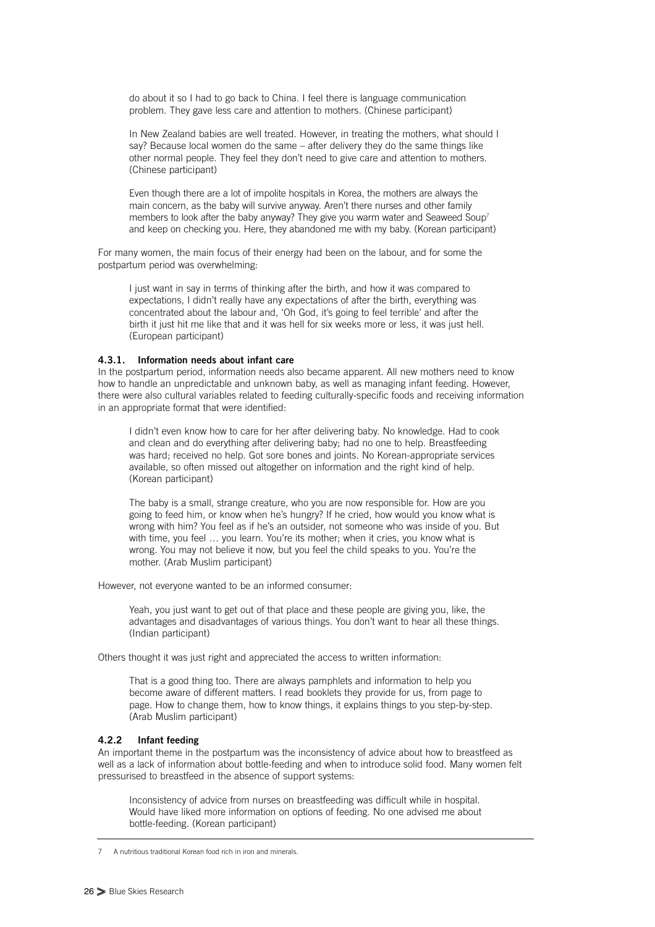do about it so I had to go back to China. I feel there is language communication problem. They gave less care and attention to mothers. (Chinese participant)

In New Zealand babies are well treated. However, in treating the mothers, what should I say? Because local women do the same – after delivery they do the same things like other normal people. They feel they don't need to give care and attention to mothers. (Chinese participant)

Even though there are a lot of impolite hospitals in Korea, the mothers are always the main concern, as the baby will survive anyway. Aren't there nurses and other family members to look after the baby anyway? They give you warm water and Seaweed Soup<sup>7</sup> and keep on checking you. Here, they abandoned me with my baby. (Korean participant)

For many women, the main focus of their energy had been on the labour, and for some the postpartum period was overwhelming:

I just want in say in terms of thinking after the birth, and how it was compared to expectations, I didn't really have any expectations of after the birth, everything was concentrated about the labour and, 'Oh God, it's going to feel terrible' and after the birth it just hit me like that and it was hell for six weeks more or less, it was just hell. (European participant)

#### **4.3.1. Information needs about infant care**

In the postpartum period, information needs also became apparent. All new mothers need to know how to handle an unpredictable and unknown baby, as well as managing infant feeding. However, there were also cultural variables related to feeding culturally-specific foods and receiving information in an appropriate format that were identified:

I didn't even know how to care for her after delivering baby. No knowledge. Had to cook and clean and do everything after delivering baby; had no one to help. Breastfeeding was hard; received no help. Got sore bones and joints. No Korean-appropriate services available, so often missed out altogether on information and the right kind of help. (Korean participant)

The baby is a small, strange creature, who you are now responsible for. How are you going to feed him, or know when he's hungry? If he cried, how would you know what is wrong with him? You feel as if he's an outsider, not someone who was inside of you. But with time, you feel ... you learn. You're its mother: when it cries, you know what is wrong. You may not believe it now, but you feel the child speaks to you. You're the mother. (Arab Muslim participant)

However, not everyone wanted to be an informed consumer:

Yeah, you just want to get out of that place and these people are giving you, like, the advantages and disadvantages of various things. You don't want to hear all these things. (Indian participant)

Others thought it was just right and appreciated the access to written information:

That is a good thing too. There are always pamphlets and information to help you become aware of different matters. I read booklets they provide for us, from page to page. How to change them, how to know things, it explains things to you step-by-step. (Arab Muslim participant)

#### **4.2.2 Infant feeding**

An important theme in the postpartum was the inconsistency of advice about how to breastfeed as well as a lack of information about bottle-feeding and when to introduce solid food. Many women felt pressurised to breastfeed in the absence of support systems:

Inconsistency of advice from nurses on breastfeeding was difficult while in hospital. Would have liked more information on options of feeding. No one advised me about bottle-feeding. (Korean participant)

<sup>7</sup> A nutritious traditional Korean food rich in iron and minerals.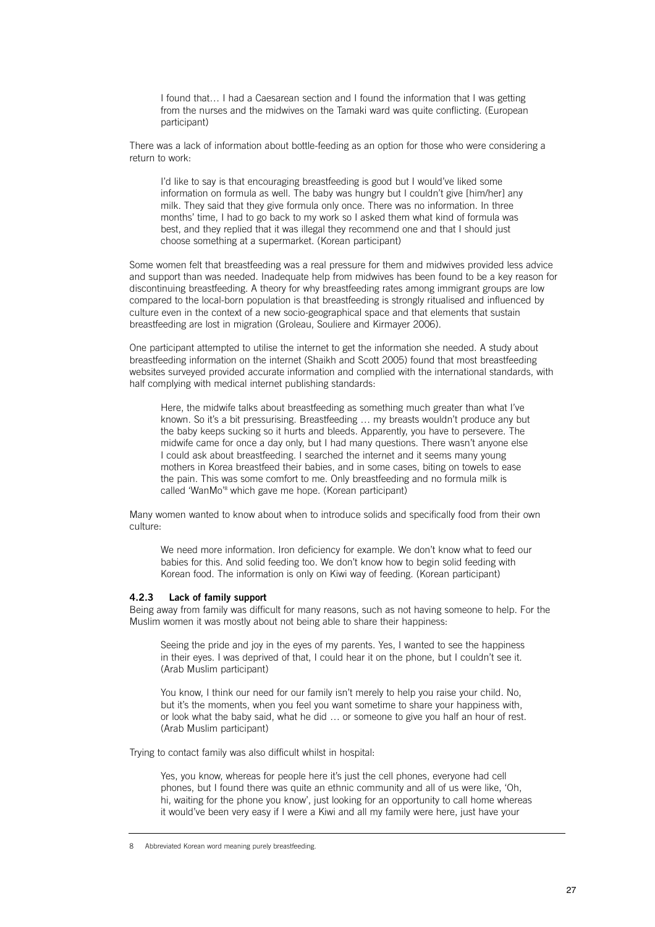I found that… I had a Caesarean section and I found the information that I was getting from the nurses and the midwives on the Tamaki ward was quite conflicting. (European participant)

There was a lack of information about bottle-feeding as an option for those who were considering a return to work:

I'd like to say is that encouraging breastfeeding is good but I would've liked some information on formula as well. The baby was hungry but I couldn't give [him/her] any milk. They said that they give formula only once. There was no information. In three months' time, I had to go back to my work so I asked them what kind of formula was best, and they replied that it was illegal they recommend one and that I should just choose something at a supermarket. (Korean participant)

Some women felt that breastfeeding was a real pressure for them and midwives provided less advice and support than was needed. Inadequate help from midwives has been found to be a key reason for discontinuing breastfeeding. A theory for why breastfeeding rates among immigrant groups are low compared to the local-born population is that breastfeeding is strongly ritualised and influenced by culture even in the context of a new socio-geographical space and that elements that sustain breastfeeding are lost in migration (Groleau, Souliere and Kirmayer 2006).

One participant attempted to utilise the internet to get the information she needed. A study about breastfeeding information on the internet (Shaikh and Scott 2005) found that most breastfeeding websites surveyed provided accurate information and complied with the international standards, with half complying with medical internet publishing standards:

Here, the midwife talks about breastfeeding as something much greater than what I've known. So it's a bit pressurising. Breastfeeding … my breasts wouldn't produce any but the baby keeps sucking so it hurts and bleeds. Apparently, you have to persevere. The midwife came for once a day only, but I had many questions. There wasn't anyone else I could ask about breastfeeding. I searched the internet and it seems many young mothers in Korea breastfeed their babies, and in some cases, biting on towels to ease the pain. This was some comfort to me. Only breastfeeding and no formula milk is called 'WanMo' <sup>8</sup> which gave me hope. (Korean participant)

Many women wanted to know about when to introduce solids and specifically food from their own culture:

We need more information. Iron deficiency for example. We don't know what to feed our babies for this. And solid feeding too. We don't know how to begin solid feeding with Korean food. The information is only on Kiwi way of feeding. (Korean participant)

#### **4.2.3 Lack of family support**

Being away from family was difficult for many reasons, such as not having someone to help. For the Muslim women it was mostly about not being able to share their happiness:

Seeing the pride and joy in the eyes of my parents. Yes, I wanted to see the happiness in their eyes. I was deprived of that, I could hear it on the phone, but I couldn't see it. (Arab Muslim participant)

You know, I think our need for our family isn't merely to help you raise your child. No, but it's the moments, when you feel you want sometime to share your happiness with, or look what the baby said, what he did … or someone to give you half an hour of rest. (Arab Muslim participant)

Trying to contact family was also difficult whilst in hospital:

Yes, you know, whereas for people here it's just the cell phones, everyone had cell phones, but I found there was quite an ethnic community and all of us were like, 'Oh, hi, waiting for the phone you know', just looking for an opportunity to call home whereas it would've been very easy if I were a Kiwi and all my family were here, just have your

<sup>8</sup> Abbreviated Korean word meaning purely breastfeeding.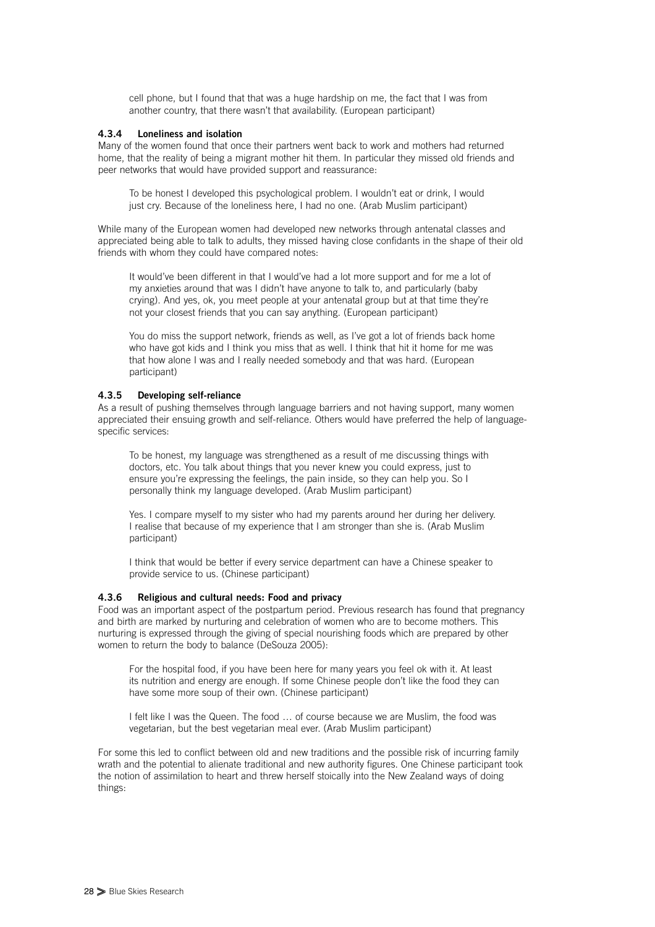cell phone, but I found that that was a huge hardship on me, the fact that I was from another country, that there wasn't that availability. (European participant)

#### **4.3.4 Loneliness and isolation**

Many of the women found that once their partners went back to work and mothers had returned home, that the reality of being a migrant mother hit them. In particular they missed old friends and peer networks that would have provided support and reassurance:

To be honest I developed this psychological problem. I wouldn't eat or drink, I would just cry. Because of the loneliness here, I had no one. (Arab Muslim participant)

While many of the European women had developed new networks through antenatal classes and appreciated being able to talk to adults, they missed having close confidants in the shape of their old friends with whom they could have compared notes:

It would've been different in that I would've had a lot more support and for me a lot of my anxieties around that was I didn't have anyone to talk to, and particularly (baby crying). And yes, ok, you meet people at your antenatal group but at that time they're not your closest friends that you can say anything. (European participant)

You do miss the support network, friends as well, as I've got a lot of friends back home who have got kids and I think you miss that as well. I think that hit it home for me was that how alone I was and I really needed somebody and that was hard. (European participant)

#### **4.3.5 Developing self-reliance**

As a result of pushing themselves through language barriers and not having support, many women appreciated their ensuing growth and self-reliance. Others would have preferred the help of languagespecific services:

To be honest, my language was strengthened as a result of me discussing things with doctors, etc. You talk about things that you never knew you could express, just to ensure you're expressing the feelings, the pain inside, so they can help you. So I personally think my language developed. (Arab Muslim participant)

Yes. I compare myself to my sister who had my parents around her during her delivery. I realise that because of my experience that I am stronger than she is. (Arab Muslim participant)

I think that would be better if every service department can have a Chinese speaker to provide service to us. (Chinese participant)

#### **4.3.6 Religious and cultural needs: Food and privacy**

Food was an important aspect of the postpartum period. Previous research has found that pregnancy and birth are marked by nurturing and celebration of women who are to become mothers. This nurturing is expressed through the giving of special nourishing foods which are prepared by other women to return the body to balance (DeSouza 2005):

For the hospital food, if you have been here for many years you feel ok with it. At least its nutrition and energy are enough. If some Chinese people don't like the food they can have some more soup of their own. (Chinese participant)

I felt like I was the Queen. The food … of course because we are Muslim, the food was vegetarian, but the best vegetarian meal ever. (Arab Muslim participant)

For some this led to conflict between old and new traditions and the possible risk of incurring family wrath and the potential to alienate traditional and new authority figures. One Chinese participant took the notion of assimilation to heart and threw herself stoically into the New Zealand ways of doing things: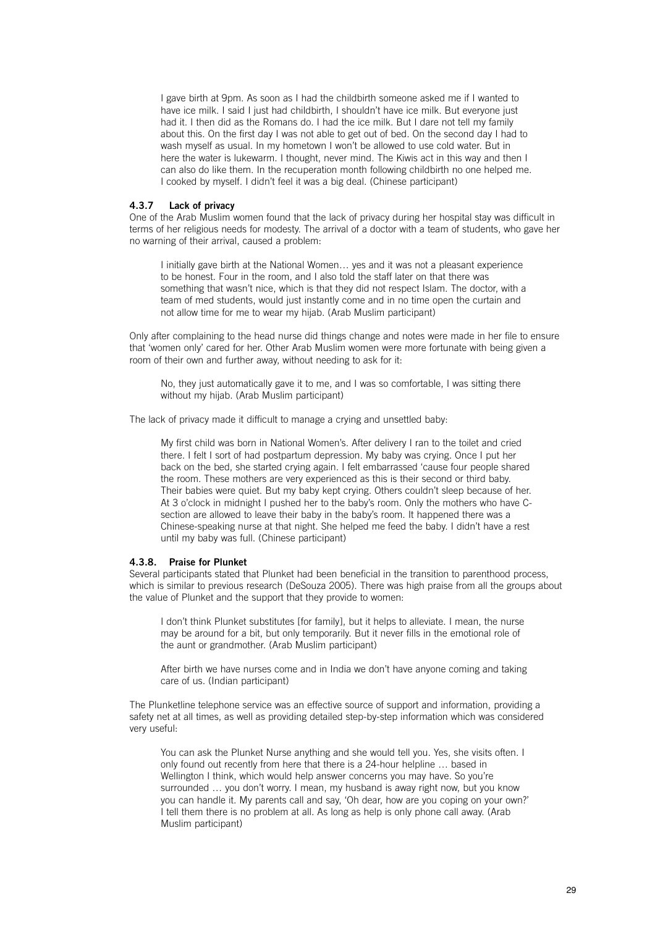I gave birth at 9pm. As soon as I had the childbirth someone asked me if I wanted to have ice milk. I said I just had childbirth, I shouldn't have ice milk. But everyone just had it. I then did as the Romans do. I had the ice milk. But I dare not tell my family about this. On the first day I was not able to get out of bed. On the second day I had to wash myself as usual. In my hometown I won't be allowed to use cold water. But in here the water is lukewarm. I thought, never mind. The Kiwis act in this way and then I can also do like them. In the recuperation month following childbirth no one helped me. I cooked by myself. I didn't feel it was a big deal. (Chinese participant)

#### **4.3.7 Lack of privacy**

One of the Arab Muslim women found that the lack of privacy during her hospital stay was difficult in terms of her religious needs for modesty. The arrival of a doctor with a team of students, who gave her no warning of their arrival, caused a problem:

I initially gave birth at the National Women… yes and it was not a pleasant experience to be honest. Four in the room, and I also told the staff later on that there was something that wasn't nice, which is that they did not respect Islam. The doctor, with a team of med students, would just instantly come and in no time open the curtain and not allow time for me to wear my hijab. (Arab Muslim participant)

Only after complaining to the head nurse did things change and notes were made in her file to ensure that 'women only' cared for her. Other Arab Muslim women were more fortunate with being given a room of their own and further away, without needing to ask for it:

No, they just automatically gave it to me, and I was so comfortable, I was sitting there without my hijab. (Arab Muslim participant)

The lack of privacy made it difficult to manage a crying and unsettled baby:

My first child was born in National Women's. After delivery I ran to the toilet and cried there. I felt I sort of had postpartum depression. My baby was crying. Once I put her back on the bed, she started crying again. I felt embarrassed 'cause four people shared the room. These mothers are very experienced as this is their second or third baby. Their babies were quiet. But my baby kept crying. Others couldn't sleep because of her. At 3 o'clock in midnight I pushed her to the baby's room. Only the mothers who have Csection are allowed to leave their baby in the baby's room. It happened there was a Chinese-speaking nurse at that night. She helped me feed the baby. I didn't have a rest until my baby was full. (Chinese participant)

#### **4.3.8. Praise for Plunket**

Several participants stated that Plunket had been beneficial in the transition to parenthood process, which is similar to previous research (DeSouza 2005). There was high praise from all the groups about the value of Plunket and the support that they provide to women:

I don't think Plunket substitutes [for family], but it helps to alleviate. I mean, the nurse may be around for a bit, but only temporarily. But it never fills in the emotional role of the aunt or grandmother. (Arab Muslim participant)

After birth we have nurses come and in India we don't have anyone coming and taking care of us. (Indian participant)

The Plunketline telephone service was an effective source of support and information, providing a safety net at all times, as well as providing detailed step-by-step information which was considered very useful:

You can ask the Plunket Nurse anything and she would tell you. Yes, she visits often. I only found out recently from here that there is a 24-hour helpline … based in Wellington I think, which would help answer concerns you may have. So you're surrounded … you don't worry. I mean, my husband is away right now, but you know you can handle it. My parents call and say, 'Oh dear, how are you coping on your own?' I tell them there is no problem at all. As long as help is only phone call away. (Arab Muslim participant)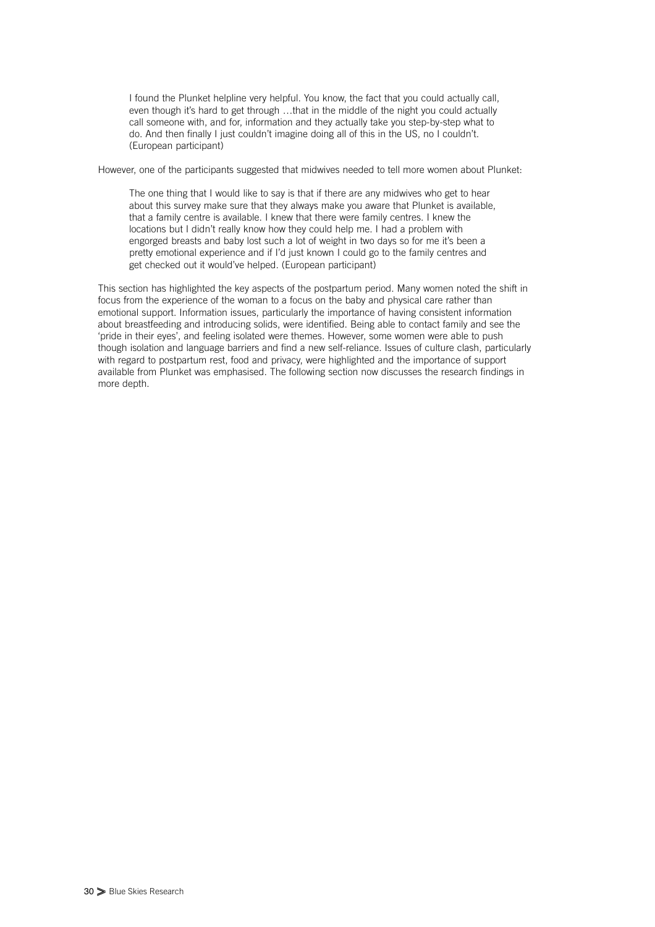I found the Plunket helpline very helpful. You know, the fact that you could actually call, even though it's hard to get through ...that in the middle of the night you could actually call someone with, and for, information and they actually take you step-by-step what to do. And then finally I just couldn't imagine doing all of this in the US, no I couldn't. (European participant)

However, one of the participants suggested that midwives needed to tell more women about Plunket:

The one thing that I would like to say is that if there are any midwives who get to hear about this survey make sure that they always make you aware that Plunket is available, that a family centre is available. I knew that there were family centres. I knew the locations but I didn't really know how they could help me. I had a problem with engorged breasts and baby lost such a lot of weight in two days so for me it's been a pretty emotional experience and if I'd just known I could go to the family centres and get checked out it would've helped. (European participant)

This section has highlighted the key aspects of the postpartum period. Many women noted the shift in focus from the experience of the woman to a focus on the baby and physical care rather than emotional support. Information issues, particularly the importance of having consistent information about breastfeeding and introducing solids, were identified. Being able to contact family and see the 'pride in their eyes', and feeling isolated were themes. However, some women were able to push though isolation and language barriers and find a new self-reliance. Issues of culture clash, particularly with regard to postpartum rest, food and privacy, were highlighted and the importance of support available from Plunket was emphasised. The following section now discusses the research findings in more depth.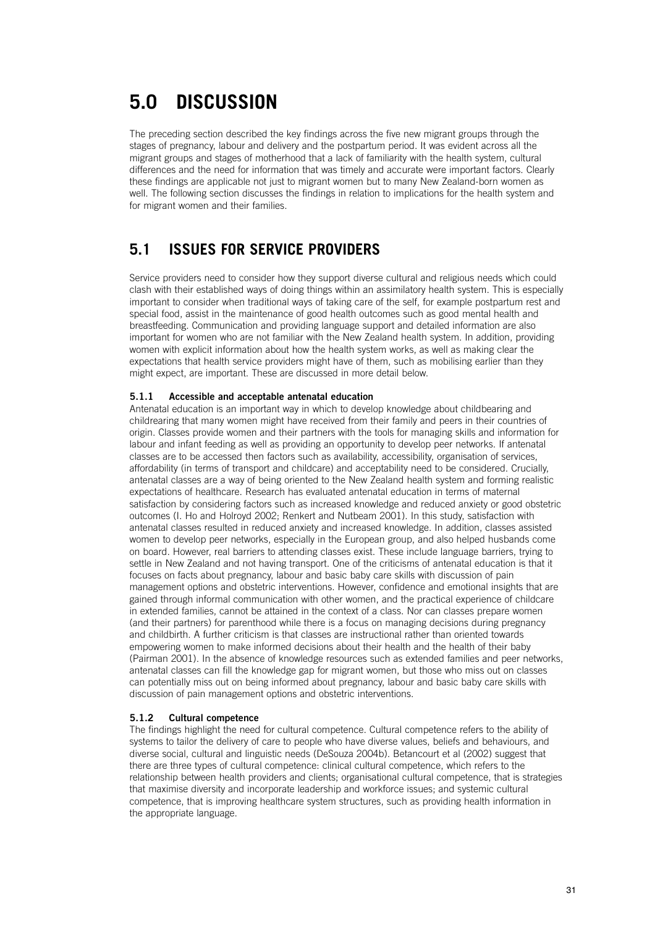## **5.0 DISCUSSION**

The preceding section described the key findings across the five new migrant groups through the stages of pregnancy, labour and delivery and the postpartum period. It was evident across all the migrant groups and stages of motherhood that a lack of familiarity with the health system, cultural differences and the need for information that was timely and accurate were important factors. Clearly these findings are applicable not just to migrant women but to many New Zealand-born women as well. The following section discusses the findings in relation to implications for the health system and for migrant women and their families.

## **5.1 ISSUES FOR SERVICE PROVIDERS**

Service providers need to consider how they support diverse cultural and religious needs which could clash with their established ways of doing things within an assimilatory health system. This is especially important to consider when traditional ways of taking care of the self, for example postpartum rest and special food, assist in the maintenance of good health outcomes such as good mental health and breastfeeding. Communication and providing language support and detailed information are also important for women who are not familiar with the New Zealand health system. In addition, providing women with explicit information about how the health system works, as well as making clear the expectations that health service providers might have of them, such as mobilising earlier than they might expect, are important. These are discussed in more detail below.

#### **5.1.1 Accessible and acceptable antenatal education**

Antenatal education is an important way in which to develop knowledge about childbearing and childrearing that many women might have received from their family and peers in their countries of origin. Classes provide women and their partners with the tools for managing skills and information for labour and infant feeding as well as providing an opportunity to develop peer networks. If antenatal classes are to be accessed then factors such as availability, accessibility, organisation of services, affordability (in terms of transport and childcare) and acceptability need to be considered. Crucially, antenatal classes are a way of being oriented to the New Zealand health system and forming realistic expectations of healthcare. Research has evaluated antenatal education in terms of maternal satisfaction by considering factors such as increased knowledge and reduced anxiety or good obstetric outcomes (I. Ho and Holroyd 2002; Renkert and Nutbeam 2001). In this study, satisfaction with antenatal classes resulted in reduced anxiety and increased knowledge. In addition, classes assisted women to develop peer networks, especially in the European group, and also helped husbands come on board. However, real barriers to attending classes exist. These include language barriers, trying to settle in New Zealand and not having transport. One of the criticisms of antenatal education is that it focuses on facts about pregnancy, labour and basic baby care skills with discussion of pain management options and obstetric interventions. However, confidence and emotional insights that are gained through informal communication with other women, and the practical experience of childcare in extended families, cannot be attained in the context of a class. Nor can classes prepare women (and their partners) for parenthood while there is a focus on managing decisions during pregnancy and childbirth. A further criticism is that classes are instructional rather than oriented towards empowering women to make informed decisions about their health and the health of their baby (Pairman 2001). In the absence of knowledge resources such as extended families and peer networks, antenatal classes can fill the knowledge gap for migrant women, but those who miss out on classes can potentially miss out on being informed about pregnancy, labour and basic baby care skills with discussion of pain management options and obstetric interventions.

#### **5.1.2 Cultural competence**

The findings highlight the need for cultural competence. Cultural competence refers to the ability of systems to tailor the delivery of care to people who have diverse values, beliefs and behaviours, and diverse social, cultural and linguistic needs (DeSouza 2004b). Betancourt et al (2002) suggest that there are three types of cultural competence: clinical cultural competence, which refers to the relationship between health providers and clients; organisational cultural competence, that is strategies that maximise diversity and incorporate leadership and workforce issues; and systemic cultural competence, that is improving healthcare system structures, such as providing health information in the appropriate language.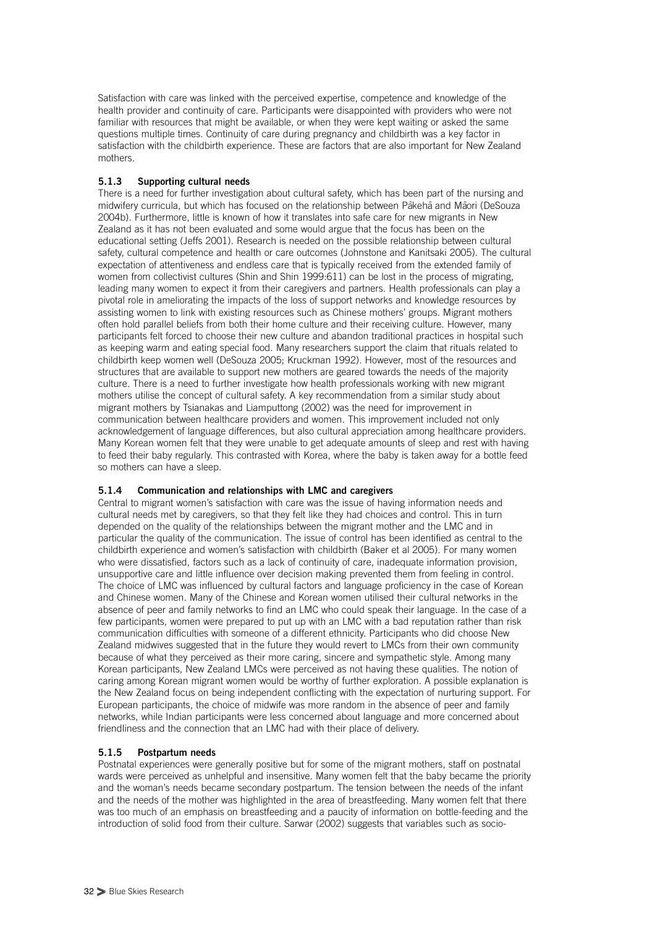Satisfaction with care was linked with the perceived expertise, competence and knowledge of the health provider and continuity of care. Participants were disappointed with providers who were not familiar with resources that might be available, or when they were kept waiting or asked the same questions multiple times. Continuity of care during pregnancy and childbirth was a key factor in satisfaction with the childbirth experience. These are factors that are also important for New Zealand mothers.

#### **5.1.3 Supporting cultural needs**

There is a need for further investigation about cultural safety, which has been part of the nursing and midwifery curricula, but which has focused on the relationship between Pākehā and Māori (DeSouza 2004b). Furthermore, little is known of how it translates into safe care for new migrants in New Zealand as it has not been evaluated and some would argue that the focus has been on the educational setting (Jeffs 2001). Research is needed on the possible relationship between cultural safety, cultural competence and health or care outcomes (Johnstone and Kanitsaki 2005). The cultural expectation of attentiveness and endless care that is typically received from the extended family of women from collectivist cultures (Shin and Shin 1999:611) can be lost in the process of migrating, leading many women to expect it from their caregivers and partners. Health professionals can play a pivotal role in ameliorating the impacts of the loss of support networks and knowledge resources by assisting women to link with existing resources such as Chinese mothers' groups. Migrant mothers often hold parallel beliefs from both their home culture and their receiving culture. However, many participants felt forced to choose their new culture and abandon traditional practices in hospital such as keeping warm and eating special food. Many researchers support the claim that rituals related to childbirth keep women well (DeSouza 2005; Kruckman 1992). However, most of the resources and structures that are available to support new mothers are geared towards the needs of the majority culture. There is a need to further investigate how health professionals working with new migrant mothers utilise the concept of cultural safety. A key recommendation from a similar study about migrant mothers by Tsianakas and Liamputtong (2002) was the need for improvement in communication between healthcare providers and women. This improvement included not only acknowledgement of language differences, but also cultural appreciation among healthcare providers. Many Korean women felt that they were unable to get adequate amounts of sleep and rest with having to feed their baby regularly. This contrasted with Korea, where the baby is taken away for a bottle feed so mothers can have a sleep.

#### **5.1.4 Communication and relationships with LMC and caregivers**

Central to migrant women's satisfaction with care was the issue of having information needs and cultural needs met by caregivers, so that they felt like they had choices and control. This in turn depended on the quality of the relationships between the migrant mother and the LMC and in particular the quality of the communication. The issue of control has been identified as central to the childbirth experience and women's satisfaction with childbirth (Baker et al 2005). For many women who were dissatisfied, factors such as a lack of continuity of care, inadequate information provision, unsupportive care and little influence over decision making prevented them from feeling in control. The choice of LMC was influenced by cultural factors and language proficiency in the case of Korean and Chinese women. Many of the Chinese and Korean women utilised their cultural networks in the absence of peer and family networks to find an LMC who could speak their language. In the case of a few participants, women were prepared to put up with an LMC with a bad reputation rather than risk communication difficulties with someone of a different ethnicity. Participants who did choose New Zealand midwives suggested that in the future they would revert to LMCs from their own community because of what they perceived as their more caring, sincere and sympathetic style. Among many Korean participants, New Zealand LMCs were perceived as not having these qualities. The notion of caring among Korean migrant women would be worthy of further exploration. A possible explanation is the New Zealand focus on being independent conflicting with the expectation of nurturing support. For European participants, the choice of midwife was more random in the absence of peer and family networks, while Indian participants were less concerned about language and more concerned about friendliness and the connection that an LMC had with their place of delivery.

#### **5.1.5 Postpartum needs**

Postnatal experiences were generally positive but for some of the migrant mothers, staff on postnatal wards were perceived as unhelpful and insensitive. Many women felt that the baby became the priority and the woman's needs became secondary postpartum. The tension between the needs of the infant and the needs of the mother was highlighted in the area of breastfeeding. Many women felt that there was too much of an emphasis on breastfeeding and a paucity of information on bottle-feeding and the introduction of solid food from their culture. Sarwar (2002) suggests that variables such as socio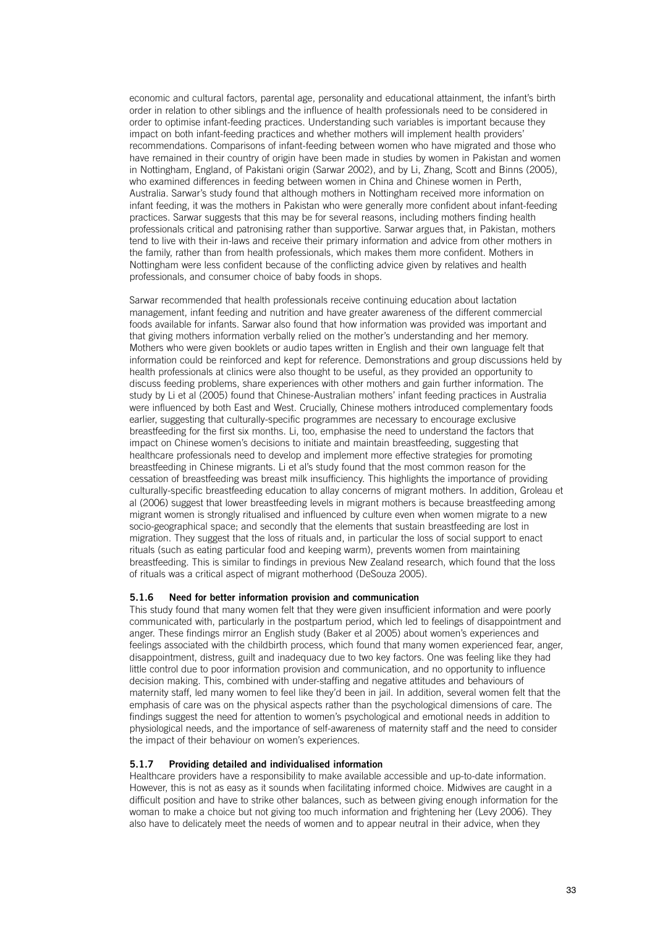economic and cultural factors, parental age, personality and educational attainment, the infant's birth order in relation to other siblings and the influence of health professionals need to be considered in order to optimise infant-feeding practices. Understanding such variables is important because they impact on both infant-feeding practices and whether mothers will implement health providers' recommendations. Comparisons of infant-feeding between women who have migrated and those who have remained in their country of origin have been made in studies by women in Pakistan and women in Nottingham, England, of Pakistani origin (Sarwar 2002), and by Li, Zhang, Scott and Binns (2005), who examined differences in feeding between women in China and Chinese women in Perth, Australia. Sarwar's study found that although mothers in Nottingham received more information on infant feeding, it was the mothers in Pakistan who were generally more confident about infant-feeding practices. Sarwar suggests that this may be for several reasons, including mothers finding health professionals critical and patronising rather than supportive. Sarwar argues that, in Pakistan, mothers tend to live with their in-laws and receive their primary information and advice from other mothers in the family, rather than from health professionals, which makes them more confident. Mothers in Nottingham were less confident because of the conflicting advice given by relatives and health professionals, and consumer choice of baby foods in shops.

Sarwar recommended that health professionals receive continuing education about lactation management, infant feeding and nutrition and have greater awareness of the different commercial foods available for infants. Sarwar also found that how information was provided was important and that giving mothers information verbally relied on the mother's understanding and her memory. Mothers who were given booklets or audio tapes written in English and their own language felt that information could be reinforced and kept for reference. Demonstrations and group discussions held by health professionals at clinics were also thought to be useful, as they provided an opportunity to discuss feeding problems, share experiences with other mothers and gain further information. The study by Li et al (2005) found that Chinese-Australian mothers' infant feeding practices in Australia were influenced by both East and West. Crucially, Chinese mothers introduced complementary foods earlier, suggesting that culturally-specific programmes are necessary to encourage exclusive breastfeeding for the first six months. Li, too, emphasise the need to understand the factors that impact on Chinese women's decisions to initiate and maintain breastfeeding, suggesting that healthcare professionals need to develop and implement more effective strategies for promoting breastfeeding in Chinese migrants. Li et al's study found that the most common reason for the cessation of breastfeeding was breast milk insufficiency. This highlights the importance of providing culturally-specific breastfeeding education to allay concerns of migrant mothers. In addition, Groleau et al (2006) suggest that lower breastfeeding levels in migrant mothers is because breastfeeding among migrant women is strongly ritualised and influenced by culture even when women migrate to a new socio-geographical space; and secondly that the elements that sustain breastfeeding are lost in migration. They suggest that the loss of rituals and, in particular the loss of social support to enact rituals (such as eating particular food and keeping warm), prevents women from maintaining breastfeeding. This is similar to findings in previous New Zealand research, which found that the loss of rituals was a critical aspect of migrant motherhood (DeSouza 2005).

#### **5.1.6 Need for better information provision and communication**

This study found that many women felt that they were given insufficient information and were poorly communicated with, particularly in the postpartum period, which led to feelings of disappointment and anger. These findings mirror an English study (Baker et al 2005) about women's experiences and feelings associated with the childbirth process, which found that many women experienced fear, anger, disappointment, distress, guilt and inadequacy due to two key factors. One was feeling like they had little control due to poor information provision and communication, and no opportunity to influence decision making. This, combined with under-staffing and negative attitudes and behaviours of maternity staff, led many women to feel like they'd been in jail. In addition, several women felt that the emphasis of care was on the physical aspects rather than the psychological dimensions of care. The findings suggest the need for attention to women's psychological and emotional needs in addition to physiological needs, and the importance of self-awareness of maternity staff and the need to consider the impact of their behaviour on women's experiences.

#### **5.1.7 Providing detailed and individualised information**

Healthcare providers have a responsibility to make available accessible and up-to-date information. However, this is not as easy as it sounds when facilitating informed choice. Midwives are caught in a difficult position and have to strike other balances, such as between giving enough information for the woman to make a choice but not giving too much information and frightening her (Levy 2006). They also have to delicately meet the needs of women and to appear neutral in their advice, when they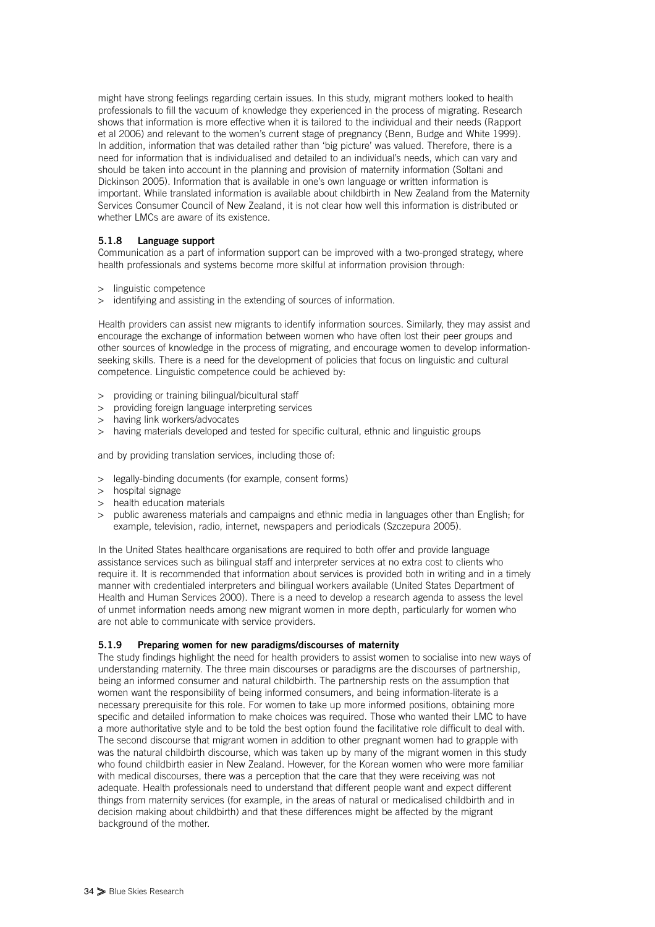might have strong feelings regarding certain issues. In this study, migrant mothers looked to health professionals to fill the vacuum of knowledge they experienced in the process of migrating. Research shows that information is more effective when it is tailored to the individual and their needs (Rapport et al 2006) and relevant to the women's current stage of pregnancy (Benn, Budge and White 1999). In addition, information that was detailed rather than 'big picture' was valued. Therefore, there is a need for information that is individualised and detailed to an individual's needs, which can vary and should be taken into account in the planning and provision of maternity information (Soltani and Dickinson 2005). Information that is available in one's own language or written information is important. While translated information is available about childbirth in New Zealand from the Maternity Services Consumer Council of New Zealand, it is not clear how well this information is distributed or whether LMCs are aware of its existence.

#### **5.1.8 Language support**

Communication as a part of information support can be improved with a two-pronged strategy, where health professionals and systems become more skilful at information provision through:

- > linguistic competence
- > identifying and assisting in the extending of sources of information.

Health providers can assist new migrants to identify information sources. Similarly, they may assist and encourage the exchange of information between women who have often lost their peer groups and other sources of knowledge in the process of migrating, and encourage women to develop informationseeking skills. There is a need for the development of policies that focus on linguistic and cultural competence. Linguistic competence could be achieved by:

- > providing or training bilingual/bicultural staff
- > providing foreign language interpreting services
- > having link workers/advocates
- > having materials developed and tested for specific cultural, ethnic and linguistic groups

and by providing translation services, including those of:

- > legally-binding documents (for example, consent forms)
- > hospital signage
- > health education materials
- > public awareness materials and campaigns and ethnic media in languages other than English; for example, television, radio, internet, newspapers and periodicals (Szczepura 2005).

In the United States healthcare organisations are required to both offer and provide language assistance services such as bilingual staff and interpreter services at no extra cost to clients who require it. It is recommended that information about services is provided both in writing and in a timely manner with credentialed interpreters and bilingual workers available (United States Department of Health and Human Services 2000). There is a need to develop a research agenda to assess the level of unmet information needs among new migrant women in more depth, particularly for women who are not able to communicate with service providers.

#### **5.1.9 Preparing women for new paradigms/discourses of maternity**

The study findings highlight the need for health providers to assist women to socialise into new ways of understanding maternity. The three main discourses or paradigms are the discourses of partnership, being an informed consumer and natural childbirth. The partnership rests on the assumption that women want the responsibility of being informed consumers, and being information-literate is a necessary prerequisite for this role. For women to take up more informed positions, obtaining more specific and detailed information to make choices was required. Those who wanted their LMC to have a more authoritative style and to be told the best option found the facilitative role difficult to deal with. The second discourse that migrant women in addition to other pregnant women had to grapple with was the natural childbirth discourse, which was taken up by many of the migrant women in this study who found childbirth easier in New Zealand. However, for the Korean women who were more familiar with medical discourses, there was a perception that the care that they were receiving was not adequate. Health professionals need to understand that different people want and expect different things from maternity services (for example, in the areas of natural or medicalised childbirth and in decision making about childbirth) and that these differences might be affected by the migrant background of the mother.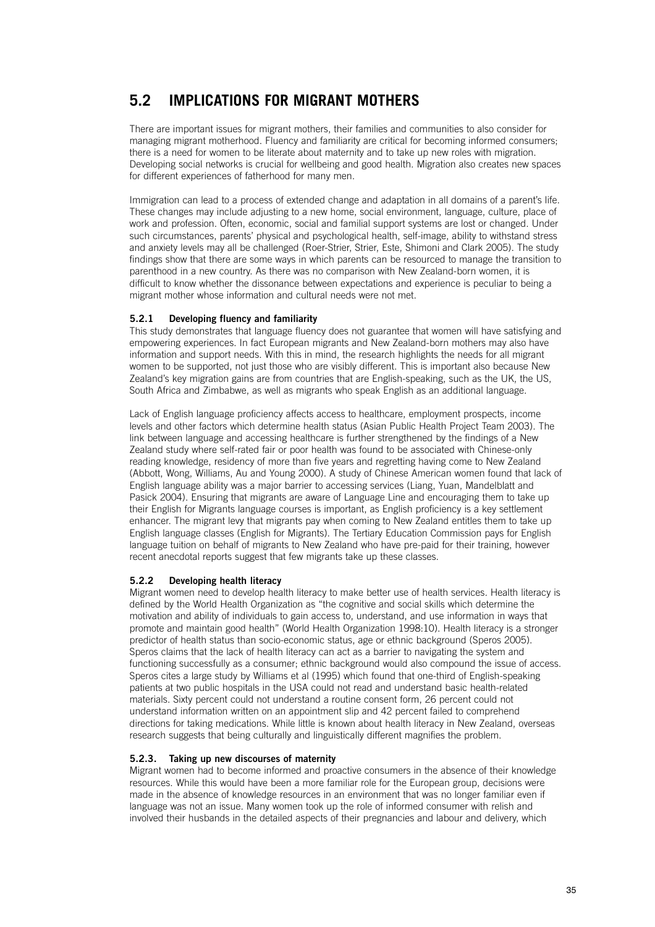## **5.2 IMPLICATIONS FOR MIGRANT MOTHERS**

There are important issues for migrant mothers, their families and communities to also consider for managing migrant motherhood. Fluency and familiarity are critical for becoming informed consumers; there is a need for women to be literate about maternity and to take up new roles with migration. Developing social networks is crucial for wellbeing and good health. Migration also creates new spaces for different experiences of fatherhood for many men.

Immigration can lead to a process of extended change and adaptation in all domains of a parent's life. These changes may include adjusting to a new home, social environment, language, culture, place of work and profession. Often, economic, social and familial support systems are lost or changed. Under such circumstances, parents' physical and psychological health, self-image, ability to withstand stress and anxiety levels may all be challenged (Roer-Strier, Strier, Este, Shimoni and Clark 2005). The study findings show that there are some ways in which parents can be resourced to manage the transition to parenthood in a new country. As there was no comparison with New Zealand-born women, it is difficult to know whether the dissonance between expectations and experience is peculiar to being a migrant mother whose information and cultural needs were not met.

#### **5.2.1 Developing fluency and familiarity**

This study demonstrates that language fluency does not guarantee that women will have satisfying and empowering experiences. In fact European migrants and New Zealand-born mothers may also have information and support needs. With this in mind, the research highlights the needs for all migrant women to be supported, not just those who are visibly different. This is important also because New Zealand's key migration gains are from countries that are English-speaking, such as the UK, the US, South Africa and Zimbabwe, as well as migrants who speak English as an additional language.

Lack of English language proficiency affects access to healthcare, employment prospects, income levels and other factors which determine health status (Asian Public Health Project Team 2003). The link between language and accessing healthcare is further strengthened by the findings of a New Zealand study where self-rated fair or poor health was found to be associated with Chinese-only reading knowledge, residency of more than five years and regretting having come to New Zealand (Abbott, Wong, Williams, Au and Young 2000). A study of Chinese American women found that lack of English language ability was a major barrier to accessing services (Liang, Yuan, Mandelblatt and Pasick 2004). Ensuring that migrants are aware of Language Line and encouraging them to take up their English for Migrants language courses is important, as English proficiency is a key settlement enhancer. The migrant levy that migrants pay when coming to New Zealand entitles them to take up English language classes (English for Migrants). The Tertiary Education Commission pays for English language tuition on behalf of migrants to New Zealand who have pre-paid for their training, however recent anecdotal reports suggest that few migrants take up these classes.

#### **5.2.2 Developing health literacy**

Migrant women need to develop health literacy to make better use of health services. Health literacy is defined by the World Health Organization as "the cognitive and social skills which determine the motivation and ability of individuals to gain access to, understand, and use information in ways that promote and maintain good health" (World Health Organization 1998:10). Health literacy is a stronger predictor of health status than socio-economic status, age or ethnic background (Speros 2005). Speros claims that the lack of health literacy can act as a barrier to navigating the system and functioning successfully as a consumer; ethnic background would also compound the issue of access. Speros cites a large study by Williams et al (1995) which found that one-third of English-speaking patients at two public hospitals in the USA could not read and understand basic health-related materials. Sixty percent could not understand a routine consent form, 26 percent could not understand information written on an appointment slip and 42 percent failed to comprehend directions for taking medications. While little is known about health literacy in New Zealand, overseas research suggests that being culturally and linguistically different magnifies the problem.

#### **5.2.3. Taking up new discourses of maternity**

Migrant women had to become informed and proactive consumers in the absence of their knowledge resources. While this would have been a more familiar role for the European group, decisions were made in the absence of knowledge resources in an environment that was no longer familiar even if language was not an issue. Many women took up the role of informed consumer with relish and involved their husbands in the detailed aspects of their pregnancies and labour and delivery, which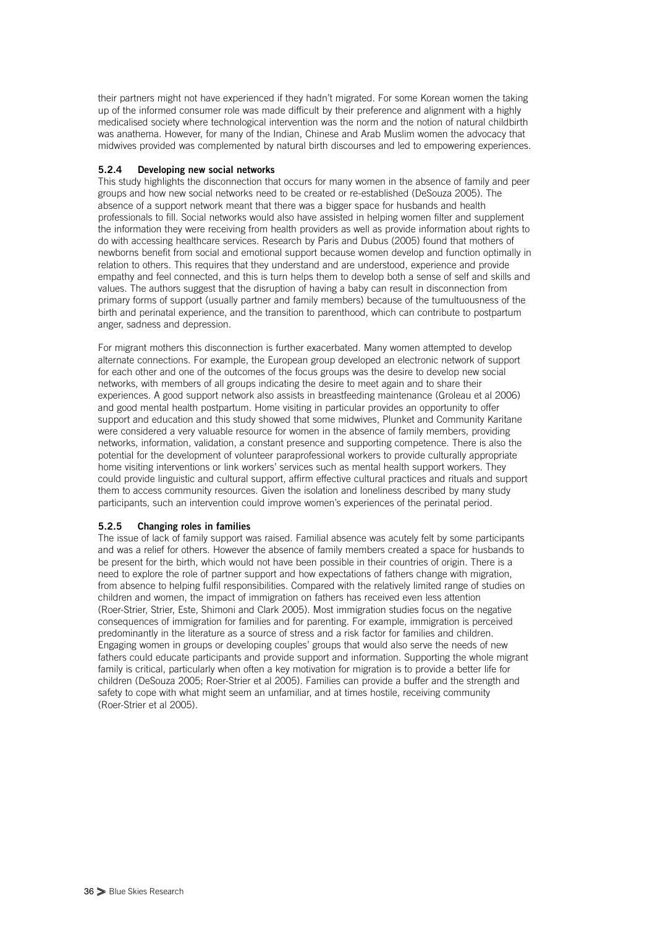their partners might not have experienced if they hadn't migrated. For some Korean women the taking up of the informed consumer role was made difficult by their preference and alignment with a highly medicalised society where technological intervention was the norm and the notion of natural childbirth was anathema. However, for many of the Indian, Chinese and Arab Muslim women the advocacy that midwives provided was complemented by natural birth discourses and led to empowering experiences.

#### **5.2.4 Developing new social networks**

This study highlights the disconnection that occurs for many women in the absence of family and peer groups and how new social networks need to be created or re-established (DeSouza 2005). The absence of a support network meant that there was a bigger space for husbands and health professionals to fill. Social networks would also have assisted in helping women filter and supplement the information they were receiving from health providers as well as provide information about rights to do with accessing healthcare services. Research by Paris and Dubus (2005) found that mothers of newborns benefit from social and emotional support because women develop and function optimally in relation to others. This requires that they understand and are understood, experience and provide empathy and feel connected, and this is turn helps them to develop both a sense of self and skills and values. The authors suggest that the disruption of having a baby can result in disconnection from primary forms of support (usually partner and family members) because of the tumultuousness of the birth and perinatal experience, and the transition to parenthood, which can contribute to postpartum anger, sadness and depression.

For migrant mothers this disconnection is further exacerbated. Many women attempted to develop alternate connections. For example, the European group developed an electronic network of support for each other and one of the outcomes of the focus groups was the desire to develop new social networks, with members of all groups indicating the desire to meet again and to share their experiences. A good support network also assists in breastfeeding maintenance (Groleau et al 2006) and good mental health postpartum. Home visiting in particular provides an opportunity to offer support and education and this study showed that some midwives, Plunket and Community Karitane were considered a very valuable resource for women in the absence of family members, providing networks, information, validation, a constant presence and supporting competence. There is also the potential for the development of volunteer paraprofessional workers to provide culturally appropriate home visiting interventions or link workers' services such as mental health support workers. They could provide linguistic and cultural support, affirm effective cultural practices and rituals and support them to access community resources. Given the isolation and loneliness described by many study participants, such an intervention could improve women's experiences of the perinatal period.

#### **5.2.5 Changing roles in families**

The issue of lack of family support was raised. Familial absence was acutely felt by some participants and was a relief for others. However the absence of family members created a space for husbands to be present for the birth, which would not have been possible in their countries of origin. There is a need to explore the role of partner support and how expectations of fathers change with migration, from absence to helping fulfil responsibilities. Compared with the relatively limited range of studies on children and women, the impact of immigration on fathers has received even less attention (Roer-Strier, Strier, Este, Shimoni and Clark 2005). Most immigration studies focus on the negative consequences of immigration for families and for parenting. For example, immigration is perceived predominantly in the literature as a source of stress and a risk factor for families and children. Engaging women in groups or developing couples' groups that would also serve the needs of new fathers could educate participants and provide support and information. Supporting the whole migrant family is critical, particularly when often a key motivation for migration is to provide a better life for children (DeSouza 2005; Roer-Strier et al 2005). Families can provide a buffer and the strength and safety to cope with what might seem an unfamiliar, and at times hostile, receiving community (Roer-Strier et al 2005).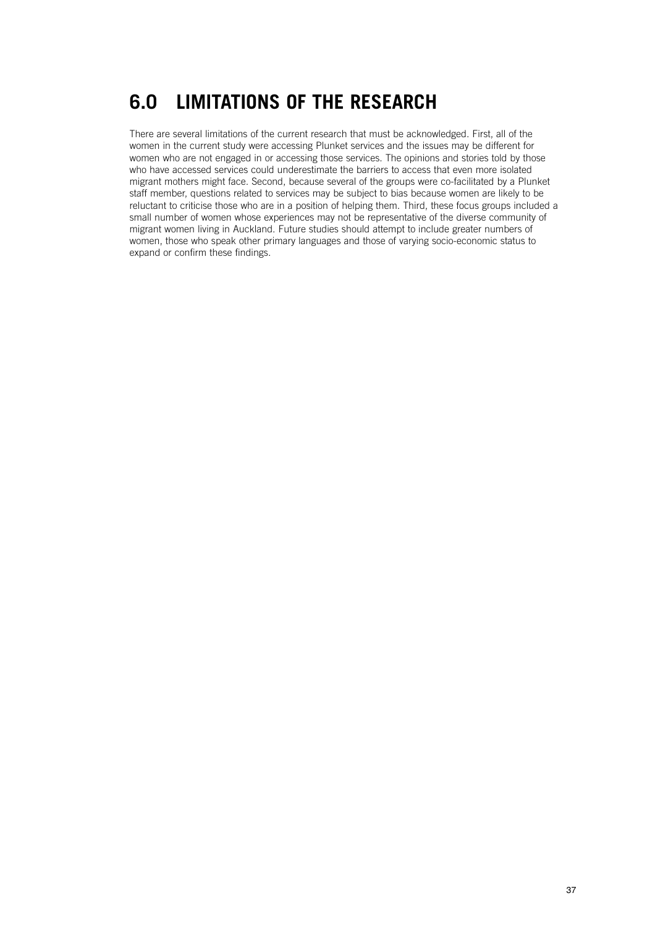## **6.0 LIMITATIONS OF THE RESEARCH**

There are several limitations of the current research that must be acknowledged. First, all of the women in the current study were accessing Plunket services and the issues may be different for women who are not engaged in or accessing those services. The opinions and stories told by those who have accessed services could underestimate the barriers to access that even more isolated migrant mothers might face. Second, because several of the groups were co-facilitated by a Plunket staff member, questions related to services may be subject to bias because women are likely to be reluctant to criticise those who are in a position of helping them. Third, these focus groups included a small number of women whose experiences may not be representative of the diverse community of migrant women living in Auckland. Future studies should attempt to include greater numbers of women, those who speak other primary languages and those of varying socio-economic status to expand or confirm these findings.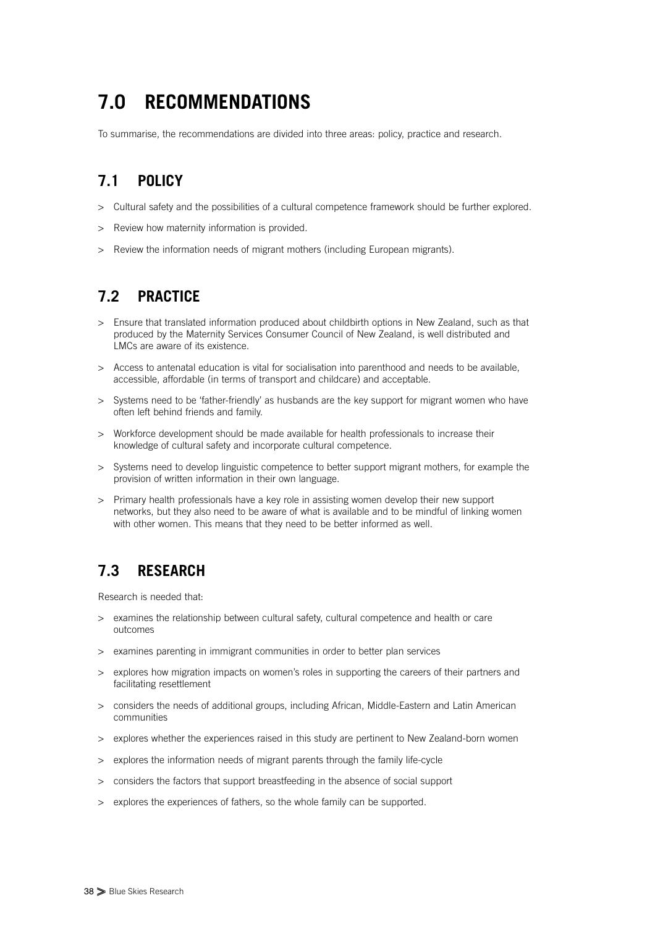# **7.0 RECOMMENDATIONS**

To summarise, the recommendations are divided into three areas: policy, practice and research.

## **7.1 POLICY**

- > Cultural safety and the possibilities of a cultural competence framework should be further explored.
- > Review how maternity information is provided.
- > Review the information needs of migrant mothers (including European migrants).

## **7.2 PRACTICE**

- > Ensure that translated information produced about childbirth options in New Zealand, such as that produced by the Maternity Services Consumer Council of New Zealand, is well distributed and LMCs are aware of its existence.
- > Access to antenatal education is vital for socialisation into parenthood and needs to be available, accessible, affordable (in terms of transport and childcare) and acceptable.
- > Systems need to be 'father-friendly' as husbands are the key support for migrant women who have often left behind friends and family.
- > Workforce development should be made available for health professionals to increase their knowledge of cultural safety and incorporate cultural competence.
- > Systems need to develop linguistic competence to better support migrant mothers, for example the provision of written information in their own language.
- > Primary health professionals have a key role in assisting women develop their new support networks, but they also need to be aware of what is available and to be mindful of linking women with other women. This means that they need to be better informed as well.

## **7.3 RESEARCH**

Research is needed that:

- > examines the relationship between cultural safety, cultural competence and health or care outcomes
- > examines parenting in immigrant communities in order to better plan services
- > explores how migration impacts on women's roles in supporting the careers of their partners and facilitating resettlement
- > considers the needs of additional groups, including African, Middle-Eastern and Latin American communities
- > explores whether the experiences raised in this study are pertinent to New Zealand-born women
- > explores the information needs of migrant parents through the family life-cycle
- > considers the factors that support breastfeeding in the absence of social support
- > explores the experiences of fathers, so the whole family can be supported.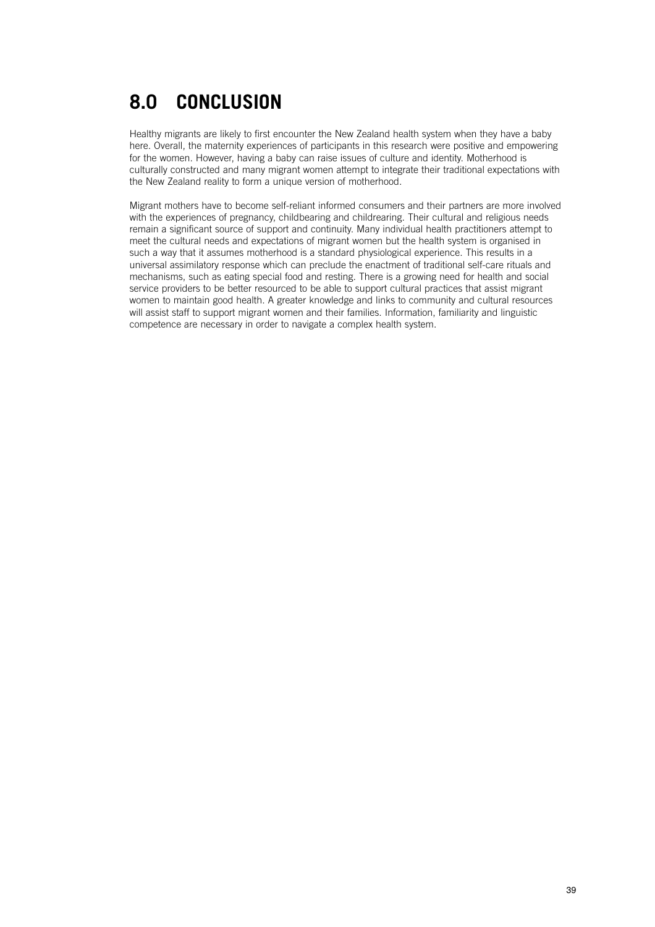# **8.0 CONCLUSION**

Healthy migrants are likely to first encounter the New Zealand health system when they have a baby here. Overall, the maternity experiences of participants in this research were positive and empowering for the women. However, having a baby can raise issues of culture and identity. Motherhood is culturally constructed and many migrant women attempt to integrate their traditional expectations with the New Zealand reality to form a unique version of motherhood.

Migrant mothers have to become self-reliant informed consumers and their partners are more involved with the experiences of pregnancy, childbearing and childrearing. Their cultural and religious needs remain a significant source of support and continuity. Many individual health practitioners attempt to meet the cultural needs and expectations of migrant women but the health system is organised in such a way that it assumes motherhood is a standard physiological experience. This results in a universal assimilatory response which can preclude the enactment of traditional self-care rituals and mechanisms, such as eating special food and resting. There is a growing need for health and social service providers to be better resourced to be able to support cultural practices that assist migrant women to maintain good health. A greater knowledge and links to community and cultural resources will assist staff to support migrant women and their families. Information, familiarity and linguistic competence are necessary in order to navigate a complex health system.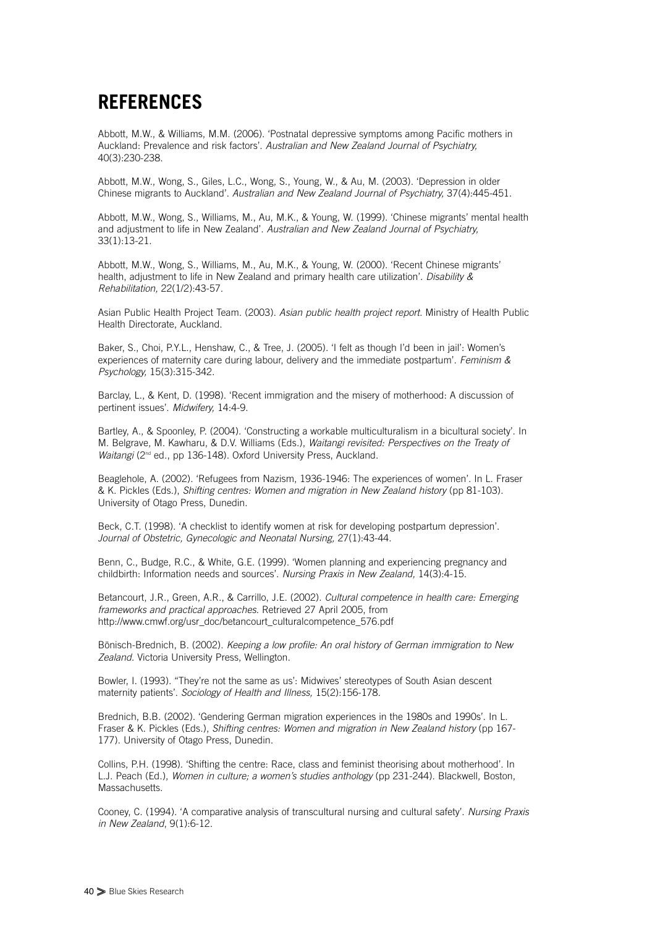## **REFERENCES**

Abbott, M.W., & Williams, M.M. (2006). 'Postnatal depressive symptoms among Pacific mothers in Auckland: Prevalence and risk factors'. *Australian and New Zealand Journal of Psychiatry,* 40(3):230-238.

Abbott, M.W., Wong, S., Giles, L.C., Wong, S., Young, W., & Au, M. (2003). 'Depression in older Chinese migrants to Auckland'. *Australian and New Zealand Journal of Psychiatry,* 37(4):445-451.

Abbott, M.W., Wong, S., Williams, M., Au, M.K., & Young, W. (1999). 'Chinese migrants' mental health and adjustment to life in New Zealand'. *Australian and New Zealand Journal of Psychiatry,* 33(1):13-21.

Abbott, M.W., Wong, S., Williams, M., Au, M.K., & Young, W. (2000). 'Recent Chinese migrants' health, adjustment to life in New Zealand and primary health care utilization'. *Disability & Rehabilitation,* 22(1/2):43-57.

Asian Public Health Project Team. (2003). *Asian public health project report.* Ministry of Health Public Health Directorate, Auckland.

Baker, S., Choi, P.Y.L., Henshaw, C., & Tree, J. (2005). 'I felt as though I'd been in jail': Women's experiences of maternity care during labour, delivery and the immediate postpartum'. *Feminism & Psychology,* 15(3):315-342.

Barclay, L., & Kent, D. (1998). 'Recent immigration and the misery of motherhood: A discussion of pertinent issues'. *Midwifery,* 14:4-9.

Bartley, A., & Spoonley, P. (2004). 'Constructing a workable multiculturalism in a bicultural society'. In M. Belgrave, M. Kawharu, & D.V. Williams (Eds.), *Waitangi revisited: Perspectives on the Treaty of Waitangi* (2<sup>nd</sup> ed., pp 136-148). Oxford University Press, Auckland.

Beaglehole, A. (2002). 'Refugees from Nazism, 1936-1946: The experiences of women'. In L. Fraser & K. Pickles (Eds.), *Shifting centres: Women and migration in New Zealand history* (pp 81-103). University of Otago Press, Dunedin.

Beck, C.T. (1998). 'A checklist to identify women at risk for developing postpartum depression'. *Journal of Obstetric, Gynecologic and Neonatal Nursing,* 27(1):43-44.

Benn, C., Budge, R.C., & White, G.E. (1999). 'Women planning and experiencing pregnancy and childbirth: Information needs and sources'. *Nursing Praxis in New Zealand,* 14(3):4-15.

Betancourt, J.R., Green, A.R., & Carrillo, J.E. (2002). *Cultural competence in health care: Emerging frameworks and practical approaches.* Retrieved 27 April 2005, from http://www.cmwf.org/usr\_doc/betancourt\_culturalcompetence\_576.pdf

Bönisch-Brednich, B. (2002). *Keeping a low profile: An oral history of German immigration to New Zealand.* Victoria University Press, Wellington.

Bowler, I. (1993). "They're not the same as us': Midwives' stereotypes of South Asian descent maternity patients'. *Sociology of Health and Illness,* 15(2):156-178.

Brednich, B.B. (2002). 'Gendering German migration experiences in the 1980s and 1990s'. In L. Fraser & K. Pickles (Eds.), *Shifting centres: Women and migration in New Zealand history* (pp 167- 177). University of Otago Press, Dunedin.

Collins, P.H. (1998). 'Shifting the centre: Race, class and feminist theorising about motherhood'. In L.J. Peach (Ed.), *Women in culture; a women's studies anthology* (pp 231-244). Blackwell, Boston, Massachusetts.

Cooney, C. (1994). 'A comparative analysis of transcultural nursing and cultural safety'. *Nursing Praxis in New Zealand*, 9(1):6-12.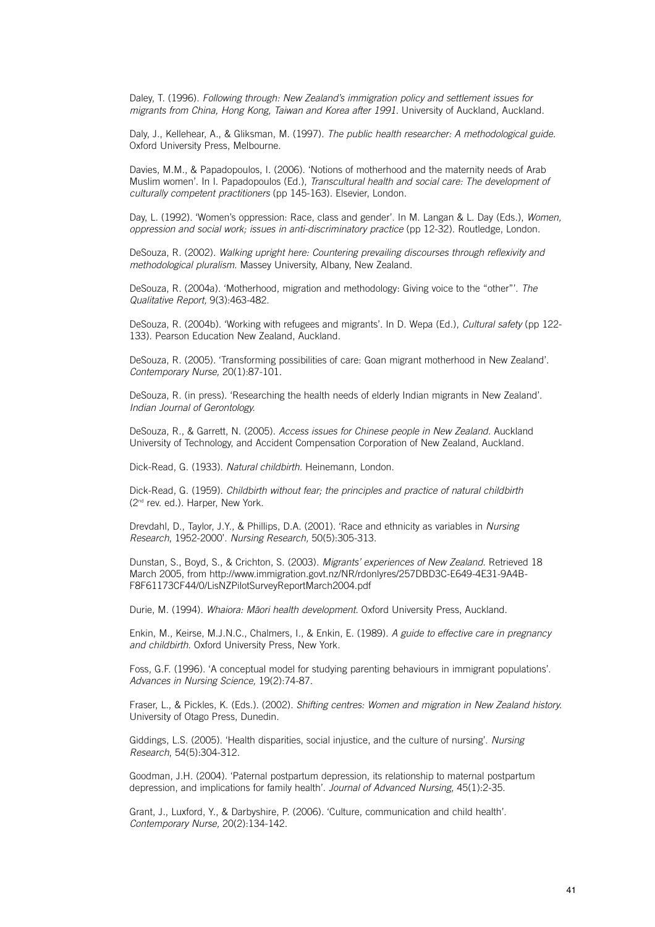Daley, T. (1996). *Following through: New Zealand's immigration policy and settlement issues for migrants from China, Hong Kong, Taiwan and Korea after 1991.* University of Auckland, Auckland.

Daly, J., Kellehear, A., & Gliksman, M. (1997). *The public health researcher: A methodological guide.* Oxford University Press, Melbourne.

Davies, M.M., & Papadopoulos, I. (2006). 'Notions of motherhood and the maternity needs of Arab Muslim women'. In I. Papadopoulos (Ed.), *Transcultural health and social care: The development of culturally competent practitioners* (pp 145-163). Elsevier, London.

Day, L. (1992). 'Women's oppression: Race, class and gender'. In M. Langan & L. Day (Eds.), *Women, oppression and social work; issues in anti-discriminatory practice* (pp 12-32). Routledge, London.

DeSouza, R. (2002). *Walking upright here: Countering prevailing discourses through reflexivity and methodological pluralism.* Massey University, Albany, New Zealand.

DeSouza, R. (2004a). 'Motherhood, migration and methodology: Giving voice to the "other"'. *The Qualitative Report,* 9(3):463-482.

DeSouza, R. (2004b). 'Working with refugees and migrants'. In D. Wepa (Ed.), *Cultural safety* (pp 122- 133). Pearson Education New Zealand, Auckland.

DeSouza, R. (2005). 'Transforming possibilities of care: Goan migrant motherhood in New Zealand'. *Contemporary Nurse,* 20(1):87-101.

DeSouza, R. (in press). 'Researching the health needs of elderly Indian migrants in New Zealand'. *Indian Journal of Gerontology.*

DeSouza, R., & Garrett, N. (2005). *Access issues for Chinese people in New Zealand.* Auckland University of Technology, and Accident Compensation Corporation of New Zealand, Auckland.

Dick-Read, G. (1933). *Natural childbirth.* Heinemann, London.

Dick-Read, G. (1959). *Childbirth without fear; the principles and practice of natural childbirth* (2nd rev. ed.). Harper, New York.

Drevdahl, D., Taylor, J.Y., & Phillips, D.A. (2001). 'Race and ethnicity as variables in *Nursing Research*, 1952-2000'. *Nursing Research,* 50(5):305-313.

Dunstan, S., Boyd, S., & Crichton, S. (2003). *Migrants' experiences of New Zealand.* Retrieved 18 March 2005, from http://www.immigration.govt.nz/NR/rdonlyres/257DBD3C-E649-4E31-9A4B-F8F61173CF44/0/LisNZPilotSurveyReportMarch2004.pdf

Durie, M. (1994). Whaiora: Māori health development. Oxford University Press, Auckland.

Enkin, M., Keirse, M.J.N.C., Chalmers, I., & Enkin, E. (1989). *A guide to effective care in pregnancy and childbirth.* Oxford University Press, New York.

Foss, G.F. (1996). 'A conceptual model for studying parenting behaviours in immigrant populations'. *Advances in Nursing Science,* 19(2):74-87.

Fraser, L., & Pickles, K. (Eds.). (2002). *Shifting centres: Women and migration in New Zealand history.* University of Otago Press, Dunedin.

Giddings, L.S. (2005). 'Health disparities, social injustice, and the culture of nursing'. *Nursing Research*, 54(5):304-312.

Goodman, J.H. (2004). 'Paternal postpartum depression, its relationship to maternal postpartum depression, and implications for family health'. *Journal of Advanced Nursing,* 45(1):2-35.

Grant, J., Luxford, Y., & Darbyshire, P. (2006). 'Culture, communication and child health'. *Contemporary Nurse,* 20(2):134-142.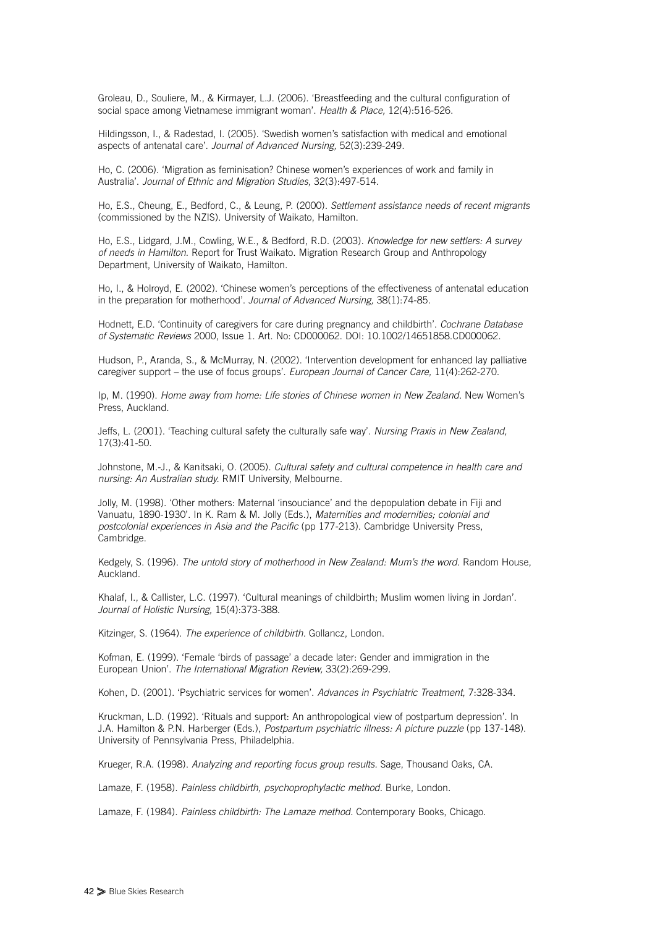Groleau, D., Souliere, M., & Kirmayer, L.J. (2006). 'Breastfeeding and the cultural configuration of social space among Vietnamese immigrant woman'. *Health & Place,* 12(4):516-526.

Hildingsson, I., & Radestad, I. (2005). 'Swedish women's satisfaction with medical and emotional aspects of antenatal care'. *Journal of Advanced Nursing,* 52(3):239-249.

Ho, C. (2006). 'Migration as feminisation? Chinese women's experiences of work and family in Australia'. *Journal of Ethnic and Migration Studies,* 32(3):497-514.

Ho, E.S., Cheung, E., Bedford, C., & Leung, P. (2000). *Settlement assistance needs of recent migrants* (commissioned by the NZIS). University of Waikato, Hamilton.

Ho, E.S., Lidgard, J.M., Cowling, W.E., & Bedford, R.D. (2003). *Knowledge for new settlers: A survey of needs in Hamilton.* Report for Trust Waikato. Migration Research Group and Anthropology Department, University of Waikato, Hamilton.

Ho, I., & Holroyd, E. (2002). 'Chinese women's perceptions of the effectiveness of antenatal education in the preparation for motherhood'. *Journal of Advanced Nursing,* 38(1):74-85.

Hodnett, E.D. 'Continuity of caregivers for care during pregnancy and childbirth'. *Cochrane Database of Systematic Reviews* 2000, Issue 1. Art. No: CD000062. DOI: 10.1002/14651858.CD000062.

Hudson, P., Aranda, S., & McMurray, N. (2002). 'Intervention development for enhanced lay palliative caregiver support – the use of focus groups'. *European Journal of Cancer Care,* 11(4):262-270.

Ip, M. (1990). *Home away from home: Life stories of Chinese women in New Zealand.* New Women's Press, Auckland.

Jeffs, L. (2001). 'Teaching cultural safety the culturally safe way'. *Nursing Praxis in New Zealand,* 17(3):41-50.

Johnstone, M.-J., & Kanitsaki, O. (2005). *Cultural safety and cultural competence in health care and nursing: An Australian study.* RMIT University, Melbourne.

Jolly, M. (1998). 'Other mothers: Maternal 'insouciance' and the depopulation debate in Fiji and Vanuatu, 1890-1930'. In K. Ram & M. Jolly (Eds.), *Maternities and modernities; colonial and postcolonial experiences in Asia and the Pacific* (pp 177-213). Cambridge University Press, Cambridge.

Kedgely, S. (1996). *The untold story of motherhood in New Zealand: Mum's the word.* Random House, Auckland.

Khalaf, I., & Callister, L.C. (1997). 'Cultural meanings of childbirth; Muslim women living in Jordan'. *Journal of Holistic Nursing,* 15(4):373-388.

Kitzinger, S. (1964). *The experience of childbirth.* Gollancz, London.

Kofman, E. (1999). 'Female 'birds of passage' a decade later: Gender and immigration in the European Union'. *The International Migration Review,* 33(2):269-299.

Kohen, D. (2001). 'Psychiatric services for women'. *Advances in Psychiatric Treatment,* 7:328-334.

Kruckman, L.D. (1992). 'Rituals and support: An anthropological view of postpartum depression'. In J.A. Hamilton & P.N. Harberger (Eds.), *Postpartum psychiatric illness: A picture puzzle* (pp 137-148). University of Pennsylvania Press, Philadelphia.

Krueger, R.A. (1998). *Analyzing and reporting focus group results.* Sage, Thousand Oaks, CA.

Lamaze, F. (1958). *Painless childbirth, psychoprophylactic method.* Burke, London.

Lamaze, F. (1984). *Painless childbirth: The Lamaze method.* Contemporary Books, Chicago.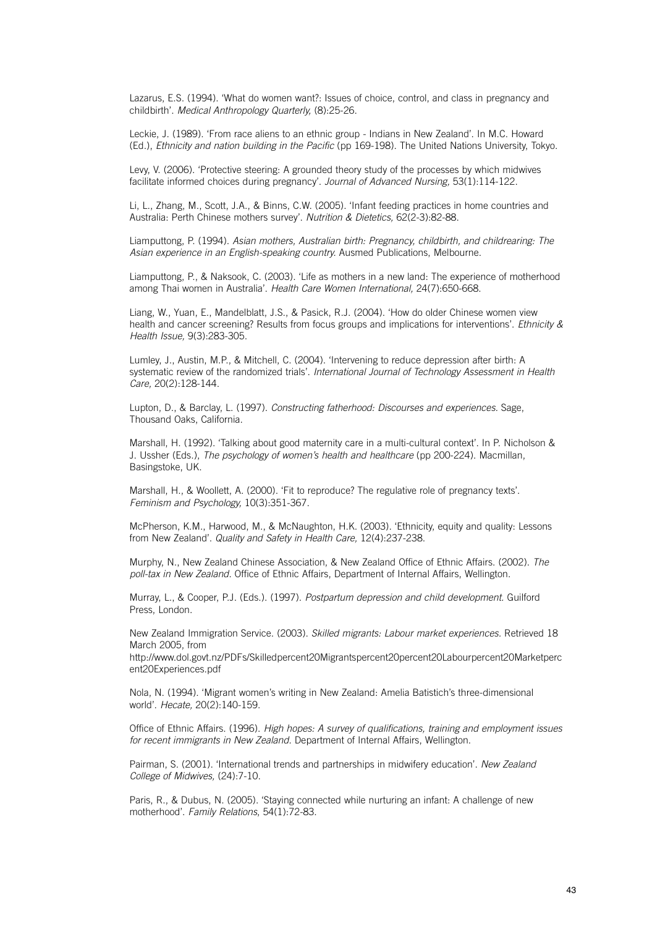Lazarus, E.S. (1994). 'What do women want?: Issues of choice, control, and class in pregnancy and childbirth'. *Medical Anthropology Quarterly,* (8):25-26.

Leckie, J. (1989). 'From race aliens to an ethnic group - Indians in New Zealand'. In M.C. Howard (Ed.), *Ethnicity and nation building in the Pacific* (pp 169-198). The United Nations University, Tokyo.

Levy, V. (2006). 'Protective steering: A grounded theory study of the processes by which midwives facilitate informed choices during pregnancy'. *Journal of Advanced Nursing,* 53(1):114-122.

Li, L., Zhang, M., Scott, J.A., & Binns, C.W. (2005). 'Infant feeding practices in home countries and Australia: Perth Chinese mothers survey'. *Nutrition & Dietetics,* 62(2-3):82-88.

Liamputtong, P. (1994). *Asian mothers, Australian birth: Pregnancy, childbirth, and childrearing: The Asian experience in an English-speaking country.* Ausmed Publications, Melbourne.

Liamputtong, P., & Naksook, C. (2003). 'Life as mothers in a new land: The experience of motherhood among Thai women in Australia'. *Health Care Women International,* 24(7):650-668.

Liang, W., Yuan, E., Mandelblatt, J.S., & Pasick, R.J. (2004). 'How do older Chinese women view health and cancer screening? Results from focus groups and implications for interventions'. *Ethnicity & Health Issue,* 9(3):283-305.

Lumley, J., Austin, M.P., & Mitchell, C. (2004). 'Intervening to reduce depression after birth: A systematic review of the randomized trials'. *International Journal of Technology Assessment in Health Care,* 20(2):128-144.

Lupton, D., & Barclay, L. (1997). *Constructing fatherhood: Discourses and experiences.* Sage, Thousand Oaks, California.

Marshall, H. (1992). 'Talking about good maternity care in a multi-cultural context'. In P. Nicholson & J. Ussher (Eds.), *The psychology of women's health and healthcare* (pp 200-224). Macmillan, Basingstoke, UK.

Marshall, H., & Woollett, A. (2000). 'Fit to reproduce? The regulative role of pregnancy texts'. *Feminism and Psychology,* 10(3):351-367.

McPherson, K.M., Harwood, M., & McNaughton, H.K. (2003). 'Ethnicity, equity and quality: Lessons from New Zealand'. *Quality and Safety in Health Care,* 12(4):237-238.

Murphy, N., New Zealand Chinese Association, & New Zealand Office of Ethnic Affairs. (2002). *The poll-tax in New Zealand.* Office of Ethnic Affairs, Department of Internal Affairs, Wellington.

Murray, L., & Cooper, P.J. (Eds.). (1997). *Postpartum depression and child development.* Guilford Press, London.

New Zealand Immigration Service. (2003). *Skilled migrants: Labour market experiences.* Retrieved 18 March 2005, from

http://www.dol.govt.nz/PDFs/Skilledpercent20Migrantspercent20percent20Labourpercent20Marketperc ent20Experiences.pdf

Nola, N. (1994). 'Migrant women's writing in New Zealand: Amelia Batistich's three-dimensional world'. *Hecate,* 20(2):140-159.

Office of Ethnic Affairs. (1996). *High hopes: A survey of qualifications, training and employment issues for recent immigrants in New Zealand.* Department of Internal Affairs, Wellington.

Pairman, S. (2001). 'International trends and partnerships in midwifery education'. *New Zealand College of Midwives,* (24):7-10.

Paris, R., & Dubus, N. (2005). 'Staying connected while nurturing an infant: A challenge of new motherhood'. *Family Relations*, 54(1):72-83.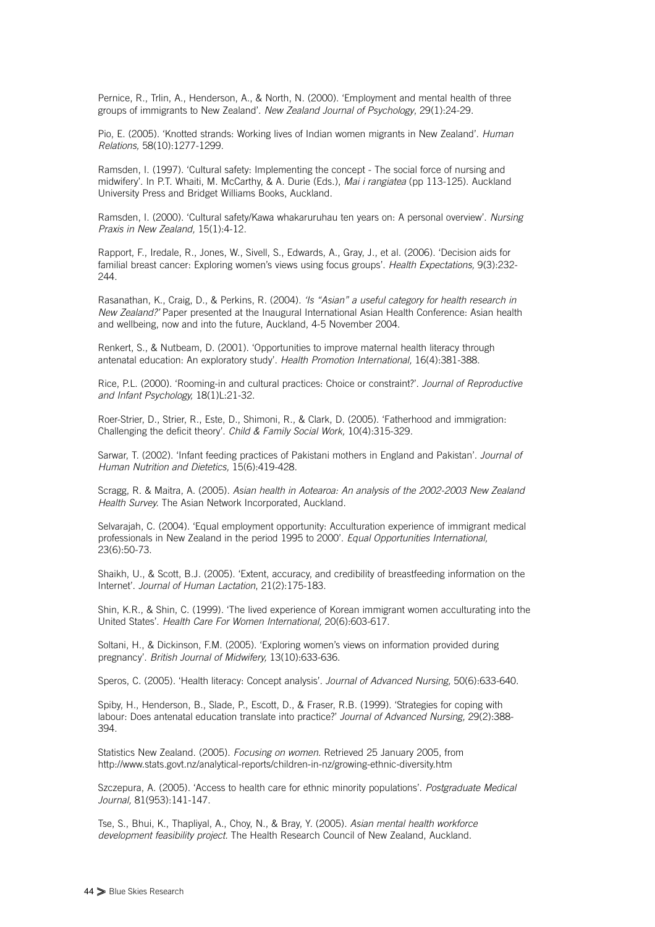Pernice, R., Trlin, A., Henderson, A., & North, N. (2000). 'Employment and mental health of three groups of immigrants to New Zealand'. *New Zealand Journal of Psychology*, 29(1):24-29.

Pio, E. (2005). 'Knotted strands: Working lives of Indian women migrants in New Zealand'. *Human Relations,* 58(10):1277-1299.

Ramsden, I. (1997). 'Cultural safety: Implementing the concept - The social force of nursing and midwifery'. In P.T. Whaiti, M. McCarthy, & A. Durie (Eds.), *Mai i rangiatea* (pp 113-125). Auckland University Press and Bridget Williams Books, Auckland.

Ramsden, I. (2000). 'Cultural safety/Kawa whakaruruhau ten years on: A personal overview'. *Nursing Praxis in New Zealand,* 15(1):4-12.

Rapport, F., Iredale, R., Jones, W., Sivell, S., Edwards, A., Gray, J., et al. (2006). 'Decision aids for familial breast cancer: Exploring women's views using focus groups'. *Health Expectations,* 9(3):232- 244

Rasanathan, K., Craig, D., & Perkins, R. (2004). *'Is "Asian" a useful category for health research in New Zealand?'* Paper presented at the Inaugural International Asian Health Conference: Asian health and wellbeing, now and into the future, Auckland, 4-5 November 2004.

Renkert, S., & Nutbeam, D. (2001). 'Opportunities to improve maternal health literacy through antenatal education: An exploratory study'. *Health Promotion International,* 16(4):381-388.

Rice, P.L. (2000). 'Rooming-in and cultural practices: Choice or constraint?'. *Journal of Reproductive and Infant Psychology,* 18(1)L:21-32.

Roer-Strier, D., Strier, R., Este, D., Shimoni, R., & Clark, D. (2005). 'Fatherhood and immigration: Challenging the deficit theory'. *Child & Family Social Work,* 10(4):315-329.

Sarwar, T. (2002). 'Infant feeding practices of Pakistani mothers in England and Pakistan'. *Journal of Human Nutrition and Dietetics,* 15(6):419-428.

Scragg, R. & Maitra, A. (2005). *Asian health in Aotearoa: An analysis of the 2002-2003 New Zealand Health Survey.* The Asian Network Incorporated, Auckland.

Selvarajah, C. (2004). 'Equal employment opportunity: Acculturation experience of immigrant medical professionals in New Zealand in the period 1995 to 2000'. *Equal Opportunities International,* 23(6):50-73.

Shaikh, U., & Scott, B.J. (2005). 'Extent, accuracy, and credibility of breastfeeding information on the Internet'. *Journal of Human Lactation*, 21(2):175-183.

Shin, K.R., & Shin, C. (1999). 'The lived experience of Korean immigrant women acculturating into the United States'. *Health Care For Women International,* 20(6):603-617.

Soltani, H., & Dickinson, F.M. (2005). 'Exploring women's views on information provided during pregnancy'. *British Journal of Midwifery,* 13(10):633-636.

Speros, C. (2005). 'Health literacy: Concept analysis'. *Journal of Advanced Nursing,* 50(6):633-640.

Spiby, H., Henderson, B., Slade, P., Escott, D., & Fraser, R.B. (1999). 'Strategies for coping with labour: Does antenatal education translate into practice?' *Journal of Advanced Nursing,* 29(2):388- 394.

Statistics New Zealand. (2005). *Focusing on women.* Retrieved 25 January 2005, from http://www.stats.govt.nz/analytical-reports/children-in-nz/growing-ethnic-diversity.htm

Szczepura, A. (2005). 'Access to health care for ethnic minority populations'. *Postgraduate Medical Journal,* 81(953):141-147.

Tse, S., Bhui, K., Thapliyal, A., Choy, N., & Bray, Y. (2005). *Asian mental health workforce development feasibility project.* The Health Research Council of New Zealand, Auckland.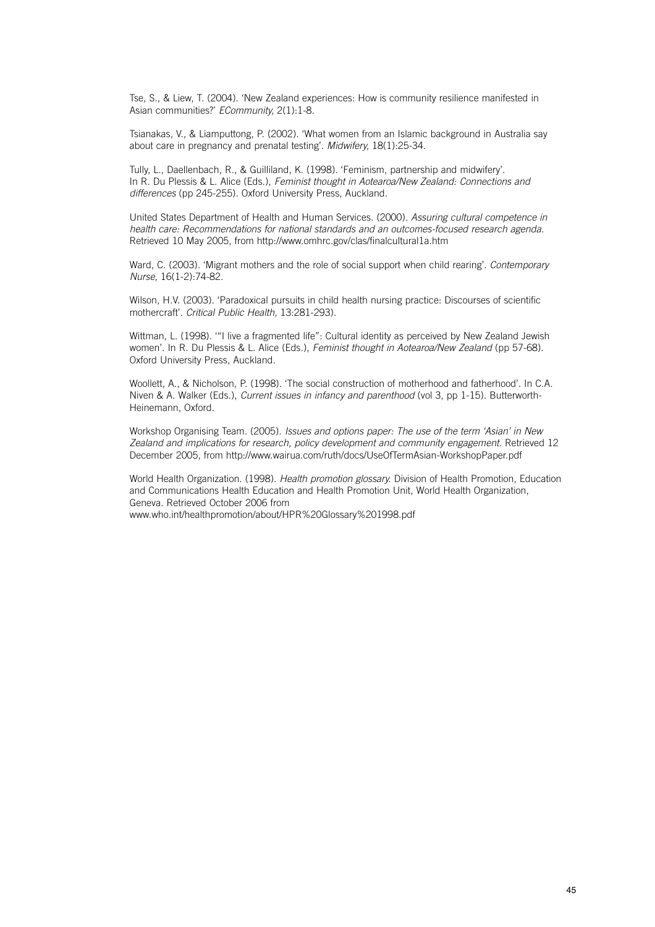Tse, S., & Liew, T. (2004). 'New Zealand experiences: How is community resilience manifested in Asian communities?' *ECommunity,* 2(1):1-8.

Tsianakas, V., & Liamputtong, P. (2002). 'What women from an Islamic background in Australia say about care in pregnancy and prenatal testing'. *Midwifery,* 18(1):25-34.

Tully, L., Daellenbach, R., & Guilliland, K. (1998). 'Feminism, partnership and midwifery'. In R. Du Plessis & L. Alice (Eds.), *Feminist thought in Aotearoa/New Zealand: Connections and differences* (pp 245-255). Oxford University Press, Auckland.

United States Department of Health and Human Services. (2000). *Assuring cultural competence in health care: Recommendations for national standards and an outcomes-focused research agenda.* Retrieved 10 May 2005, from http://www.omhrc.gov/clas/finalcultural1a.htm

Ward, C. (2003). 'Migrant mothers and the role of social support when child rearing'. *Contemporary Nurse,* 16(1-2):74-82.

Wilson, H.V. (2003). 'Paradoxical pursuits in child health nursing practice: Discourses of scientific mothercraft'. *Critical Public Health,* 13:281-293).

Wittman, L. (1998). "I live a fragmented life": Cultural identity as perceived by New Zealand Jewish women'. In R. Du Plessis & L. Alice (Eds.), *Feminist thought in Aotearoa/New Zealand* (pp 57-68). Oxford University Press, Auckland.

Woollett, A., & Nicholson, P. (1998). 'The social construction of motherhood and fatherhood'. In C.A. Niven & A. Walker (Eds.), *Current issues in infancy and parenthood* (vol 3, pp 1-15). Butterworth-Heinemann, Oxford.

Workshop Organising Team. (2005). *Issues and options paper: The use of the term 'Asian' in New Zealand and implications for research, policy development and community engagement.* Retrieved 12 December 2005, from http://www.wairua.com/ruth/docs/UseOfTermAsian-WorkshopPaper.pdf

World Health Organization. (1998). *Health promotion glossary.* Division of Health Promotion, Education and Communications Health Education and Health Promotion Unit, World Health Organization, Geneva. Retrieved October 2006 from www.who.int/healthpromotion/about/HPR%20Glossary%201998.pdf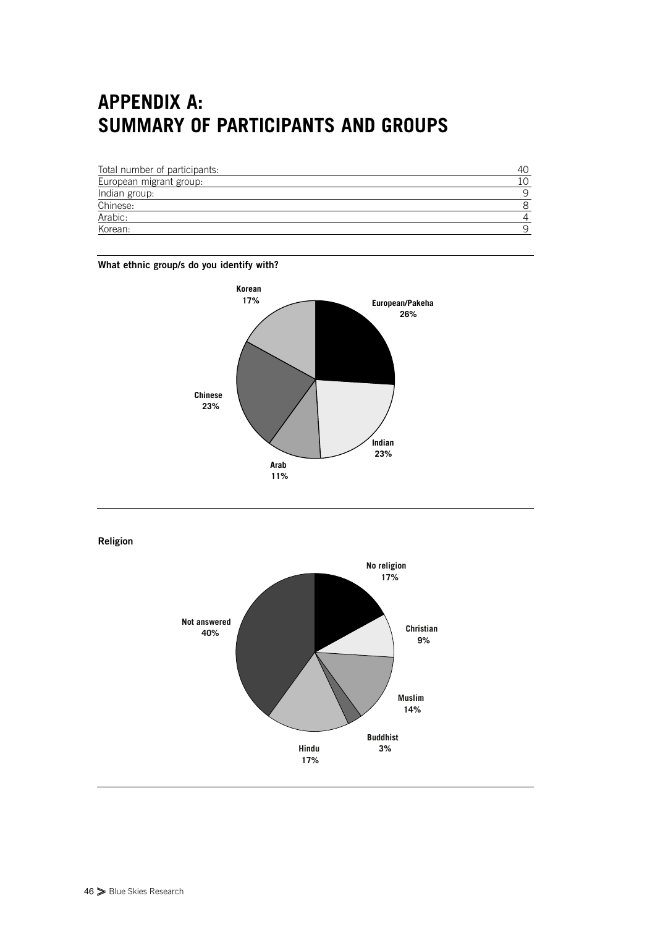# **APPENDIX A: SUMMARY OF PARTICIPANTS AND GROUPS**

| Total number of participants: | 40 |
|-------------------------------|----|
| European migrant group:       | 10 |
| Indian group:                 | q  |
| Chinese:                      | 8  |
| Arabic:                       |    |
| Korean:                       | 9  |

#### **What ethnic group/s do you identify with?**



**Religion**

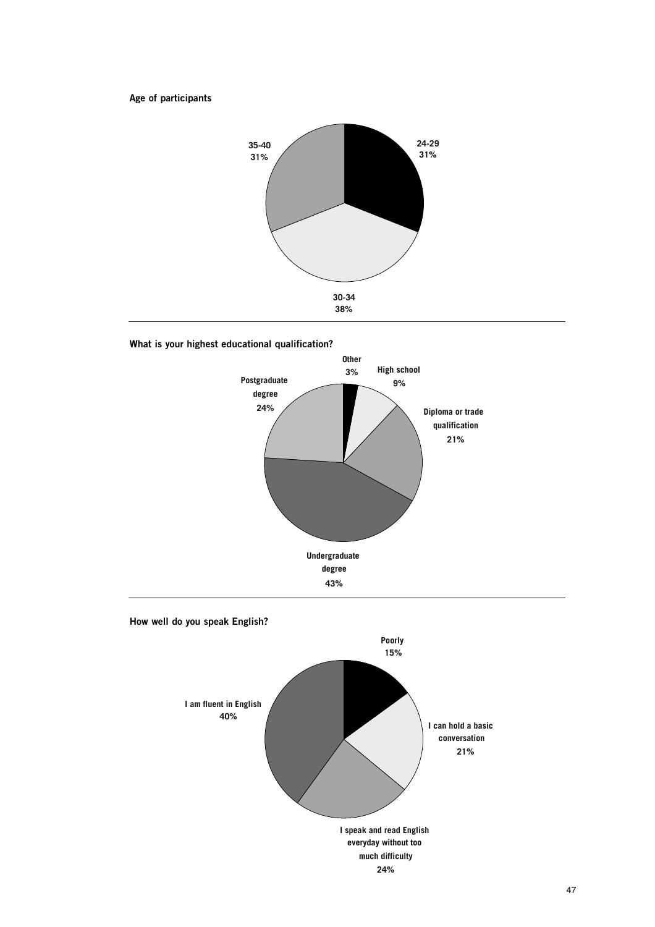**Age of participants**



#### **What is your highest educational qualification?**



**How well do you speak English?**

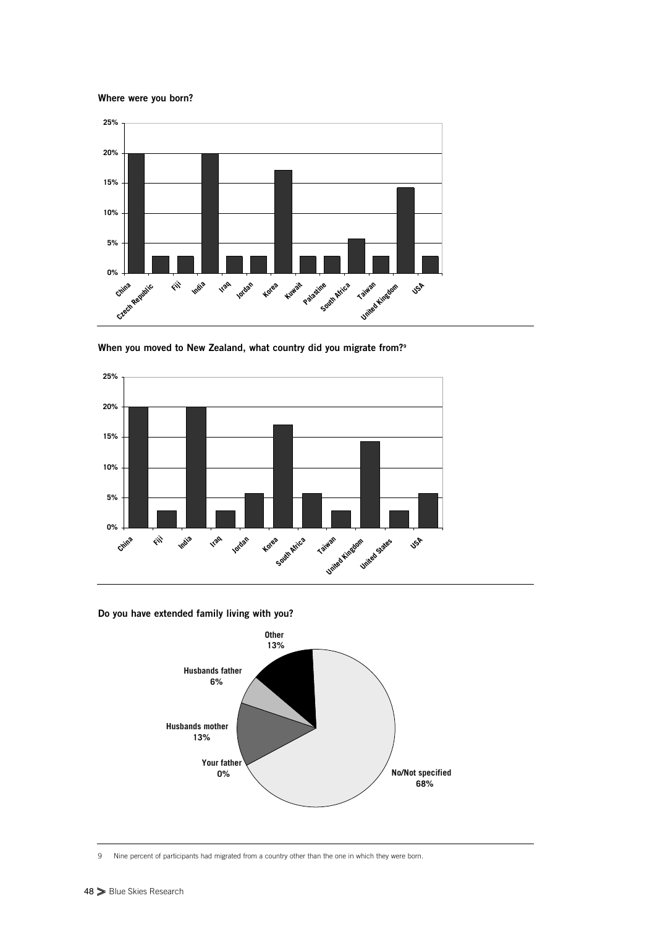**Where were you born?**



**When you moved to New Zealand, what country did you migrate from?9**



**Do you have extended family living with you?**



9 Nine percent of participants had migrated from a country other than the one in which they were born.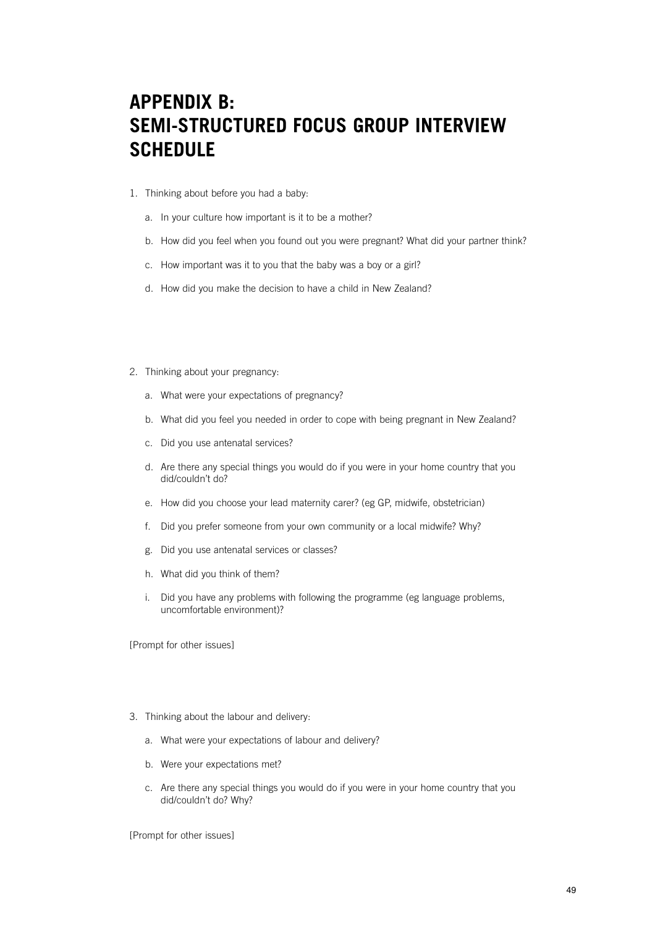## **APPENDIX B: SEMI-STRUCTURED FOCUS GROUP INTERVIEW SCHEDULE**

- 1. Thinking about before you had a baby:
	- a. In your culture how important is it to be a mother?
	- b. How did you feel when you found out you were pregnant? What did your partner think?
	- c. How important was it to you that the baby was a boy or a girl?
	- d. How did you make the decision to have a child in New Zealand?
- 2. Thinking about your pregnancy:
	- a. What were your expectations of pregnancy?
	- b. What did you feel you needed in order to cope with being pregnant in New Zealand?
	- c. Did you use antenatal services?
	- d. Are there any special things you would do if you were in your home country that you did/couldn't do?
	- e. How did you choose your lead maternity carer? (eg GP, midwife, obstetrician)
	- f. Did you prefer someone from your own community or a local midwife? Why?
	- g. Did you use antenatal services or classes?
	- h. What did you think of them?
	- i. Did you have any problems with following the programme (eg language problems, uncomfortable environment)?

[Prompt for other issues]

- 3. Thinking about the labour and delivery:
	- a. What were your expectations of labour and delivery?
	- b. Were your expectations met?
	- c. Are there any special things you would do if you were in your home country that you did/couldn't do? Why?

[Prompt for other issues]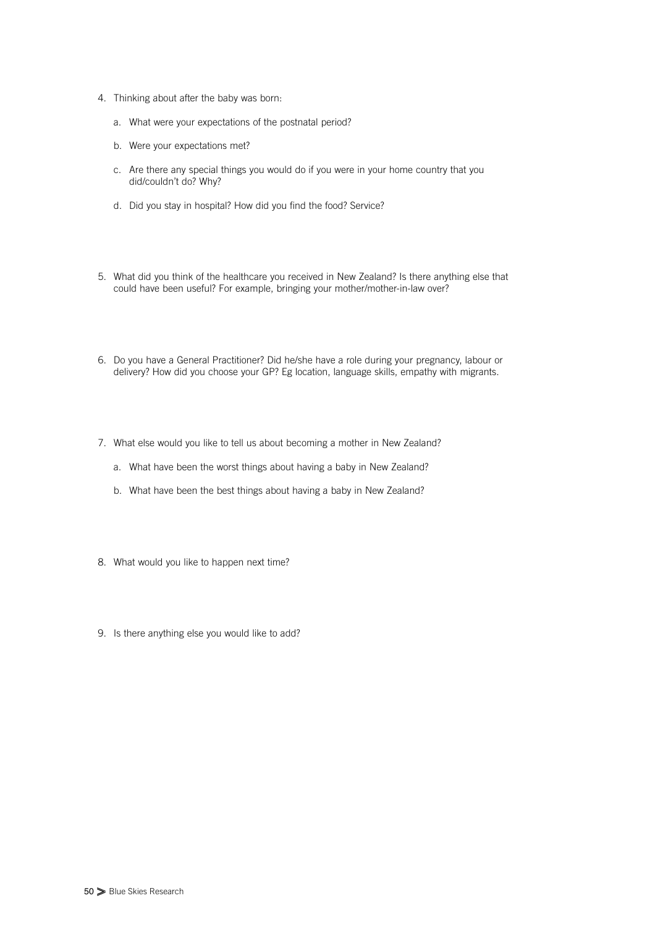- 4. Thinking about after the baby was born:
	- a. What were your expectations of the postnatal period?
	- b. Were your expectations met?
	- c. Are there any special things you would do if you were in your home country that you did/couldn't do? Why?
	- d. Did you stay in hospital? How did you find the food? Service?
- 5. What did you think of the healthcare you received in New Zealand? Is there anything else that could have been useful? For example, bringing your mother/mother-in-law over?
- 6. Do you have a General Practitioner? Did he/she have a role during your pregnancy, labour or delivery? How did you choose your GP? Eg location, language skills, empathy with migrants.
- 7. What else would you like to tell us about becoming a mother in New Zealand?
	- a. What have been the worst things about having a baby in New Zealand?
	- b. What have been the best things about having a baby in New Zealand?
- 8. What would you like to happen next time?
- 9. Is there anything else you would like to add?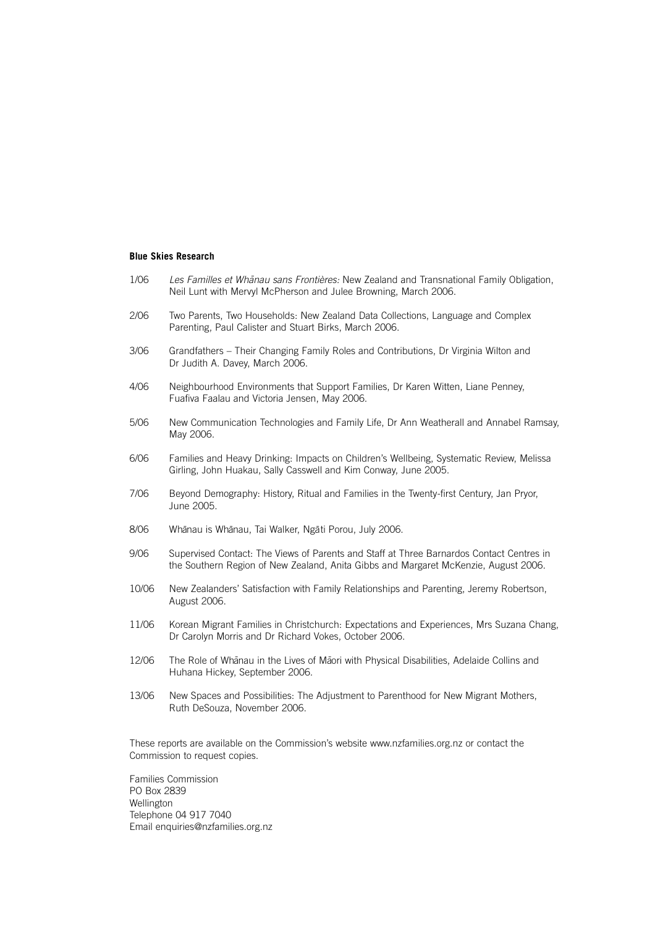#### **Blue Skies Research**

- 1/06 Les Familles et Whanau sans Frontières: New Zealand and Transnational Family Obligation, Neil Lunt with Mervyl McPherson and Julee Browning, March 2006.
- 2/06 Two Parents, Two Households: New Zealand Data Collections, Language and Complex Parenting, Paul Calister and Stuart Birks, March 2006.
- 3/06 Grandfathers Their Changing Family Roles and Contributions, Dr Virginia Wilton and Dr Judith A. Davey, March 2006.
- 4/06 Neighbourhood Environments that Support Families, Dr Karen Witten, Liane Penney, Fuafiva Faalau and Victoria Jensen, May 2006.
- 5/06 New Communication Technologies and Family Life, Dr Ann Weatherall and Annabel Ramsay, May 2006.
- 6/06 Families and Heavy Drinking: Impacts on Children's Wellbeing, Systematic Review, Melissa Girling, John Huakau, Sally Casswell and Kim Conway, June 2005.
- 7/06 Beyond Demography: History, Ritual and Families in the Twenty-first Century, Jan Pryor, June 2005.
- $8/06$ nau is Whānau, Tai Walker, Ngāti Porou, July 2006.
- 9/06 Supervised Contact: The Views of Parents and Staff at Three Barnardos Contact Centres in the Southern Region of New Zealand, Anita Gibbs and Margaret McKenzie, August 2006.
- 10/06 New Zealanders' Satisfaction with Family Relationships and Parenting, Jeremy Robertson, August 2006.
- 11/06 Korean Migrant Families in Christchurch: Expectations and Experiences, Mrs Suzana Chang, Dr Carolyn Morris and Dr Richard Vokes, October 2006.
- 12/06 The Role of Whānau in the Lives of Māori with Physical Disabilities, Adelaide Collins and Huhana Hickey, September 2006.
- 13/06 New Spaces and Possibilities: The Adjustment to Parenthood for New Migrant Mothers, Ruth DeSouza, November 2006.

These reports are available on the Commission's website www.nzfamilies.org.nz or contact the Commission to request copies.

Families Commission PO Box 2839 Wellington Telephone 04 917 7040 Email enquiries@nzfamilies.org.nz